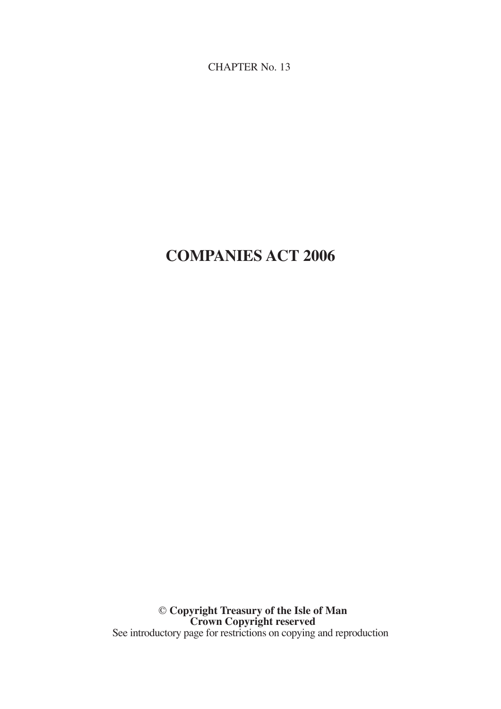CHAPTER No. 13

# **COMPANIES ACT 2006**

© **Copyright Treasury of the Isle of Man Crown Copyright reserved** See introductory page for restrictions on copying and reproduction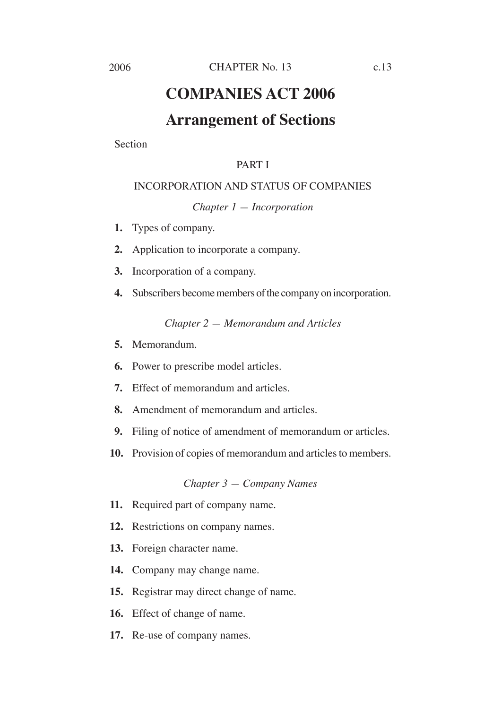# **COMPANIES ACT 2006**

# **Arrangement of Sections**

Section

# PART I

# INCORPORATION AND STATUS OF COMPANIES

*Chapter 1 — Incorporation*

- **1.** Types of company.
- **2.** Application to incorporate a company.
- **3.** Incorporation of a company.
- **4.** Subscribers become members of the company on incorporation.

*Chapter 2 — Memorandum and Articles*

- **5.** Memorandum.
- **6.** Power to prescribe model articles.
- **7.** Effect of memorandum and articles.
- **8.** Amendment of memorandum and articles.
- **9.** Filing of notice of amendment of memorandum or articles.
- **10.** Provision of copies of memorandum and articles to members.

#### *Chapter 3 — Company Names*

- **11.** Required part of company name.
- **12.** Restrictions on company names.
- **13.** Foreign character name.
- **14.** Company may change name.
- **15.** Registrar may direct change of name.
- **16.** Effect of change of name.
- **17.** Re-use of company names.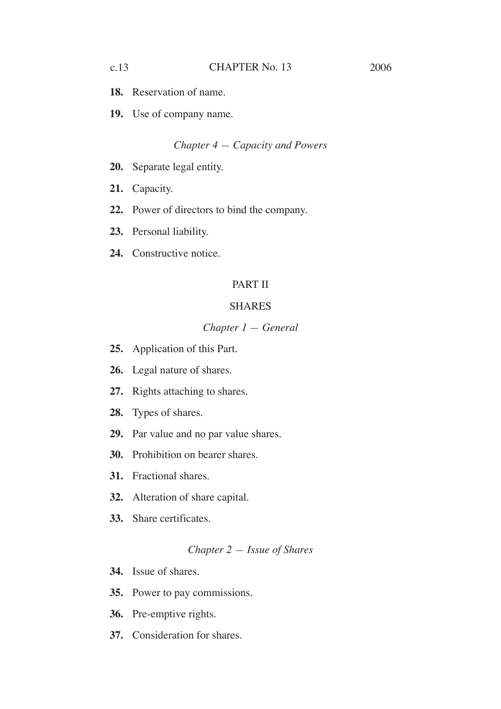- **18.** Reservation of name.
- **19.** Use of company name.

#### *Chapter 4 — Capacity and Powers*

- **20.** Separate legal entity.
- **21.** Capacity.
- **22.** Power of directors to bind the company.
- **23.** Personal liability.
- **24.** Constructive notice.

# PART II

#### SHARES

## *Chapter 1 — General*

- **25.** Application of this Part.
- **26.** Legal nature of shares.
- **27.** Rights attaching to shares.
- **28.** Types of shares.
- **29.** Par value and no par value shares.
- **30.** Prohibition on bearer shares.
- **31.** Fractional shares.
- **32.** Alteration of share capital.
- **33.** Share certificates.

# *Chapter 2 — Issue of Shares*

- **34.** Issue of shares.
- **35.** Power to pay commissions.
- **36.** Pre-emptive rights.
- **37.** Consideration for shares.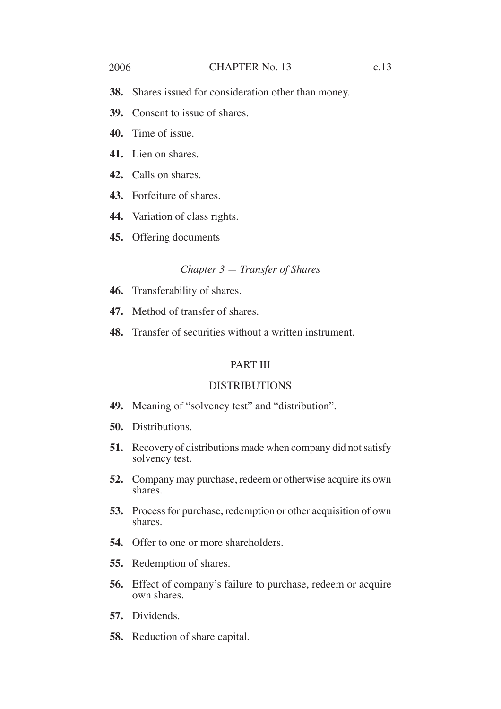#### 2006 CHAPTER No. 13 c.13

- **39.** Consent to issue of shares.
- **40.** Time of issue.
- **41.** Lien on shares.
- **42.** Calls on shares.
- **43.** Forfeiture of shares.
- **44.** Variation of class rights.
- **45.** Offering documents

#### *Chapter 3 — Transfer of Shares*

- **46.** Transferability of shares.
- **47.** Method of transfer of shares.
- **48.** Transfer of securities without a written instrument.

# PART III

### **DISTRIBUTIONS**

- **49.** Meaning of "solvency test" and "distribution".
- **50.** Distributions.
- **51.** Recovery of distributions made when company did not satisfy solvency test.
- **52.** Company may purchase, redeem or otherwise acquire its own shares.
- **53.** Process for purchase, redemption or other acquisition of own shares.
- **54.** Offer to one or more shareholders.
- **55.** Redemption of shares.
- **56.** Effect of company's failure to purchase, redeem or acquire own shares.
- **57.** Dividends.
- **58.** Reduction of share capital.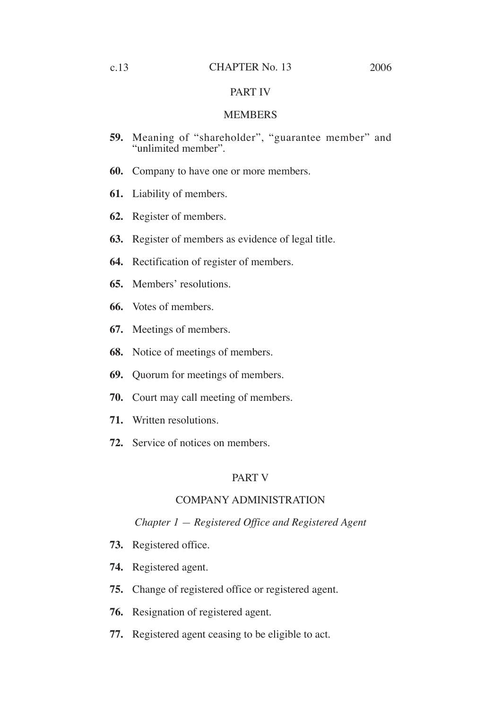#### PART IV

#### MEMBERS

- **59.** Meaning of "shareholder", "guarantee member" and "unlimited member".
- **60.** Company to have one or more members.
- **61.** Liability of members.
- **62.** Register of members.
- **63.** Register of members as evidence of legal title.
- **64.** Rectification of register of members.
- **65.** Members' resolutions.
- **66.** Votes of members.
- **67.** Meetings of members.
- **68.** Notice of meetings of members.
- **69.** Quorum for meetings of members.
- **70.** Court may call meeting of members.
- **71.** Written resolutions.
- **72.** Service of notices on members.

# PART V

# COMPANY ADMINISTRATION

#### *Chapter 1 — Registered Office and Registered Agent*

- **73.** Registered office.
- **74.** Registered agent.
- **75.** Change of registered office or registered agent.
- **76.** Resignation of registered agent.
- **77.** Registered agent ceasing to be eligible to act.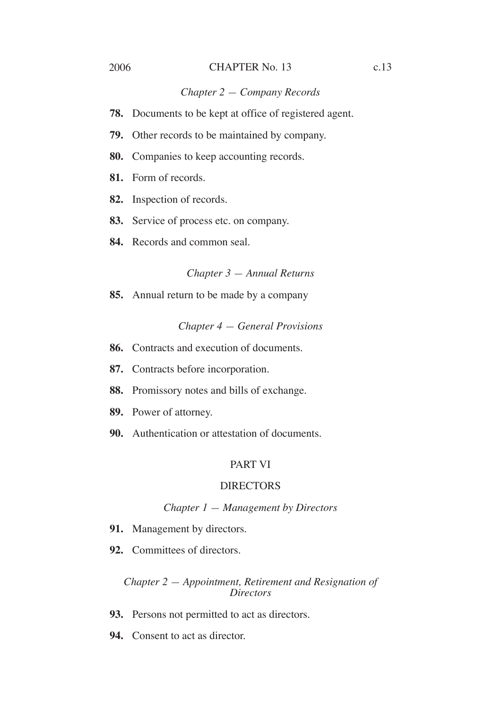#### 2006 CHAPTER No. 13 c.13

#### *Chapter 2 — Company Records*

- **78.** Documents to be kept at office of registered agent.
- **79.** Other records to be maintained by company.
- **80.** Companies to keep accounting records.
- **81.** Form of records.
- **82.** Inspection of records.
- **83.** Service of process etc. on company.
- **84.** Records and common seal.

#### *Chapter 3 — Annual Returns*

**85.** Annual return to be made by a company

#### *Chapter 4 — General Provisions*

- **86.** Contracts and execution of documents.
- **87.** Contracts before incorporation.
- **88.** Promissory notes and bills of exchange.
- **89.** Power of attorney.
- **90.** Authentication or attestation of documents.

#### PART VI

#### **DIRECTORS**

#### *Chapter 1 — Management by Directors*

- **91.** Management by directors.
- **92.** Committees of directors.

#### *Chapter 2 — Appointment, Retirement and Resignation of Directors*

- **93.** Persons not permitted to act as directors.
- **94.** Consent to act as director.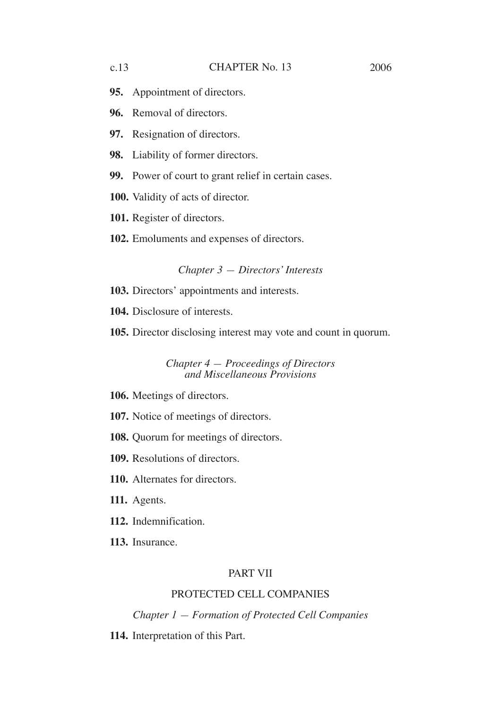- **95.** Appointment of directors.
- **96.** Removal of directors.
- **97.** Resignation of directors.
- **98.** Liability of former directors.
- **99.** Power of court to grant relief in certain cases.
- **100.** Validity of acts of director.
- **101.** Register of directors.
- **102.** Emoluments and expenses of directors.

#### *Chapter 3 — Directors' Interests*

- **103.** Directors' appointments and interests.
- **104.** Disclosure of interests.
- **105.** Director disclosing interest may vote and count in quorum.

*Chapter 4 — Proceedings of Directors and Miscellaneous Provisions*

- **106.** Meetings of directors.
- **107.** Notice of meetings of directors.
- **108.** Quorum for meetings of directors.
- **109.** Resolutions of directors.
- **110.** Alternates for directors.
- **111.** Agents.
- **112.** Indemnification.
- **113.** Insurance.

#### PART VII

# PROTECTED CELL COMPANIES

*Chapter 1 — Formation of Protected Cell Companies*

**114.** Interpretation of this Part.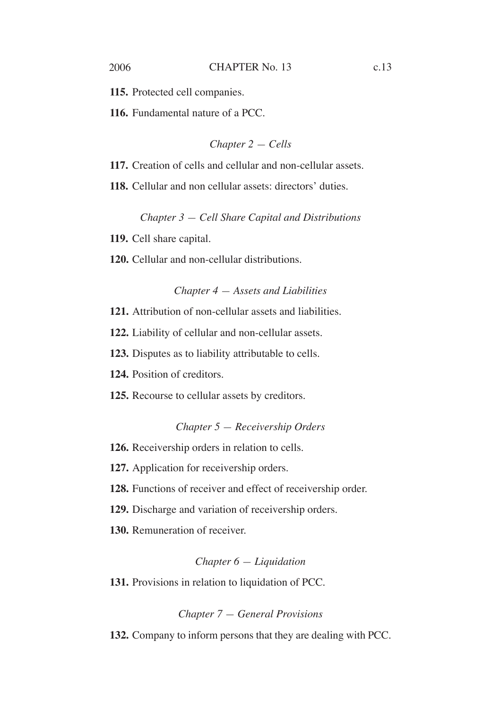**115.** Protected cell companies.

**116.** Fundamental nature of a PCC.

*Chapter 2 — Cells*

**117.** Creation of cells and cellular and non-cellular assets.

**118.** Cellular and non cellular assets: directors' duties.

*Chapter 3 — Cell Share Capital and Distributions*

**119.** Cell share capital.

**120.** Cellular and non-cellular distributions.

### *Chapter 4 — Assets and Liabilities*

**121.** Attribution of non-cellular assets and liabilities.

**122.** Liability of cellular and non-cellular assets.

**123.** Disputes as to liability attributable to cells.

**124.** Position of creditors.

**125.** Recourse to cellular assets by creditors.

#### *Chapter 5 — Receivership Orders*

**126.** Receivership orders in relation to cells.

**127.** Application for receivership orders.

**128.** Functions of receiver and effect of receivership order.

**129.** Discharge and variation of receivership orders.

**130.** Remuneration of receiver.

#### *Chapter 6 — Liquidation*

**131.** Provisions in relation to liquidation of PCC.

#### *Chapter 7 — General Provisions*

**132.** Company to inform persons that they are dealing with PCC.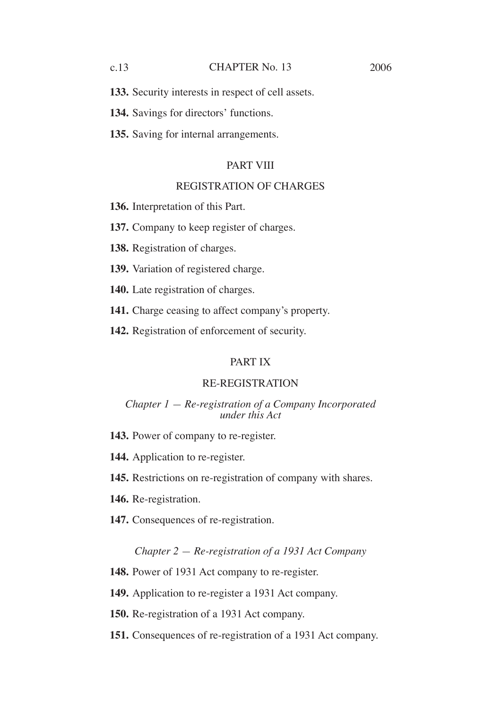**134.** Savings for directors' functions.

**135.** Saving for internal arrangements.

### PART VIII

#### REGISTRATION OF CHARGES

**136.** Interpretation of this Part.

**137.** Company to keep register of charges.

**138.** Registration of charges.

**139.** Variation of registered charge.

**140.** Late registration of charges.

**141.** Charge ceasing to affect company's property.

**142.** Registration of enforcement of security.

#### PART IX

#### RE-REGISTRATION

#### *Chapter 1 — Re-registration of a Company Incorporated under this Act*

- **143.** Power of company to re-register.
- **144.** Application to re-register.
- **145.** Restrictions on re-registration of company with shares.
- **146.** Re-registration.
- **147.** Consequences of re-registration.

#### *Chapter 2 — Re-registration of a 1931 Act Company*

**148.** Power of 1931 Act company to re-register.

**149.** Application to re-register a 1931 Act company.

**150.** Re-registration of a 1931 Act company.

**151.** Consequences of re-registration of a 1931 Act company.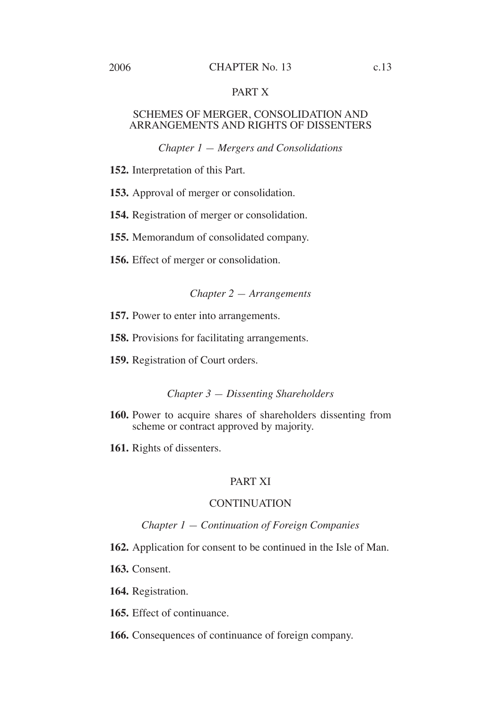#### 2006 CHAPTER No. 13 c.13

# PART X

#### SCHEMES OF MERGER, CONSOLIDATION AND ARRANGEMENTS AND RIGHTS OF DISSENTERS

#### *Chapter 1 — Mergers and Consolidations*

- **152.** Interpretation of this Part.
- **153.** Approval of merger or consolidation.
- **154.** Registration of merger or consolidation.
- **155.** Memorandum of consolidated company.
- **156.** Effect of merger or consolidation.

#### *Chapter 2 — Arrangements*

- **157.** Power to enter into arrangements.
- **158.** Provisions for facilitating arrangements.
- **159.** Registration of Court orders.

#### *Chapter 3 — Dissenting Shareholders*

- **160.** Power to acquire shares of shareholders dissenting from scheme or contract approved by majority.
- **161.** Rights of dissenters.

# PART XI

### **CONTINUATION**

#### *Chapter 1 — Continuation of Foreign Companies*

- **162.** Application for consent to be continued in the Isle of Man.
- **163.** Consent.
- **164.** Registration.
- **165.** Effect of continuance.
- **166.** Consequences of continuance of foreign company.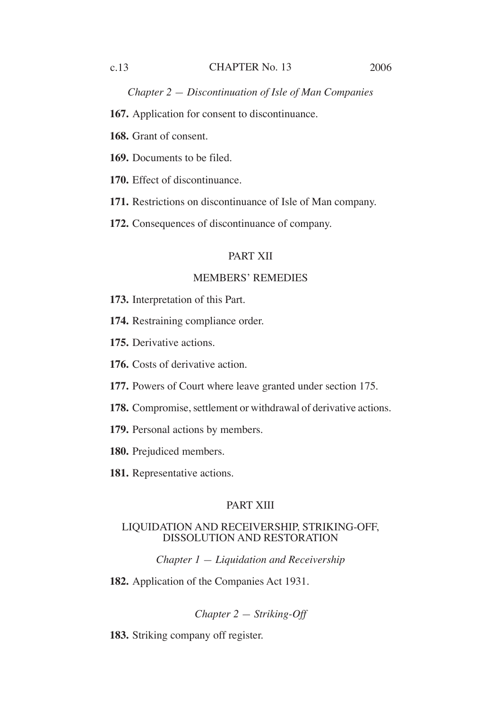#### c.13 CHAPTER No. 13 2006

*Chapter 2 — Discontinuation of Isle of Man Companies*

**167.** Application for consent to discontinuance.

**168.** Grant of consent.

**169.** Documents to be filed.

**170.** Effect of discontinuance.

**171.** Restrictions on discontinuance of Isle of Man company.

**172.** Consequences of discontinuance of company.

#### PART XII

#### MEMBERS' REMEDIES

- **173.** Interpretation of this Part.
- **174.** Restraining compliance order.
- **175.** Derivative actions.
- **176.** Costs of derivative action.
- **177.** Powers of Court where leave granted under section 175.
- **178.** Compromise, settlement or withdrawal of derivative actions.
- **179.** Personal actions by members.
- **180.** Prejudiced members.
- **181.** Representative actions.

# PART XIII

#### LIQUIDATION AND RECEIVERSHIP, STRIKING-OFF, DISSOLUTION AND RESTORATION

*Chapter 1 — Liquidation and Receivership*

**182.** Application of the Companies Act 1931.

*Chapter 2 — Striking-Off*

**183.** Striking company off register.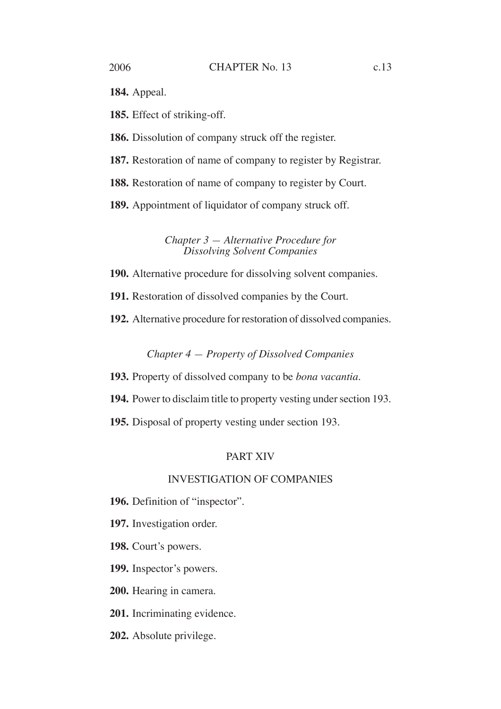**184.** Appeal.

**185.** Effect of striking-off.

**186.** Dissolution of company struck off the register.

**187.** Restoration of name of company to register by Registrar.

**188.** Restoration of name of company to register by Court.

**189.** Appointment of liquidator of company struck off.

*Chapter 3 — Alternative Procedure for Dissolving Solvent Companies*

**190.** Alternative procedure for dissolving solvent companies.

**191.** Restoration of dissolved companies by the Court.

**192.** Alternative procedure for restoration of dissolved companies.

*Chapter 4 — Property of Dissolved Companies*

**193.** Property of dissolved company to be *bona vacantia*.

**194.** Power to disclaim title to property vesting under section 193.

**195.** Disposal of property vesting under section 193.

# PART XIV

### INVESTIGATION OF COMPANIES

**196.** Definition of "inspector".

**197.** Investigation order.

**198.** Court's powers.

**199.** Inspector's powers.

**200.** Hearing in camera.

**201.** Incriminating evidence.

**202.** Absolute privilege.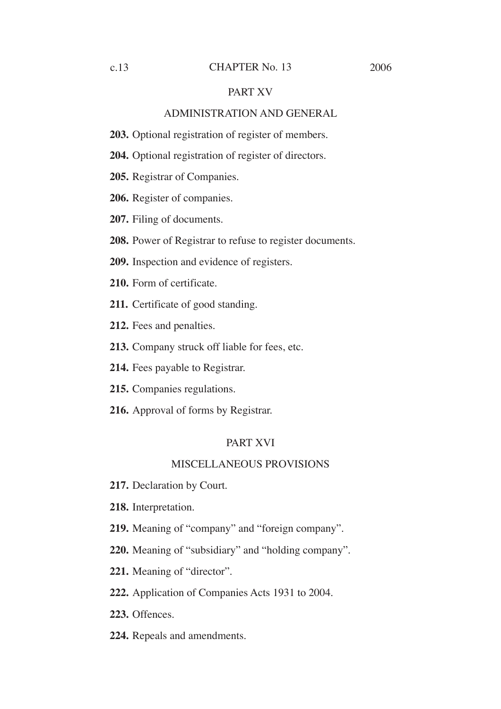#### c.13 CHAPTER No. 13 2006

#### PART XV

#### ADMINISTRATION AND GENERAL

**203.** Optional registration of register of members.

**204.** Optional registration of register of directors.

**205.** Registrar of Companies.

**206.** Register of companies.

**207.** Filing of documents.

**208.** Power of Registrar to refuse to register documents.

**209.** Inspection and evidence of registers.

**210.** Form of certificate.

**211.** Certificate of good standing.

**212.** Fees and penalties.

**213.** Company struck off liable for fees, etc.

**214.** Fees payable to Registrar.

**215.** Companies regulations.

**216.** Approval of forms by Registrar.

#### PART XVI

#### MISCELLANEOUS PROVISIONS

**217.** Declaration by Court.

**218.** Interpretation.

**219.** Meaning of "company" and "foreign company".

**220.** Meaning of "subsidiary" and "holding company".

**221.** Meaning of "director".

**222.** Application of Companies Acts 1931 to 2004.

**223.** Offences.

**224.** Repeals and amendments.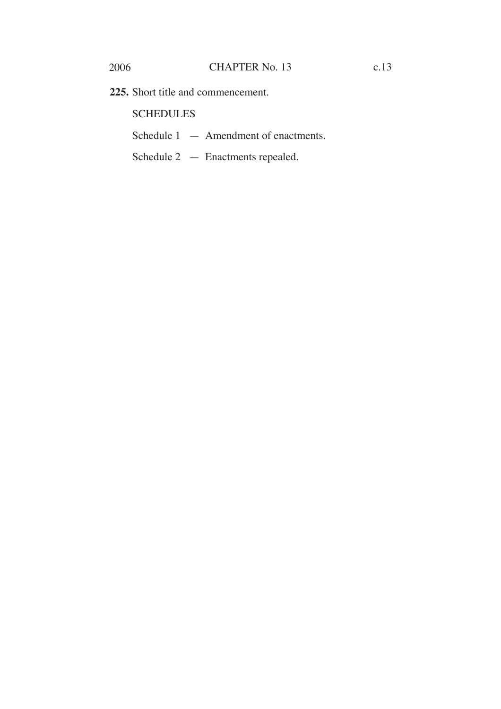**225.** Short title and commencement.

**SCHEDULES** 

- Schedule 1 Amendment of enactments.
- Schedule 2 Enactments repealed.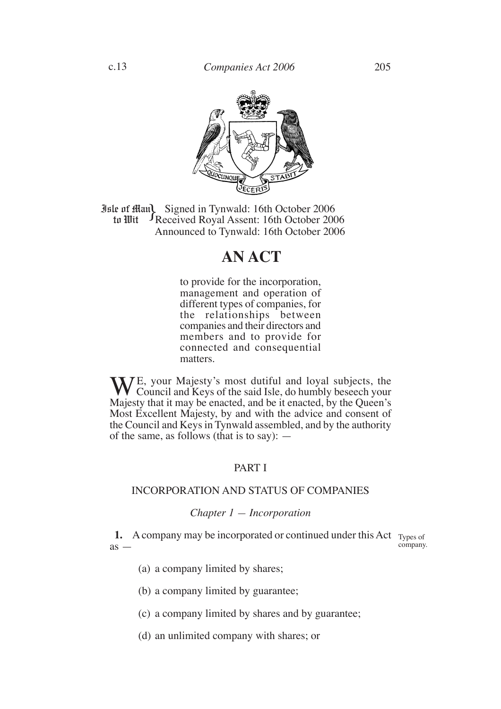

**Jule of Man)** Signed in Tynwald: 16th October 2006<br>
tu Mit Received Royal Assent: 16th October 200 Received Royal Assent: 16th October 2006 Announced to Tynwald: 16th October 2006 to Wit

# **AN ACT**

to provide for the incorporation, management and operation of different types of companies, for the relationships between companies and their directors and members and to provide for connected and consequential matters.

 $\int_{C}$  your Majesty's most dutiful and loyal subjects, the Council and Keys of the said Isle, do humbly beseech your Majesty that it may be enacted, and be it enacted, by the Queen's Most Excellent Majesty, by and with the advice and consent of the Council and Keys in Tynwald assembled, and by the authority of the same, as follows (that is to say):  $-$ 

## PART I

#### INCORPORATION AND STATUS OF COMPANIES

#### *Chapter 1 — Incorporation*

**1.** A company may be incorporated or continued under this Act Types of  $as$ company.

- (a) a company limited by shares;
- (b) a company limited by guarantee;
- (c) a company limited by shares and by guarantee;
- (d) an unlimited company with shares; or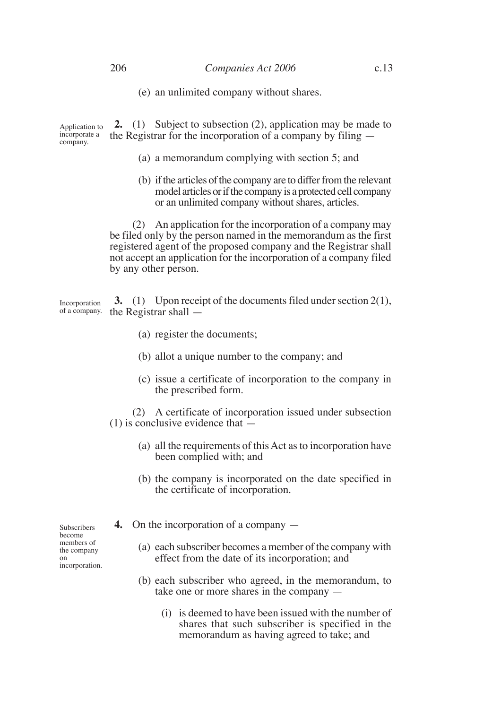(e) an unlimited company without shares.

**2.** (1) Subject to subsection (2), application may be made to the Registrar for the incorporation of a company by filing — Application to incorporate a company.

- (a) a memorandum complying with section 5; and
- (b) if the articles of the company are to differ from the relevant model articles or if the company is a protected cell company or an unlimited company without shares, articles.

(2) An application for the incorporation of a company may be filed only by the person named in the memorandum as the first registered agent of the proposed company and the Registrar shall not accept an application for the incorporation of a company filed by any other person.

**3.** (1) Upon receipt of the documents filed under section 2(1), the Registrar shall — Incorporation of a company.

- (a) register the documents;
- (b) allot a unique number to the company; and
- (c) issue a certificate of incorporation to the company in the prescribed form.

(2) A certificate of incorporation issued under subsection  $(1)$  is conclusive evidence that  $\overline{\phantom{a}}$ 

- (a) all the requirements of this Act as to incorporation have been complied with; and
- (b) the company is incorporated on the date specified in the certificate of incorporation.
- **4.** On the incorporation of a company
	- (a) each subscriber becomes a member of the company with effect from the date of its incorporation; and
	- (b) each subscriber who agreed, in the memorandum, to take one or more shares in the company —
		- (i) is deemed to have been issued with the number of shares that such subscriber is specified in the memorandum as having agreed to take; and

Subscribers become members of the company on incorporation.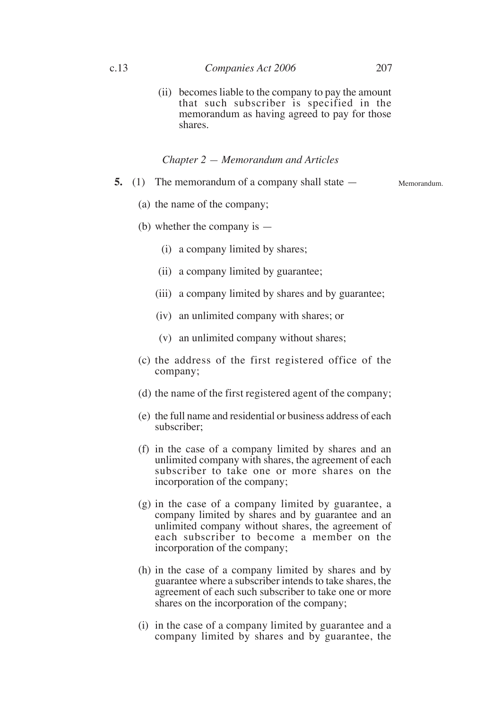(ii) becomes liable to the company to pay the amount that such subscriber is specified in the memorandum as having agreed to pay for those shares.

#### *Chapter 2 — Memorandum and Articles*

**5.** (1) The memorandum of a company shall state — Memorandum.

(a) the name of the company;

- (b) whether the company is
	- (i) a company limited by shares;
	- (ii) a company limited by guarantee;
	- (iii) a company limited by shares and by guarantee;
	- (iv) an unlimited company with shares; or
	- (v) an unlimited company without shares;
- (c) the address of the first registered office of the company;
- (d) the name of the first registered agent of the company;
- (e) the full name and residential or business address of each subscriber;
- (f) in the case of a company limited by shares and an unlimited company with shares, the agreement of each subscriber to take one or more shares on the incorporation of the company;
- (g) in the case of a company limited by guarantee, a company limited by shares and by guarantee and an unlimited company without shares, the agreement of each subscriber to become a member on the incorporation of the company;
- (h) in the case of a company limited by shares and by guarantee where a subscriber intends to take shares, the agreement of each such subscriber to take one or more shares on the incorporation of the company;
- (i) in the case of a company limited by guarantee and a company limited by shares and by guarantee, the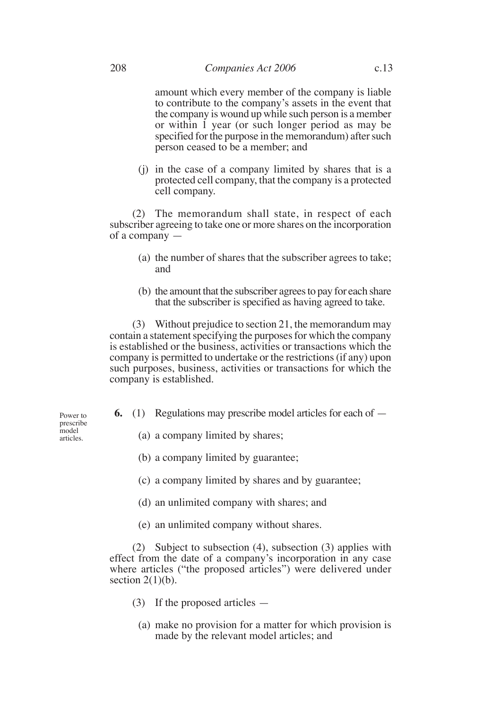amount which every member of the company is liable to contribute to the company's assets in the event that the company is wound up while such person is a member or within 1 year (or such longer period as may be specified for the purpose in the memorandum) after such person ceased to be a member; and

(j) in the case of a company limited by shares that is a protected cell company, that the company is a protected cell company.

(2) The memorandum shall state, in respect of each subscriber agreeing to take one or more shares on the incorporation of a company —

- (a) the number of shares that the subscriber agrees to take; and
- (b) the amount that the subscriber agrees to pay for each share that the subscriber is specified as having agreed to take.

(3) Without prejudice to section 21, the memorandum may contain a statement specifying the purposes for which the company is established or the business, activities or transactions which the company is permitted to undertake or the restrictions (if any) upon such purposes, business, activities or transactions for which the company is established.

**6.** (1) Regulations may prescribe model articles for each of —

Power to prescribe model articles.

- (a) a company limited by shares;
- (b) a company limited by guarantee;
- (c) a company limited by shares and by guarantee;
- (d) an unlimited company with shares; and
- (e) an unlimited company without shares.

(2) Subject to subsection (4), subsection (3) applies with effect from the date of a company's incorporation in any case where articles ("the proposed articles") were delivered under section  $2(1)(b)$ .

- (3) If the proposed articles
	- (a) make no provision for a matter for which provision is made by the relevant model articles; and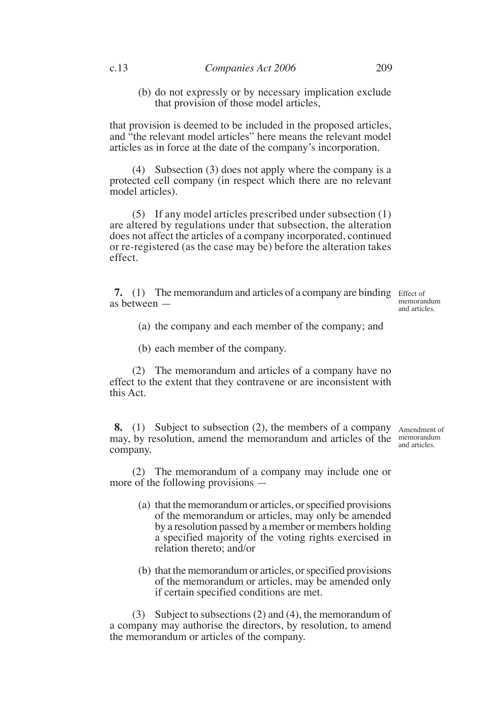(b) do not expressly or by necessary implication exclude that provision of those model articles,

that provision is deemed to be included in the proposed articles, and "the relevant model articles" here means the relevant model articles as in force at the date of the company's incorporation.

(4) Subsection (3) does not apply where the company is a protected cell company (in respect which there are no relevant model articles).

(5) If any model articles prescribed under subsection (1) are altered by regulations under that subsection, the alteration does not affect the articles of a company incorporated, continued or re-registered (as the case may be) before the alteration takes effect.

**7.** (1) The memorandum and articles of a company are binding Effect of as between —

memorandum and articles.

- (a) the company and each member of the company; and
- (b) each member of the company.

(2) The memorandum and articles of a company have no effect to the extent that they contravene or are inconsistent with this Act.

**8.** (1) Subject to subsection (2), the members of a company Amendment of may, by resolution, amend the memorandum and articles of the memorandum company.

and articles.

(2) The memorandum of a company may include one or more of the following provisions —

- (a) that the memorandum or articles, or specified provisions of the memorandum or articles, may only be amended by a resolution passed by a member or members holding a specified majority of the voting rights exercised in relation thereto; and/or
- (b) that the memorandum or articles, or specified provisions of the memorandum or articles, may be amended only if certain specified conditions are met.

(3) Subject to subsections (2) and (4), the memorandum of a company may authorise the directors, by resolution, to amend the memorandum or articles of the company.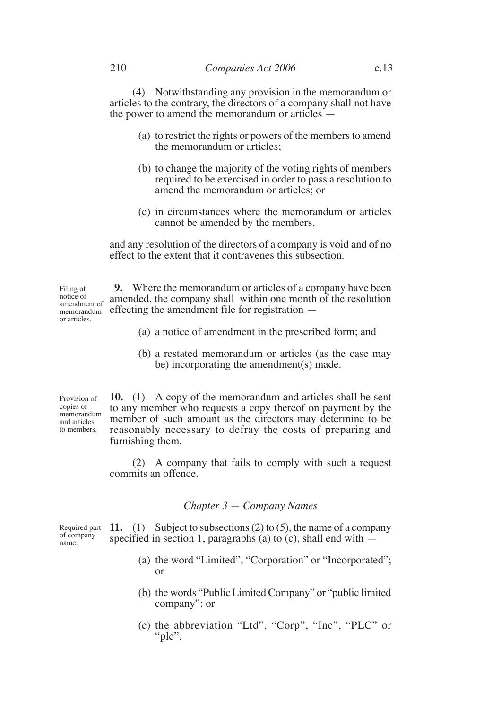(4) Notwithstanding any provision in the memorandum or articles to the contrary, the directors of a company shall not have the power to amend the memorandum or articles —

- (a) to restrict the rights or powers of the members to amend the memorandum or articles;
- (b) to change the majority of the voting rights of members required to be exercised in order to pass a resolution to amend the memorandum or articles; or
- (c) in circumstances where the memorandum or articles cannot be amended by the members,

and any resolution of the directors of a company is void and of no effect to the extent that it contravenes this subsection.

Filing of notice of amendment of memorandum or articles.

**9.** Where the memorandum or articles of a company have been amended, the company shall within one month of the resolution effecting the amendment file for registration —

- (a) a notice of amendment in the prescribed form; and
- (b) a restated memorandum or articles (as the case may be) incorporating the amendment(s) made.

**10.** (1) A copy of the memorandum and articles shall be sent to any member who requests a copy thereof on payment by the member of such amount as the directors may determine to be reasonably necessary to defray the costs of preparing and furnishing them. Provision of copies of memorandum and articles to members.

> (2) A company that fails to comply with such a request commits an offence.

#### *Chapter 3 — Company Names*

Required part of company name.

**11.** (1) Subject to subsections (2) to (5), the name of a company specified in section 1, paragraphs (a) to (c), shall end with  $-$ 

- (a) the word "Limited", "Corporation" or "Incorporated"; or
- (b) the words "Public Limited Company" or "public limited company"; or
- (c) the abbreviation "Ltd", "Corp", "Inc", "PLC" or "plc".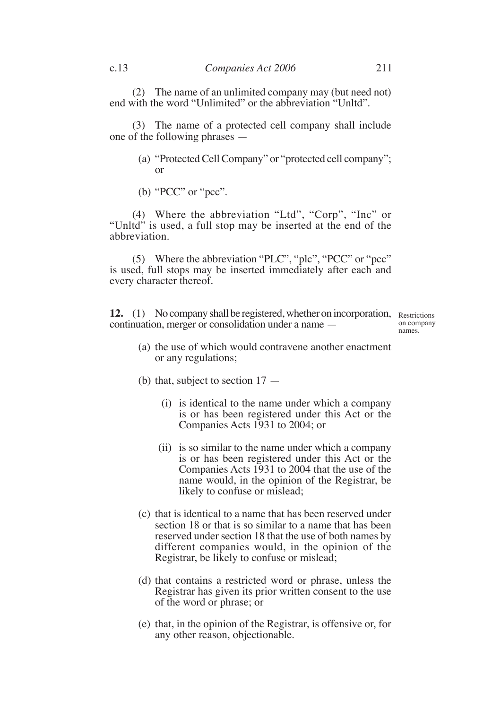(2) The name of an unlimited company may (but need not) end with the word "Unlimited" or the abbreviation "Unltd".

(3) The name of a protected cell company shall include one of the following phrases —

- (a) "Protected Cell Company" or "protected cell company"; or
- (b) "PCC" or "pcc".

(4) Where the abbreviation "Ltd", "Corp", "Inc" or "Unltd" is used, a full stop may be inserted at the end of the abbreviation.

(5) Where the abbreviation "PLC", "plc", "PCC" or "pcc" is used, full stops may be inserted immediately after each and every character thereof.

**12.** (1) No company shall be registered, whether on incorporation, Restrictions continuation, merger or consolidation under a name —

on company names.

- (a) the use of which would contravene another enactment or any regulations;
- (b) that, subject to section 17
	- (i) is identical to the name under which a company is or has been registered under this Act or the Companies Acts 1931 to 2004; or
	- (ii) is so similar to the name under which a company is or has been registered under this Act or the Companies Acts 1931 to 2004 that the use of the name would, in the opinion of the Registrar, be likely to confuse or mislead;
- (c) that is identical to a name that has been reserved under section 18 or that is so similar to a name that has been reserved under section 18 that the use of both names by different companies would, in the opinion of the Registrar, be likely to confuse or mislead;
- (d) that contains a restricted word or phrase, unless the Registrar has given its prior written consent to the use of the word or phrase; or
- (e) that, in the opinion of the Registrar, is offensive or, for any other reason, objectionable.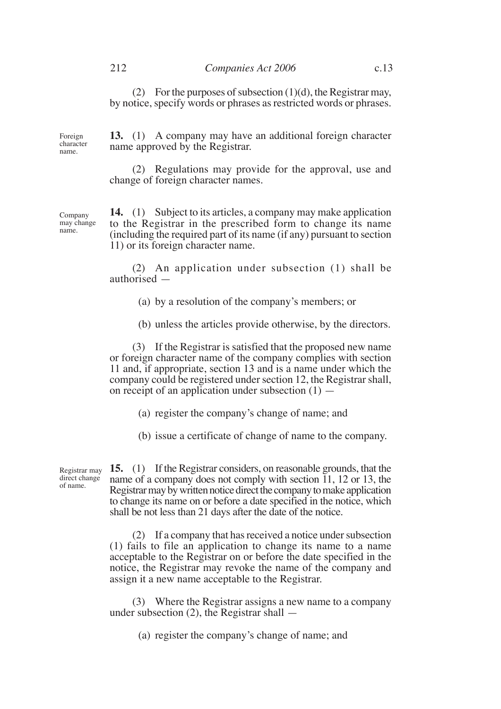(2) For the purposes of subsection  $(1)(d)$ , the Registrar may, by notice, specify words or phrases as restricted words or phrases.

Foreign character name.

**13.** (1) A company may have an additional foreign character name approved by the Registrar.

(2) Regulations may provide for the approval, use and change of foreign character names.

**14.** (1) Subject to its articles, a company may make application to the Registrar in the prescribed form to change its name (including the required part of its name (if any) pursuant to section 11) or its foreign character name.

(2) An application under subsection (1) shall be authorised —

- (a) by a resolution of the company's members; or
- (b) unless the articles provide otherwise, by the directors.

(3) If the Registrar is satisfied that the proposed new name or foreign character name of the company complies with section 11 and, if appropriate, section 13 and is a name under which the company could be registered under section 12, the Registrar shall, on receipt of an application under subsection  $(1)$  —

- (a) register the company's change of name; and
- (b) issue a certificate of change of name to the company.

**15.** (1) If the Registrar considers, on reasonable grounds, that the name of a company does not comply with section 11, 12 or 13, the Registrar may by written notice direct the company to make application to change its name on or before a date specified in the notice, which shall be not less than 21 days after the date of the notice. Registrar may direct change

> (2) If a company that has received a notice under subsection (1) fails to file an application to change its name to a name acceptable to the Registrar on or before the date specified in the notice, the Registrar may revoke the name of the company and assign it a new name acceptable to the Registrar.

> (3) Where the Registrar assigns a new name to a company under subsection (2), the Registrar shall —

> > (a) register the company's change of name; and

Company may change name.

of name.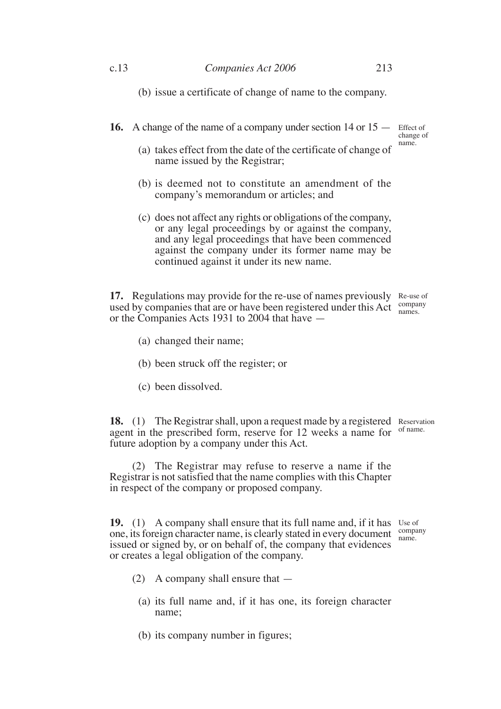(b) issue a certificate of change of name to the company.

**16.** A change of the name of a company under section 14 or 15 – Effect of

change of name.

- (a) takes effect from the date of the certificate of change of name issued by the Registrar;
- (b) is deemed not to constitute an amendment of the company's memorandum or articles; and
- (c) does not affect any rights or obligations of the company, or any legal proceedings by or against the company, and any legal proceedings that have been commenced against the company under its former name may be continued against it under its new name.

17. Regulations may provide for the re-use of names previously Re-use of used by companies that are or have been registered under this Act  $\frac{\text{company}}{\text{names}}$ or the Companies Acts 1931 to 2004 that have names.

- (a) changed their name;
- (b) been struck off the register; or
- (c) been dissolved.

18. (1) The Registrar shall, upon a request made by a registered Reservation agent in the prescribed form, reserve for 12 weeks a name for of name. future adoption by a company under this Act.

(2) The Registrar may refuse to reserve a name if the Registrar is not satisfied that the name complies with this Chapter in respect of the company or proposed company.

**19.** (1) A company shall ensure that its full name and, if it has Use of one, its foreign character name, is clearly stated in every document issued or signed by, or on behalf of, the company that evidences or creates a legal obligation of the company. name.

company

- (2) A company shall ensure that
	- (a) its full name and, if it has one, its foreign character name;
	- (b) its company number in figures;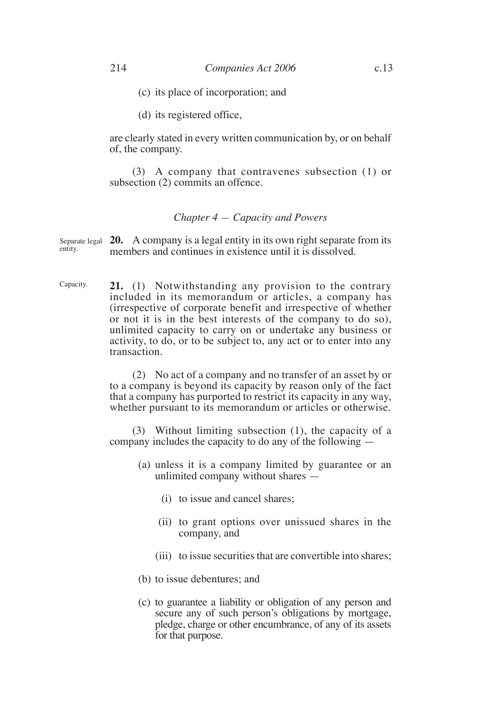- (c) its place of incorporation; and
- (d) its registered office,

are clearly stated in every written communication by, or on behalf of, the company.

(3) A company that contravenes subsection (1) or subsection (2) commits an offence.

#### *Chapter 4 — Capacity and Powers*

Separate legal **20.** A company is a legal entity in its own right separate from its members and continues in existence until it is dissolved. entity.

**21.** (1) Notwithstanding any provision to the contrary included in its memorandum or articles, a company has (irrespective of corporate benefit and irrespective of whether or not it is in the best interests of the company to do so), unlimited capacity to carry on or undertake any business or activity, to do, or to be subject to, any act or to enter into any transaction. Capacity.

> (2) No act of a company and no transfer of an asset by or to a company is beyond its capacity by reason only of the fact that a company has purported to restrict its capacity in any way, whether pursuant to its memorandum or articles or otherwise.

> (3) Without limiting subsection (1), the capacity of a company includes the capacity to do any of the following —

- (a) unless it is a company limited by guarantee or an unlimited company without shares —
	- (i) to issue and cancel shares;
	- (ii) to grant options over unissued shares in the company, and
	- (iii) to issue securities that are convertible into shares;
- (b) to issue debentures; and
- (c) to guarantee a liability or obligation of any person and secure any of such person's obligations by mortgage, pledge, charge or other encumbrance, of any of its assets for that purpose.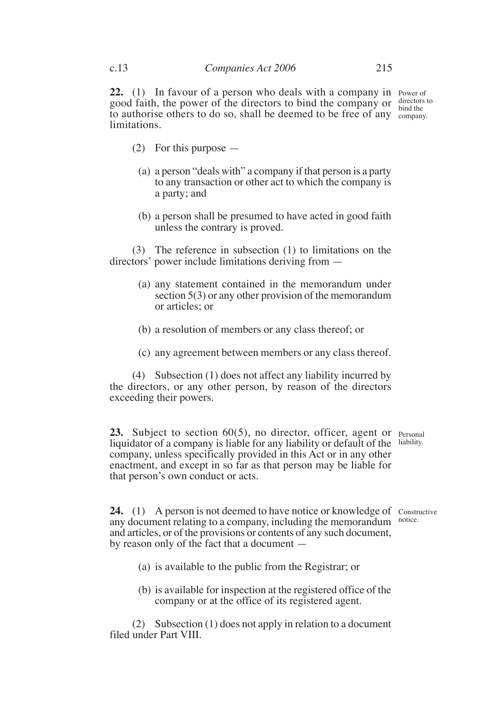22. (1) In favour of a person who deals with a company in Power of good faith, the power of the directors to bind the company or  $\frac{\text{directors to}}{\text{bind the}}$ to authorise others to do so, shall be deemed to be free of any  $\frac{60}{\text{company}}$ . limitations.

bind the

- (2) For this purpose
	- (a) a person "deals with" a company if that person is a party to any transaction or other act to which the company is a party; and
	- (b) a person shall be presumed to have acted in good faith unless the contrary is proved.

(3) The reference in subsection (1) to limitations on the directors' power include limitations deriving from —

- (a) any statement contained in the memorandum under section 5(3) or any other provision of the memorandum or articles; or
- (b) a resolution of members or any class thereof; or
- (c) any agreement between members or any class thereof.

(4) Subsection (1) does not affect any liability incurred by the directors, or any other person, by reason of the directors exceeding their powers.

23. Subject to section 60(5), no director, officer, agent or <sub>Personal</sub> liquidator of a company is liable for any liability or default of the liability. company, unless specifically provided in this Act or in any other enactment, and except in so far as that person may be liable for that person's own conduct or acts.

**24.** (1) A person is not deemed to have notice or knowledge of constructive any document relating to a company, including the memorandum notice. and articles, or of the provisions or contents of any such document, by reason only of the fact that a document —

- (a) is available to the public from the Registrar; or
- (b) is available for inspection at the registered office of the company or at the office of its registered agent.

(2) Subsection (1) does not apply in relation to a document filed under Part VIII.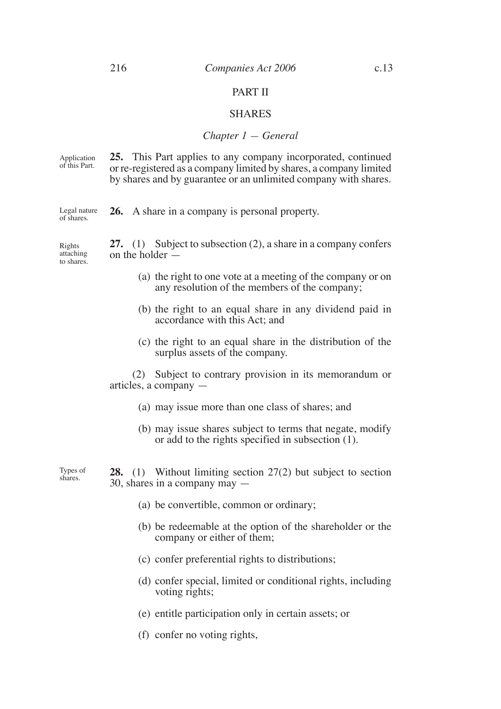shares.

#### PART II

#### SHARES

#### *Chapter 1 — General*

**25.** This Part applies to any company incorporated, continued or re-registered as a company limited by shares, a company limited by shares and by guarantee or an unlimited company with shares. Application of this Part.

**26.** A share in a company is personal property. Legal nature of shares.

**27.** (1) Subject to subsection (2), a share in a company confers on the holder — Rights attaching to shares.

- (a) the right to one vote at a meeting of the company or on any resolution of the members of the company;
- (b) the right to an equal share in any dividend paid in accordance with this Act; and
- (c) the right to an equal share in the distribution of the surplus assets of the company.

(2) Subject to contrary provision in its memorandum or articles, a company —

- (a) may issue more than one class of shares; and
- (b) may issue shares subject to terms that negate, modify or add to the rights specified in subsection (1).

**28.** (1) Without limiting section 27(2) but subject to section 30, shares in a company may — Types of

- (a) be convertible, common or ordinary;
- (b) be redeemable at the option of the shareholder or the company or either of them;
- (c) confer preferential rights to distributions;
- (d) confer special, limited or conditional rights, including voting rights;
- (e) entitle participation only in certain assets; or
- (f) confer no voting rights,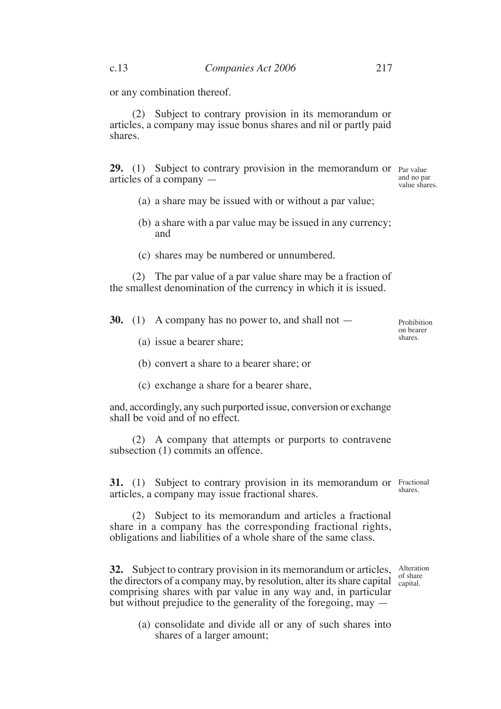(2) Subject to contrary provision in its memorandum or articles, a company may issue bonus shares and nil or partly paid shares.

**29.** (1) Subject to contrary provision in the memorandum or Par value articles of a company —

and no par value shares.

- (a) a share may be issued with or without a par value;
- (b) a share with a par value may be issued in any currency; and
- (c) shares may be numbered or unnumbered.

(2) The par value of a par value share may be a fraction of the smallest denomination of the currency in which it is issued.

**30.** (1) A company has no power to, and shall not —

Prohibition on bearer shares.

- (a) issue a bearer share;
- (b) convert a share to a bearer share; or
- (c) exchange a share for a bearer share,

and, accordingly, any such purported issue, conversion or exchange shall be void and of no effect.

(2) A company that attempts or purports to contravene subsection (1) commits an offence.

**31.** (1) Subject to contrary provision in its memorandum or Fractional articles, a company may issue fractional shares. shares.

(2) Subject to its memorandum and articles a fractional share in a company has the corresponding fractional rights, obligations and liabilities of a whole share of the same class.

**32.** Subject to contrary provision in its memorandum or articles, Alteration the directors of a company may, by resolution, alter its share capital capital. comprising shares with par value in any way and, in particular but without prejudice to the generality of the foregoing, may capital.

(a) consolidate and divide all or any of such shares into shares of a larger amount;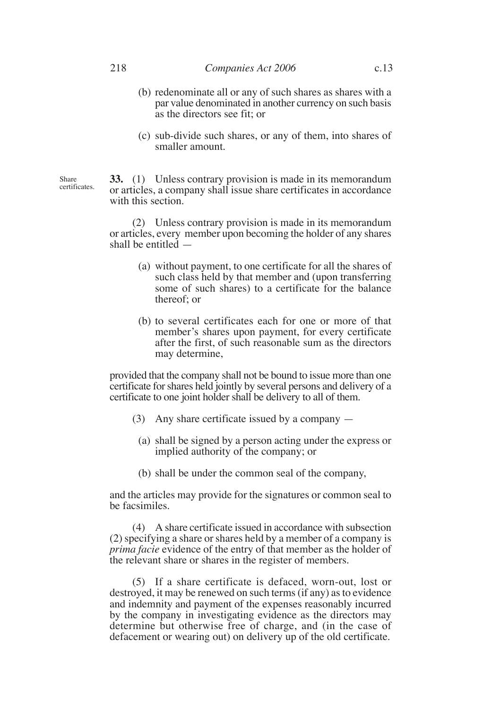- (b) redenominate all or any of such shares as shares with a par value denominated in another currency on such basis as the directors see fit; or
- (c) sub-divide such shares, or any of them, into shares of smaller amount.

**33.** (1) Unless contrary provision is made in its memorandum or articles, a company shall issue share certificates in accordance with this section.

(2) Unless contrary provision is made in its memorandum or articles, every member upon becoming the holder of any shares shall be entitled —

- (a) without payment, to one certificate for all the shares of such class held by that member and (upon transferring some of such shares) to a certificate for the balance thereof; or
- (b) to several certificates each for one or more of that member's shares upon payment, for every certificate after the first, of such reasonable sum as the directors may determine,

provided that the company shall not be bound to issue more than one certificate for shares held jointly by several persons and delivery of a certificate to one joint holder shall be delivery to all of them.

- (3) Any share certificate issued by a company
	- (a) shall be signed by a person acting under the express or implied authority of the company; or
	- (b) shall be under the common seal of the company,

and the articles may provide for the signatures or common seal to be facsimiles.

(4) A share certificate issued in accordance with subsection (2) specifying a share or shares held by a member of a company is *prima facie* evidence of the entry of that member as the holder of the relevant share or shares in the register of members.

(5) If a share certificate is defaced, worn-out, lost or destroyed, it may be renewed on such terms (if any) as to evidence and indemnity and payment of the expenses reasonably incurred by the company in investigating evidence as the directors may determine but otherwise free of charge, and (in the case of defacement or wearing out) on delivery up of the old certificate.

Share certificates.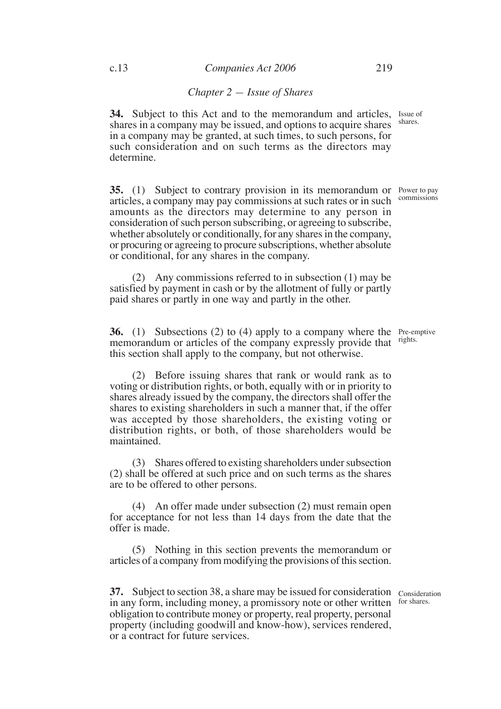#### *Chapter 2 — Issue of Shares*

**34.** Subject to this Act and to the memorandum and articles, Issue of shares in a company may be issued, and options to acquire shares in a company may be granted, at such times, to such persons, for such consideration and on such terms as the directors may determine. shares.

**35.** (1) Subject to contrary provision in its memorandum or Power to pay articles, a company may pay commissions at such rates or in such amounts as the directors may determine to any person in consideration of such person subscribing, or agreeing to subscribe, whether absolutely or conditionally, for any shares in the company, or procuring or agreeing to procure subscriptions, whether absolute or conditional, for any shares in the company. commissions

(2) Any commissions referred to in subsection (1) may be satisfied by payment in cash or by the allotment of fully or partly paid shares or partly in one way and partly in the other.

**36.** (1) Subsections (2) to (4) apply to a company where the Pre-emptive memorandum or articles of the company expressly provide that rights. this section shall apply to the company, but not otherwise.

(2) Before issuing shares that rank or would rank as to voting or distribution rights, or both, equally with or in priority to shares already issued by the company, the directors shall offer the shares to existing shareholders in such a manner that, if the offer was accepted by those shareholders, the existing voting or distribution rights, or both, of those shareholders would be maintained.

(3) Shares offered to existing shareholders under subsection (2) shall be offered at such price and on such terms as the shares are to be offered to other persons.

(4) An offer made under subsection (2) must remain open for acceptance for not less than 14 days from the date that the offer is made.

(5) Nothing in this section prevents the memorandum or articles of a company from modifying the provisions of this section.

**37.** Subject to section 38, a share may be issued for consideration consideration in any form, including money, a promissory note or other written obligation to contribute money or property, real property, personal property (including goodwill and know-how), services rendered, or a contract for future services.

for shares.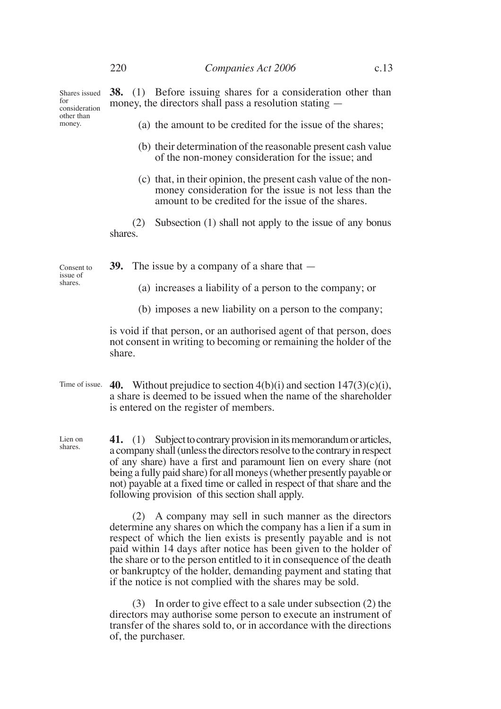Shares issued for consideration other than money.

**38.** (1) Before issuing shares for a consideration other than money, the directors shall pass a resolution stating —

- (a) the amount to be credited for the issue of the shares;
- (b) their determination of the reasonable present cash value of the non-money consideration for the issue; and
- (c) that, in their opinion, the present cash value of the nonmoney consideration for the issue is not less than the amount to be credited for the issue of the shares.

(2) Subsection (1) shall not apply to the issue of any bonus shares.

Consent to issue of shares.

- **39.** The issue by a company of a share that
	- (a) increases a liability of a person to the company; or
	- (b) imposes a new liability on a person to the company;

is void if that person, or an authorised agent of that person, does not consent in writing to becoming or remaining the holder of the share.

- Time of issue.  $\bullet$  **40.** Without prejudice to section 4(b)(i) and section 147(3)(c)(i), a share is deemed to be issued when the name of the shareholder is entered on the register of members.
- **41.** (1) Subject to contrary provision in its memorandum or articles, a company shall (unless the directors resolve to the contrary in respect of any share) have a first and paramount lien on every share (not being a fully paid share) for all moneys (whether presently payable or not) payable at a fixed time or called in respect of that share and the following provision of this section shall apply. Lien on shares.

(2) A company may sell in such manner as the directors determine any shares on which the company has a lien if a sum in respect of which the lien exists is presently payable and is not paid within 14 days after notice has been given to the holder of the share or to the person entitled to it in consequence of the death or bankruptcy of the holder, demanding payment and stating that if the notice is not complied with the shares may be sold.

(3) In order to give effect to a sale under subsection (2) the directors may authorise some person to execute an instrument of transfer of the shares sold to, or in accordance with the directions of, the purchaser.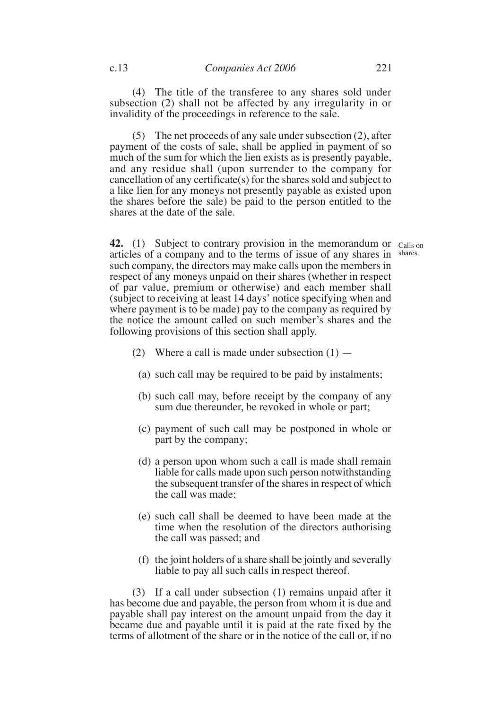(4) The title of the transferee to any shares sold under subsection (2) shall not be affected by any irregularity in or invalidity of the proceedings in reference to the sale.

(5) The net proceeds of any sale under subsection (2), after payment of the costs of sale, shall be applied in payment of so much of the sum for which the lien exists as is presently payable, and any residue shall (upon surrender to the company for cancellation of any certificate(s) for the shares sold and subject to a like lien for any moneys not presently payable as existed upon the shares before the sale) be paid to the person entitled to the shares at the date of the sale.

**42.** (1) Subject to contrary provision in the memorandum or calls on articles of a company and to the terms of issue of any shares in shares.such company, the directors may make calls upon the members in respect of any moneys unpaid on their shares (whether in respect of par value, premium or otherwise) and each member shall (subject to receiving at least 14 days' notice specifying when and where payment is to be made) pay to the company as required by the notice the amount called on such member's shares and the following provisions of this section shall apply.

- (2) Where a call is made under subsection  $(1)$ 
	- (a) such call may be required to be paid by instalments;
	- (b) such call may, before receipt by the company of any sum due thereunder, be revoked in whole or part;
	- (c) payment of such call may be postponed in whole or part by the company;
	- (d) a person upon whom such a call is made shall remain liable for calls made upon such person notwithstanding the subsequent transfer of the shares in respect of which the call was made;
	- (e) such call shall be deemed to have been made at the time when the resolution of the directors authorising the call was passed; and
	- (f) the joint holders of a share shall be jointly and severally liable to pay all such calls in respect thereof.

(3) If a call under subsection (1) remains unpaid after it has become due and payable, the person from whom it is due and payable shall pay interest on the amount unpaid from the day it became due and payable until it is paid at the rate fixed by the terms of allotment of the share or in the notice of the call or, if no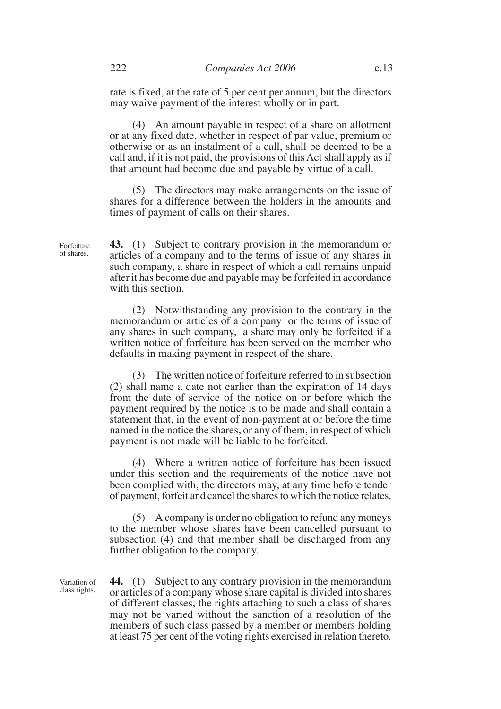rate is fixed, at the rate of 5 per cent per annum, but the directors may waive payment of the interest wholly or in part.

(4) An amount payable in respect of a share on allotment or at any fixed date, whether in respect of par value, premium or otherwise or as an instalment of a call, shall be deemed to be a call and, if it is not paid, the provisions of this Act shall apply as if that amount had become due and payable by virtue of a call.

(5) The directors may make arrangements on the issue of shares for a difference between the holders in the amounts and times of payment of calls on their shares.

**43.** (1) Subject to contrary provision in the memorandum or articles of a company and to the terms of issue of any shares in such company, a share in respect of which a call remains unpaid after it has become due and payable may be forfeited in accordance with this section.

(2) Notwithstanding any provision to the contrary in the memorandum or articles of a company or the terms of issue of any shares in such company, a share may only be forfeited if a written notice of forfeiture has been served on the member who defaults in making payment in respect of the share.

(3) The written notice of forfeiture referred to in subsection (2) shall name a date not earlier than the expiration of 14 days from the date of service of the notice on or before which the payment required by the notice is to be made and shall contain a statement that, in the event of non-payment at or before the time named in the notice the shares, or any of them, in respect of which payment is not made will be liable to be forfeited.

(4) Where a written notice of forfeiture has been issued under this section and the requirements of the notice have not been complied with, the directors may, at any time before tender of payment, forfeit and cancel the shares to which the notice relates.

(5) A company is under no obligation to refund any moneys to the member whose shares have been cancelled pursuant to subsection (4) and that member shall be discharged from any further obligation to the company.

**44.** (1) Subject to any contrary provision in the memorandum or articles of a company whose share capital is divided into shares of different classes, the rights attaching to such a class of shares may not be varied without the sanction of a resolution of the members of such class passed by a member or members holding at least 75 per cent of the voting rights exercised in relation thereto. Variation of class rights.

Forfeiture of shares.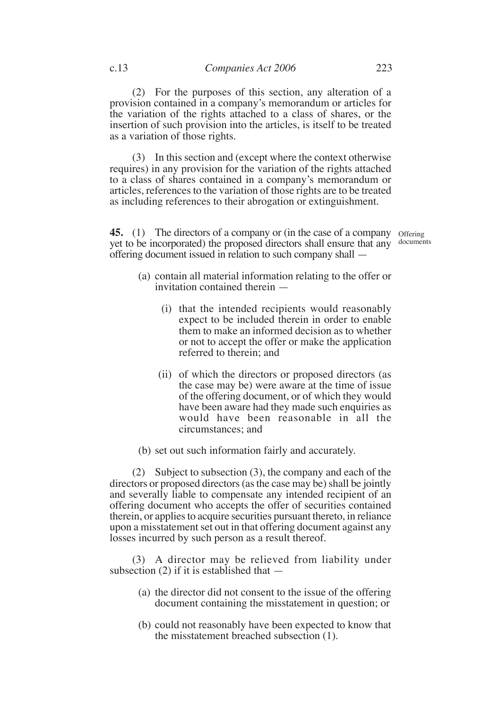(2) For the purposes of this section, any alteration of a provision contained in a company's memorandum or articles for the variation of the rights attached to a class of shares, or the insertion of such provision into the articles, is itself to be treated as a variation of those rights.

(3) In this section and (except where the context otherwise requires) in any provision for the variation of the rights attached to a class of shares contained in a company's memorandum or articles, references to the variation of those rights are to be treated as including references to their abrogation or extinguishment.

**45.** (1) The directors of a company or (in the case of a company offering yet to be incorporated) the proposed directors shall ensure that any documentsoffering document issued in relation to such company shall —

- (a) contain all material information relating to the offer or invitation contained therein —
	- (i) that the intended recipients would reasonably expect to be included therein in order to enable them to make an informed decision as to whether or not to accept the offer or make the application referred to therein; and
	- (ii) of which the directors or proposed directors (as the case may be) were aware at the time of issue of the offering document, or of which they would have been aware had they made such enquiries as would have been reasonable in all the circumstances; and
- (b) set out such information fairly and accurately.

(2) Subject to subsection (3), the company and each of the directors or proposed directors (as the case may be) shall be jointly and severally liable to compensate any intended recipient of an offering document who accepts the offer of securities contained therein, or applies to acquire securities pursuant thereto, in reliance upon a misstatement set out in that offering document against any losses incurred by such person as a result thereof.

(3) A director may be relieved from liability under subsection  $(2)$  if it is established that  $-$ 

- (a) the director did not consent to the issue of the offering document containing the misstatement in question; or
- (b) could not reasonably have been expected to know that the misstatement breached subsection (1).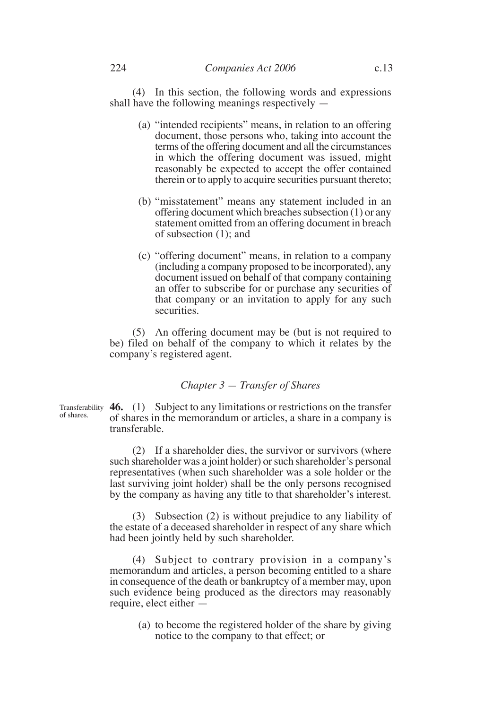(4) In this section, the following words and expressions shall have the following meanings respectively —

- (a) "intended recipients" means, in relation to an offering document, those persons who, taking into account the terms of the offering document and all the circumstances in which the offering document was issued, might reasonably be expected to accept the offer contained therein or to apply to acquire securities pursuant thereto;
- (b) "misstatement" means any statement included in an offering document which breaches subsection (1) or any statement omitted from an offering document in breach of subsection (1); and
- (c) "offering document" means, in relation to a company (including a company proposed to be incorporated), any document issued on behalf of that company containing an offer to subscribe for or purchase any securities of that company or an invitation to apply for any such securities.

(5) An offering document may be (but is not required to be) filed on behalf of the company to which it relates by the company's registered agent.

#### *Chapter 3 — Transfer of Shares*

Transferability **46.** (1) Subject to any limitations or restrictions on the transfer of shares in the memorandum or articles, a share in a company is transferable. of shares.

> (2) If a shareholder dies, the survivor or survivors (where such shareholder was a joint holder) or such shareholder's personal representatives (when such shareholder was a sole holder or the last surviving joint holder) shall be the only persons recognised by the company as having any title to that shareholder's interest.

> (3) Subsection (2) is without prejudice to any liability of the estate of a deceased shareholder in respect of any share which had been jointly held by such shareholder.

> (4) Subject to contrary provision in a company's memorandum and articles, a person becoming entitled to a share in consequence of the death or bankruptcy of a member may, upon such evidence being produced as the directors may reasonably require, elect either —

(a) to become the registered holder of the share by giving notice to the company to that effect; or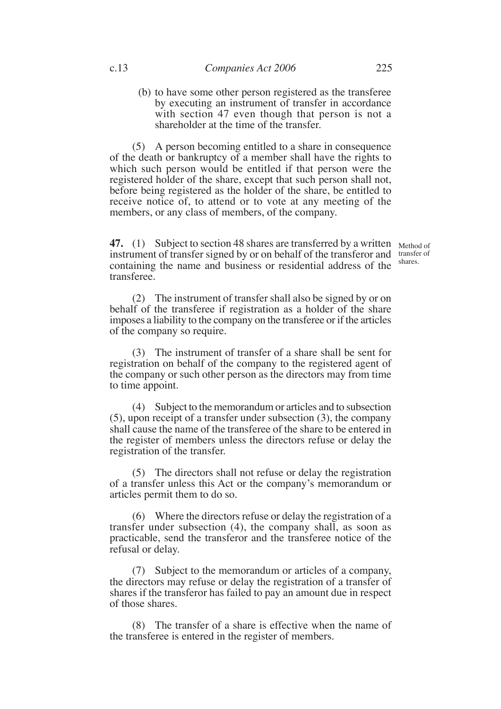(b) to have some other person registered as the transferee by executing an instrument of transfer in accordance with section 47 even though that person is not a shareholder at the time of the transfer.

(5) A person becoming entitled to a share in consequence of the death or bankruptcy of a member shall have the rights to which such person would be entitled if that person were the registered holder of the share, except that such person shall not, before being registered as the holder of the share, be entitled to receive notice of, to attend or to vote at any meeting of the members, or any class of members, of the company.

**47.** (1) Subject to section 48 shares are transferred by a written Method of instrument of transfer signed by or on behalf of the transferor and containing the name and business or residential address of the transferee.

transfer of shares.

(2) The instrument of transfer shall also be signed by or on behalf of the transferee if registration as a holder of the share imposes a liability to the company on the transferee or if the articles of the company so require.

(3) The instrument of transfer of a share shall be sent for registration on behalf of the company to the registered agent of the company or such other person as the directors may from time to time appoint.

(4) Subject to the memorandum or articles and to subsection (5), upon receipt of a transfer under subsection (3), the company shall cause the name of the transferee of the share to be entered in the register of members unless the directors refuse or delay the registration of the transfer.

(5) The directors shall not refuse or delay the registration of a transfer unless this Act or the company's memorandum or articles permit them to do so.

(6) Where the directors refuse or delay the registration of a transfer under subsection (4), the company shall, as soon as practicable, send the transferor and the transferee notice of the refusal or delay.

(7) Subject to the memorandum or articles of a company, the directors may refuse or delay the registration of a transfer of shares if the transferor has failed to pay an amount due in respect of those shares.

(8) The transfer of a share is effective when the name of the transferee is entered in the register of members.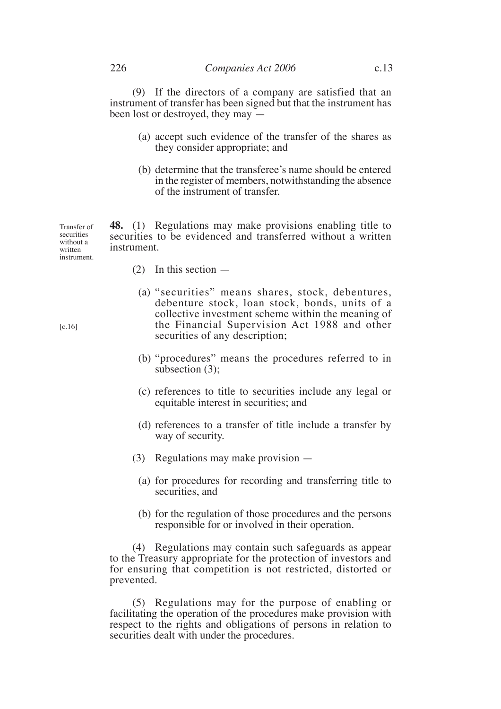(9) If the directors of a company are satisfied that an instrument of transfer has been signed but that the instrument has been lost or destroyed, they may —

- (a) accept such evidence of the transfer of the shares as they consider appropriate; and
- (b) determine that the transferee's name should be entered in the register of members, notwithstanding the absence of the instrument of transfer.

**48.** (1) Regulations may make provisions enabling title to securities to be evidenced and transferred without a written instrument. Transfer of securities without a written instrument.

- (2) In this section
	- (a) "securities" means shares, stock, debentures, debenture stock, loan stock, bonds, units of a collective investment scheme within the meaning of the Financial Supervision Act 1988 and other securities of any description;
	- (b) "procedures" means the procedures referred to in subsection (3):
	- (c) references to title to securities include any legal or equitable interest in securities; and
	- (d) references to a transfer of title include a transfer by way of security.
- (3) Regulations may make provision
	- (a) for procedures for recording and transferring title to securities, and
	- (b) for the regulation of those procedures and the persons responsible for or involved in their operation.

(4) Regulations may contain such safeguards as appear to the Treasury appropriate for the protection of investors and for ensuring that competition is not restricted, distorted or prevented.

(5) Regulations may for the purpose of enabling or facilitating the operation of the procedures make provision with respect to the rights and obligations of persons in relation to securities dealt with under the procedures.

 $[c.16]$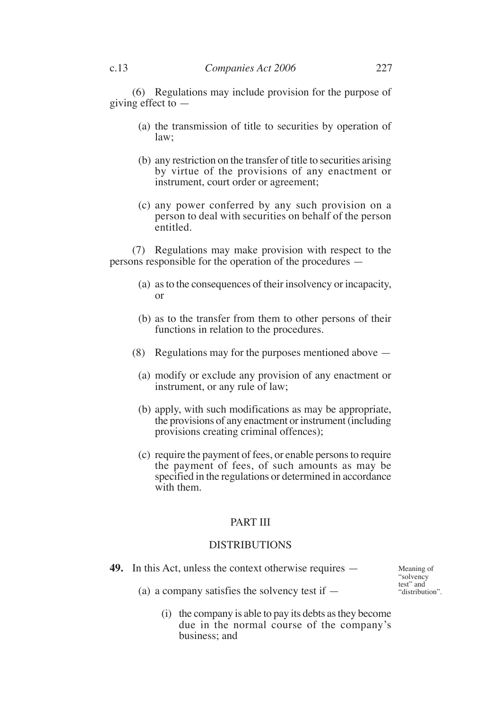(6) Regulations may include provision for the purpose of giving effect to —

- (a) the transmission of title to securities by operation of law;
- (b) any restriction on the transfer of title to securities arising by virtue of the provisions of any enactment or instrument, court order or agreement;
- (c) any power conferred by any such provision on a person to deal with securities on behalf of the person entitled.

(7) Regulations may make provision with respect to the persons responsible for the operation of the procedures —

- (a) as to the consequences of their insolvency or incapacity, or
- (b) as to the transfer from them to other persons of their functions in relation to the procedures.
- (8) Regulations may for the purposes mentioned above
	- (a) modify or exclude any provision of any enactment or instrument, or any rule of law;
	- (b) apply, with such modifications as may be appropriate, the provisions of any enactment or instrument (including provisions creating criminal offences);
	- (c) require the payment of fees, or enable persons to require the payment of fees, of such amounts as may be specified in the regulations or determined in accordance with them.

# PART III

## DISTRIBUTIONS

**49.** In this Act, unless the context otherwise requires —

Meaning of "solvency test" and "distribution".

(a) a company satisfies the solvency test if  $-$ 

(i) the company is able to pay its debts as they become due in the normal course of the company's business; and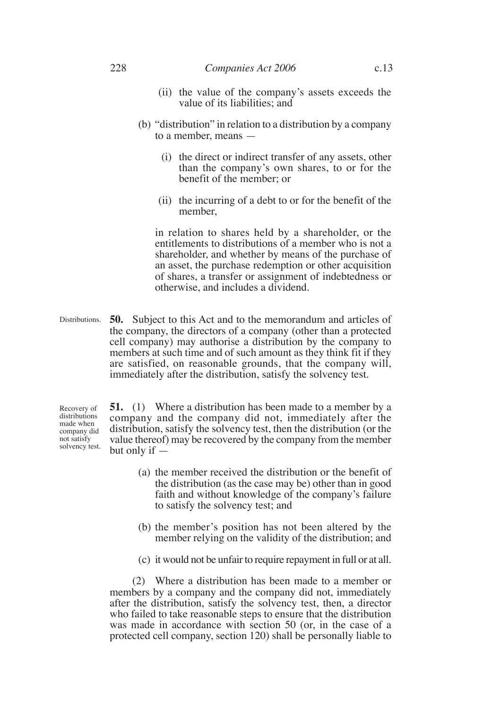#### 228 *Companies Act 2006* c.13

- (ii) the value of the company's assets exceeds the value of its liabilities; and
- (b) "distribution" in relation to a distribution by a company to a member, means —
	- (i) the direct or indirect transfer of any assets, other than the company's own shares, to or for the benefit of the member; or
	- (ii) the incurring of a debt to or for the benefit of the member,

in relation to shares held by a shareholder, or the entitlements to distributions of a member who is not a shareholder, and whether by means of the purchase of an asset, the purchase redemption or other acquisition of shares, a transfer or assignment of indebtedness or otherwise, and includes a dividend.

**50.** Subject to this Act and to the memorandum and articles of the company, the directors of a company (other than a protected cell company) may authorise a distribution by the company to members at such time and of such amount as they think fit if they are satisfied, on reasonable grounds, that the company will, immediately after the distribution, satisfy the solvency test. Distributions.

**51.** (1) Where a distribution has been made to a member by a company and the company did not, immediately after the distribution, satisfy the solvency test, then the distribution (or the value thereof) may be recovered by the company from the member but only if — Recovery of distributions made when company did not satisfy solvency test.

- (a) the member received the distribution or the benefit of the distribution (as the case may be) other than in good faith and without knowledge of the company's failure to satisfy the solvency test; and
- (b) the member's position has not been altered by the member relying on the validity of the distribution; and
- (c) it would not be unfair to require repayment in full or at all.

(2) Where a distribution has been made to a member or members by a company and the company did not, immediately after the distribution, satisfy the solvency test, then, a director who failed to take reasonable steps to ensure that the distribution was made in accordance with section 50 (or, in the case of a protected cell company, section 120) shall be personally liable to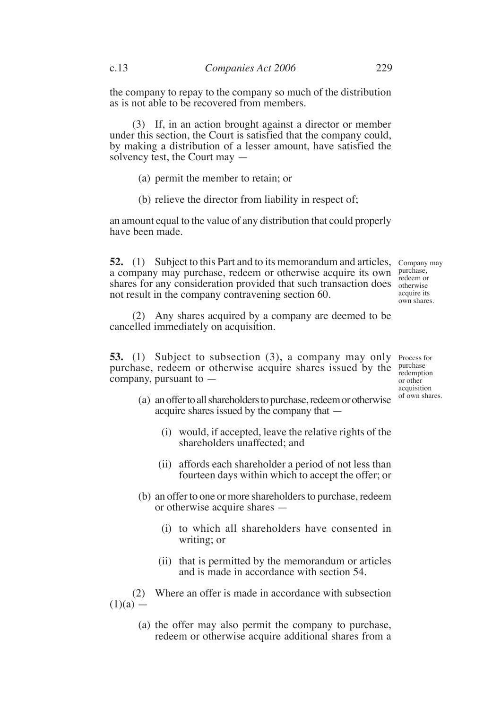the company to repay to the company so much of the distribution as is not able to be recovered from members.

(3) If, in an action brought against a director or member under this section, the Court is satisfied that the company could, by making a distribution of a lesser amount, have satisfied the solvency test, the Court may —

- (a) permit the member to retain; or
- (b) relieve the director from liability in respect of;

an amount equal to the value of any distribution that could properly have been made.

**52.** (1) Subject to this Part and to its memorandum and articles, Company may a company may purchase, redeem or otherwise acquire its own shares for any consideration provided that such transaction does otherwise not result in the company contravening section 60.

purchase, redeem or acquire its own shares.

(2) Any shares acquired by a company are deemed to be cancelled immediately on acquisition.

**53.** (1) Subject to subsection (3), a company may only Process for purchase, redeem or otherwise acquire shares issued by the company, pursuant to —

purchase redemption or other acquisition of own shares.

- (a) an offer to all shareholders to purchase, redeem or otherwise acquire shares issued by the company that —
	- (i) would, if accepted, leave the relative rights of the shareholders unaffected; and
	- (ii) affords each shareholder a period of not less than fourteen days within which to accept the offer; or
- (b) an offer to one or more shareholders to purchase, redeem or otherwise acquire shares —
	- (i) to which all shareholders have consented in writing; or
	- (ii) that is permitted by the memorandum or articles and is made in accordance with section 54.

(2) Where an offer is made in accordance with subsection  $(1)(a)$  —

> (a) the offer may also permit the company to purchase, redeem or otherwise acquire additional shares from a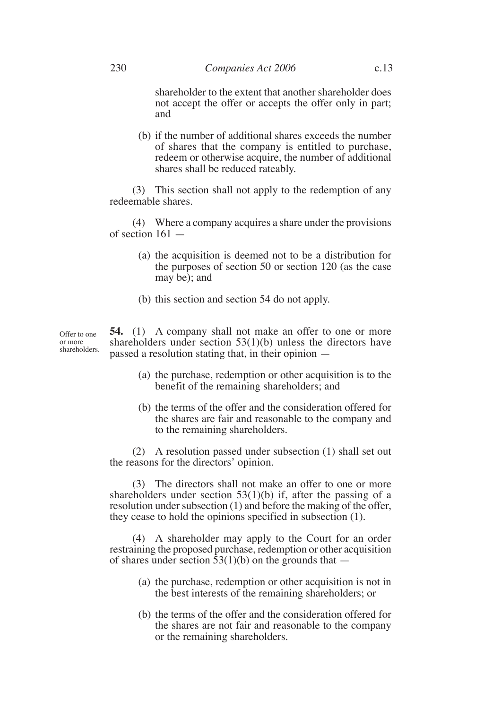shareholder to the extent that another shareholder does not accept the offer or accepts the offer only in part; and

(b) if the number of additional shares exceeds the number of shares that the company is entitled to purchase, redeem or otherwise acquire, the number of additional shares shall be reduced rateably.

(3) This section shall not apply to the redemption of any redeemable shares.

(4) Where a company acquires a share under the provisions of section 161 —

- (a) the acquisition is deemed not to be a distribution for the purposes of section 50 or section 120 (as the case may be); and
- (b) this section and section 54 do not apply.

**54.** (1) A company shall not make an offer to one or more shareholders under section 53(1)(b) unless the directors have passed a resolution stating that, in their opinion shareholders.

- (a) the purchase, redemption or other acquisition is to the benefit of the remaining shareholders; and
- (b) the terms of the offer and the consideration offered for the shares are fair and reasonable to the company and to the remaining shareholders.

(2) A resolution passed under subsection (1) shall set out the reasons for the directors' opinion.

(3) The directors shall not make an offer to one or more shareholders under section 53(1)(b) if, after the passing of a resolution under subsection (1) and before the making of the offer, they cease to hold the opinions specified in subsection (1).

(4) A shareholder may apply to the Court for an order restraining the proposed purchase, redemption or other acquisition of shares under section  $53(1)(b)$  on the grounds that  $-$ 

- (a) the purchase, redemption or other acquisition is not in the best interests of the remaining shareholders; or
- (b) the terms of the offer and the consideration offered for the shares are not fair and reasonable to the company or the remaining shareholders.

Offer to one or more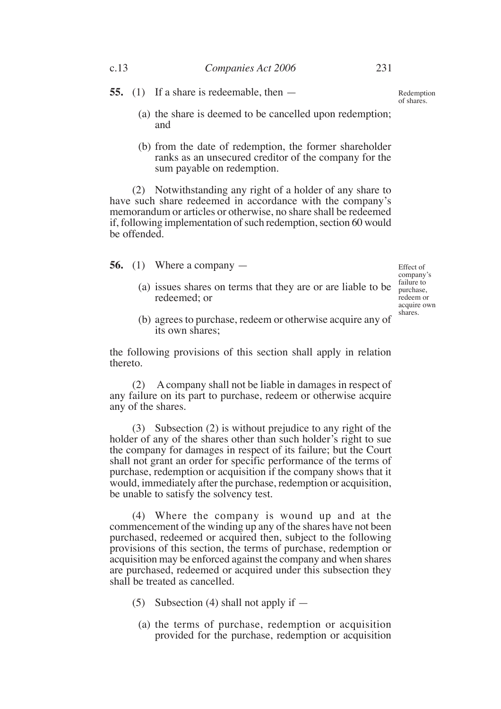**55.** (1) If a share is redeemable, then —

Redemption of shares.

- (a) the share is deemed to be cancelled upon redemption; and
- (b) from the date of redemption, the former shareholder ranks as an unsecured creditor of the company for the sum payable on redemption.

(2) Notwithstanding any right of a holder of any share to have such share redeemed in accordance with the company's memorandum or articles or otherwise, no share shall be redeemed if, following implementation of such redemption, section 60 would be offended.

**56.** (1) Where a company —

(a) issues shares on terms that they are or are liable to be redeemed; or

Effect of company's failure to purchase, redeem or acquire own shares.

(b) agrees to purchase, redeem or otherwise acquire any of its own shares;

the following provisions of this section shall apply in relation thereto.

(2) A company shall not be liable in damages in respect of any failure on its part to purchase, redeem or otherwise acquire any of the shares.

(3) Subsection (2) is without prejudice to any right of the holder of any of the shares other than such holder's right to sue the company for damages in respect of its failure; but the Court shall not grant an order for specific performance of the terms of purchase, redemption or acquisition if the company shows that it would, immediately after the purchase, redemption or acquisition, be unable to satisfy the solvency test.

(4) Where the company is wound up and at the commencement of the winding up any of the shares have not been purchased, redeemed or acquired then, subject to the following provisions of this section, the terms of purchase, redemption or acquisition may be enforced against the company and when shares are purchased, redeemed or acquired under this subsection they shall be treated as cancelled.

- (5) Subsection (4) shall not apply if  $-$ 
	- (a) the terms of purchase, redemption or acquisition provided for the purchase, redemption or acquisition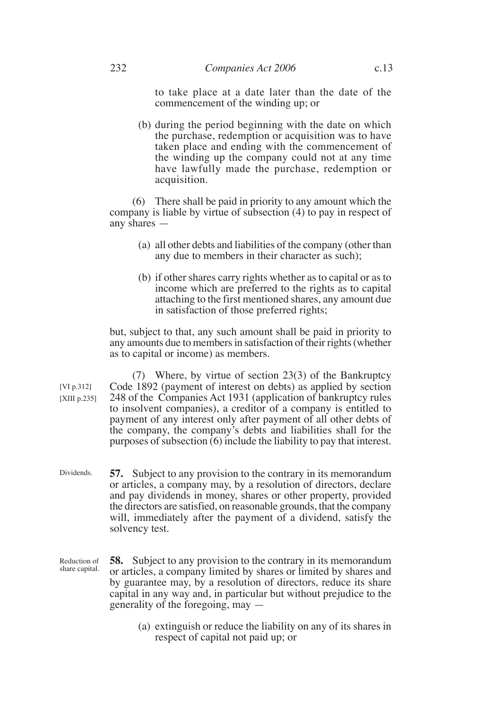to take place at a date later than the date of the commencement of the winding up; or

(b) during the period beginning with the date on which the purchase, redemption or acquisition was to have taken place and ending with the commencement of the winding up the company could not at any time have lawfully made the purchase, redemption or acquisition.

(6) There shall be paid in priority to any amount which the company is liable by virtue of subsection (4) to pay in respect of any shares —

- (a) all other debts and liabilities of the company (other than any due to members in their character as such);
- (b) if other shares carry rights whether as to capital or as to income which are preferred to the rights as to capital attaching to the first mentioned shares, any amount due in satisfaction of those preferred rights;

but, subject to that, any such amount shall be paid in priority to any amounts due to members in satisfaction of their rights (whether as to capital or income) as members.

(7) Where, by virtue of section 23(3) of the Bankruptcy Code 1892 (payment of interest on debts) as applied by section 248 of the Companies Act 1931 (application of bankruptcy rules to insolvent companies), a creditor of a company is entitled to payment of any interest only after payment of all other debts of the company, the company's debts and liabilities shall for the purposes of subsection  $\overline{(6)}$  include the liability to pay that interest. [VI p.312] [XIII p.235]

- **57.** Subject to any provision to the contrary in its memorandum or articles, a company may, by a resolution of directors, declare and pay dividends in money, shares or other property, provided the directors are satisfied, on reasonable grounds, that the company will, immediately after the payment of a dividend, satisfy the solvency test. Dividends.
- **58.** Subject to any provision to the contrary in its memorandum or articles, a company limited by shares or limited by shares and by guarantee may, by a resolution of directors, reduce its share capital in any way and, in particular but without prejudice to the generality of the foregoing, may — Reduction of share capital.
	- (a) extinguish or reduce the liability on any of its shares in respect of capital not paid up; or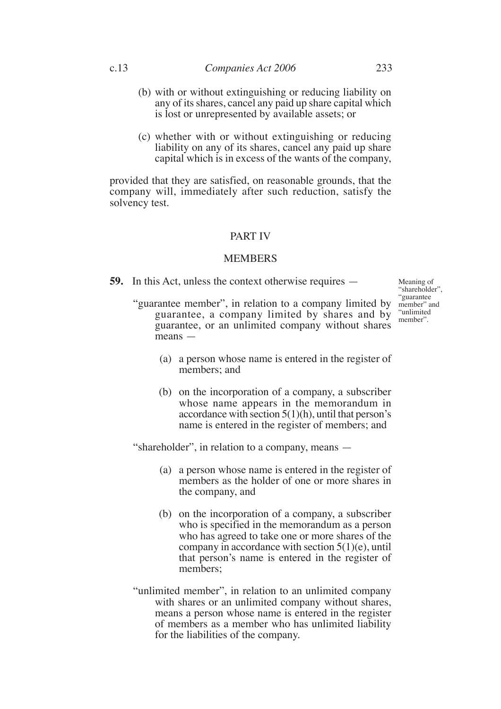- (b) with or without extinguishing or reducing liability on any of its shares, cancel any paid up share capital which is lost or unrepresented by available assets; or
- (c) whether with or without extinguishing or reducing liability on any of its shares, cancel any paid up share capital which is in excess of the wants of the company,

provided that they are satisfied, on reasonable grounds, that the company will, immediately after such reduction, satisfy the solvency test.

## PART IV

## **MEMBERS**

**59.** In this Act, unless the context otherwise requires —

Meaning of "shareholder", "guarantee member" and "unlimited member".

- "guarantee member", in relation to a company limited by guarantee, a company limited by shares and by guarantee, or an unlimited company without shares means —
	- (a) a person whose name is entered in the register of members; and
	- (b) on the incorporation of a company, a subscriber whose name appears in the memorandum in accordance with section  $5(1)(h)$ , until that person's name is entered in the register of members; and

"shareholder", in relation to a company, means —

- (a) a person whose name is entered in the register of members as the holder of one or more shares in the company, and
- (b) on the incorporation of a company, a subscriber who is specified in the memorandum as a person who has agreed to take one or more shares of the company in accordance with section  $5(1)(e)$ , until that person's name is entered in the register of members:
- "unlimited member", in relation to an unlimited company with shares or an unlimited company without shares, means a person whose name is entered in the register of members as a member who has unlimited liability for the liabilities of the company.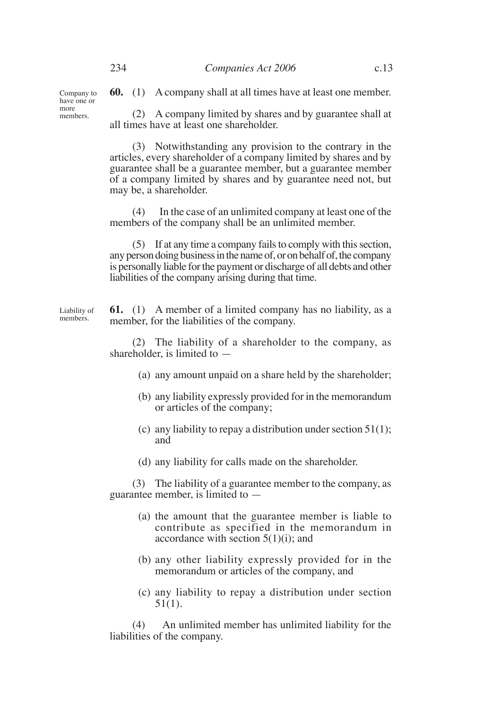**60.** (1) A company shall at all times have at least one member.

(2) A company limited by shares and by guarantee shall at all times have at least one shareholder.

(3) Notwithstanding any provision to the contrary in the articles, every shareholder of a company limited by shares and by guarantee shall be a guarantee member, but a guarantee member of a company limited by shares and by guarantee need not, but may be, a shareholder.

(4) In the case of an unlimited company at least one of the members of the company shall be an unlimited member.

(5) If at any time a company fails to comply with this section, any person doing business in the name of, or on behalf of, the company is personally liable for the payment or discharge of all debts and other liabilities of the company arising during that time.

**61.** (1) A member of a limited company has no liability, as a member, for the liabilities of the company.

(2) The liability of a shareholder to the company, as shareholder, is limited to —

- (a) any amount unpaid on a share held by the shareholder;
- (b) any liability expressly provided for in the memorandum or articles of the company;
- (c) any liability to repay a distribution under section  $51(1)$ ; and
- (d) any liability for calls made on the shareholder.

(3) The liability of a guarantee member to the company, as guarantee member, is limited to —

- (a) the amount that the guarantee member is liable to contribute as specified in the memorandum in accordance with section  $5(1)(i)$ ; and
- (b) any other liability expressly provided for in the memorandum or articles of the company, and
- (c) any liability to repay a distribution under section  $51(1)$ .

(4) An unlimited member has unlimited liability for the liabilities of the company.

Company to have one or more members.

Liability of members.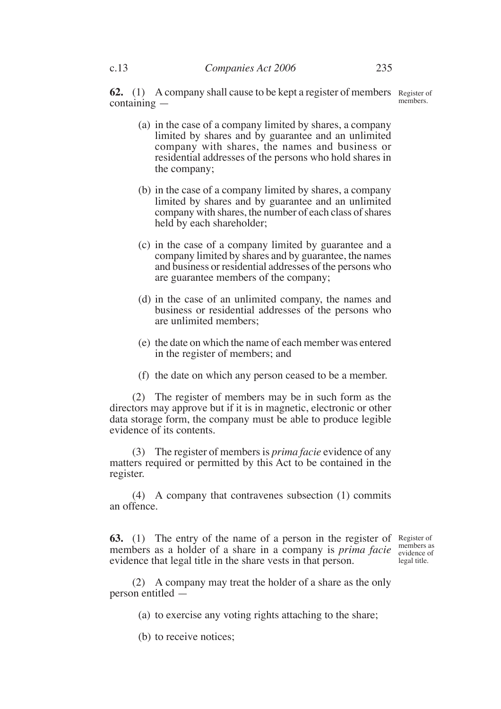**62.** (1) A company shall cause to be kept a register of members Register of containing members.

- (a) in the case of a company limited by shares, a company limited by shares and by guarantee and an unlimited company with shares, the names and business or residential addresses of the persons who hold shares in the company;
- (b) in the case of a company limited by shares, a company limited by shares and by guarantee and an unlimited company with shares, the number of each class of shares held by each shareholder;
- (c) in the case of a company limited by guarantee and a company limited by shares and by guarantee, the names and business or residential addresses of the persons who are guarantee members of the company;
- (d) in the case of an unlimited company, the names and business or residential addresses of the persons who are unlimited members;
- (e) the date on which the name of each member was entered in the register of members; and
- (f) the date on which any person ceased to be a member.

(2) The register of members may be in such form as the directors may approve but if it is in magnetic, electronic or other data storage form, the company must be able to produce legible evidence of its contents.

(3) The register of members is *prima facie* evidence of any matters required or permitted by this Act to be contained in the register.

(4) A company that contravenes subsection (1) commits an offence.

**63.** (1) The entry of the name of a person in the register of Register of members as a holder of a share in a company is *prima facie* numbers as evidence that legal title in the share vests in that person.

evidence of legal title.

(2) A company may treat the holder of a share as the only person entitled —

- (a) to exercise any voting rights attaching to the share;
- (b) to receive notices;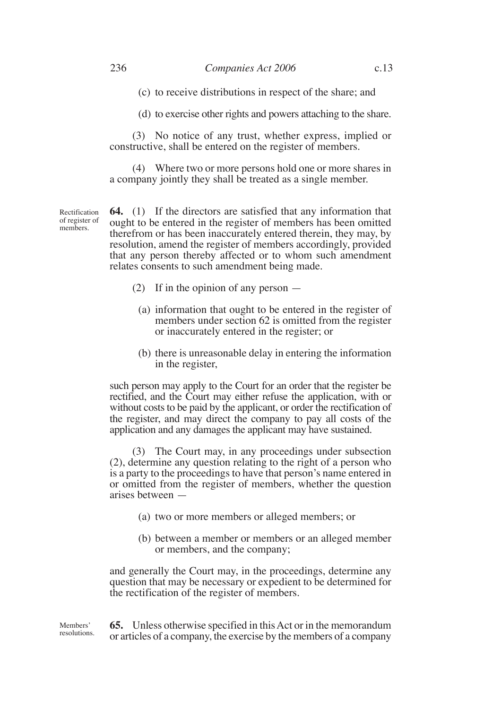(c) to receive distributions in respect of the share; and

(d) to exercise other rights and powers attaching to the share.

(3) No notice of any trust, whether express, implied or constructive, shall be entered on the register of members.

(4) Where two or more persons hold one or more shares in a company jointly they shall be treated as a single member.

Rectification of register of members.

**64.** (1) If the directors are satisfied that any information that ought to be entered in the register of members has been omitted therefrom or has been inaccurately entered therein, they may, by resolution, amend the register of members accordingly, provided that any person thereby affected or to whom such amendment relates consents to such amendment being made.

- (2) If in the opinion of any person
	- (a) information that ought to be entered in the register of members under section 62 is omitted from the register or inaccurately entered in the register; or
	- (b) there is unreasonable delay in entering the information in the register,

such person may apply to the Court for an order that the register be rectified, and the Court may either refuse the application, with or without costs to be paid by the applicant, or order the rectification of the register, and may direct the company to pay all costs of the application and any damages the applicant may have sustained.

(3) The Court may, in any proceedings under subsection (2), determine any question relating to the right of a person who is a party to the proceedings to have that person's name entered in or omitted from the register of members, whether the question arises between —

- (a) two or more members or alleged members; or
- (b) between a member or members or an alleged member or members, and the company;

and generally the Court may, in the proceedings, determine any question that may be necessary or expedient to be determined for the rectification of the register of members.

**65.** Unless otherwise specified in this Act or in the memorandum or articles of a company, the exercise by the members of a company Members' resolutions.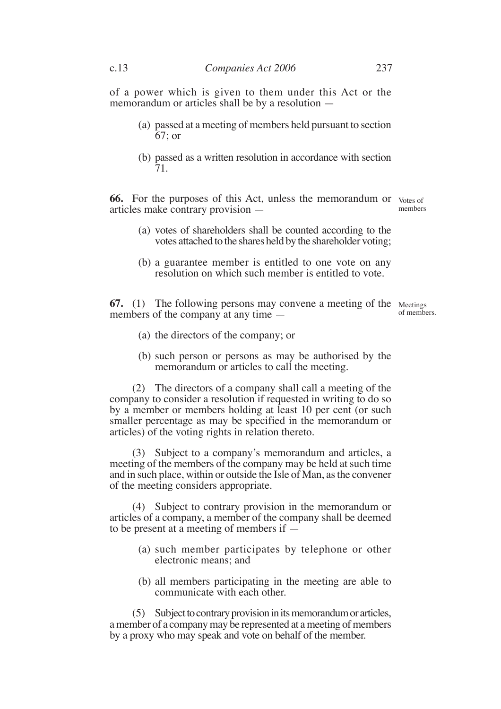of a power which is given to them under this Act or the memorandum or articles shall be by a resolution —

- (a) passed at a meeting of members held pursuant to section 67; or
- (b) passed as a written resolution in accordance with section 71.

**66.** For the purposes of this Act, unless the memorandum or votes of articles make contrary provision members

- (a) votes of shareholders shall be counted according to the votes attached to the shares held by the shareholder voting;
- (b) a guarantee member is entitled to one vote on any resolution on which such member is entitled to vote.

**67.** (1) The following persons may convene a meeting of the Meetings members of the company at any time —

of members.

- (a) the directors of the company; or
- (b) such person or persons as may be authorised by the memorandum or articles to call the meeting.

(2) The directors of a company shall call a meeting of the company to consider a resolution if requested in writing to do so by a member or members holding at least 10 per cent (or such smaller percentage as may be specified in the memorandum or articles) of the voting rights in relation thereto.

(3) Subject to a company's memorandum and articles, a meeting of the members of the company may be held at such time and in such place, within or outside the Isle of Man, as the convener of the meeting considers appropriate.

(4) Subject to contrary provision in the memorandum or articles of a company, a member of the company shall be deemed to be present at a meeting of members if —

- (a) such member participates by telephone or other electronic means; and
- (b) all members participating in the meeting are able to communicate with each other.

(5) Subject to contrary provision in its memorandum or articles, a member of a company may be represented at a meeting of members by a proxy who may speak and vote on behalf of the member.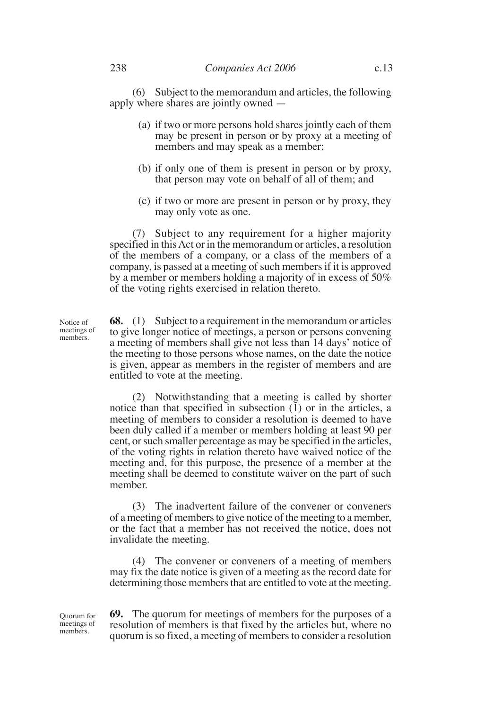(6) Subject to the memorandum and articles, the following apply where shares are jointly owned —

- (a) if two or more persons hold shares jointly each of them may be present in person or by proxy at a meeting of members and may speak as a member;
- (b) if only one of them is present in person or by proxy, that person may vote on behalf of all of them; and
- (c) if two or more are present in person or by proxy, they may only vote as one.

(7) Subject to any requirement for a higher majority specified in this Act or in the memorandum or articles, a resolution of the members of a company, or a class of the members of a company, is passed at a meeting of such members if it is approved by a member or members holding a majority of in excess of 50% of the voting rights exercised in relation thereto.

**68.** (1) Subject to a requirement in the memorandum or articles to give longer notice of meetings, a person or persons convening a meeting of members shall give not less than 14 days' notice of the meeting to those persons whose names, on the date the notice is given, appear as members in the register of members and are entitled to vote at the meeting.

(2) Notwithstanding that a meeting is called by shorter notice than that specified in subsection (1) or in the articles, a meeting of members to consider a resolution is deemed to have been duly called if a member or members holding at least 90 per cent, or such smaller percentage as may be specified in the articles, of the voting rights in relation thereto have waived notice of the meeting and, for this purpose, the presence of a member at the meeting shall be deemed to constitute waiver on the part of such member.

(3) The inadvertent failure of the convener or conveners of a meeting of members to give notice of the meeting to a member, or the fact that a member has not received the notice, does not invalidate the meeting.

(4) The convener or conveners of a meeting of members may fix the date notice is given of a meeting as the record date for determining those members that are entitled to vote at the meeting.

**69.** The quorum for meetings of members for the purposes of a resolution of members is that fixed by the articles but, where no quorum is so fixed, a meeting of members to consider a resolution

Notice of meetings of members.

Quorum for meetings of members.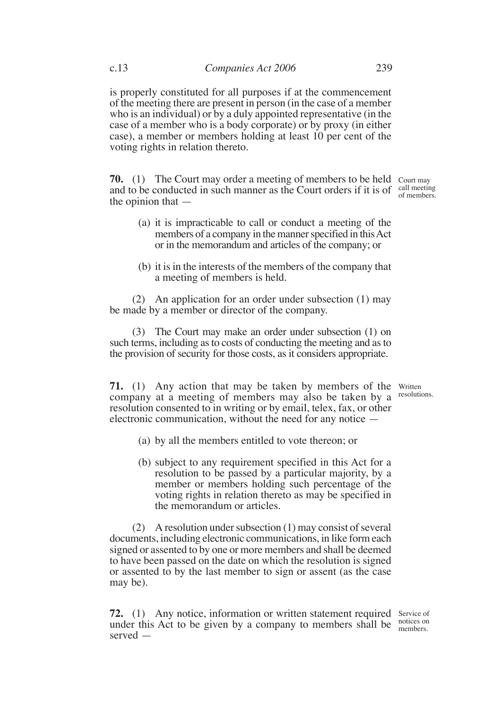is properly constituted for all purposes if at the commencement of the meeting there are present in person (in the case of a member who is an individual) or by a duly appointed representative (in the case of a member who is a body corporate) or by proxy (in either case), a member or members holding at least 10 per cent of the voting rights in relation thereto.

**70.** (1) The Court may order a meeting of members to be held Court may and to be conducted in such manner as the Court orders if it is of  $\frac{call \, meeting}{of \, members}$ the opinion that of members.

- (a) it is impracticable to call or conduct a meeting of the members of a company in the manner specified in this Act or in the memorandum and articles of the company; or
- (b) it is in the interests of the members of the company that a meeting of members is held.

(2) An application for an order under subsection (1) may be made by a member or director of the company.

(3) The Court may make an order under subsection (1) on such terms, including as to costs of conducting the meeting and as to the provision of security for those costs, as it considers appropriate.

**71.** (1) Any action that may be taken by members of the Written company at a meeting of members may also be taken by a resolutions. resolution consented to in writing or by email, telex, fax, or other electronic communication, without the need for any notice —

- (a) by all the members entitled to vote thereon; or
- (b) subject to any requirement specified in this Act for a resolution to be passed by a particular majority, by a member or members holding such percentage of the voting rights in relation thereto as may be specified in the memorandum or articles.

(2) A resolution under subsection (1) may consist of several documents, including electronic communications, in like form each signed or assented to by one or more members and shall be deemed to have been passed on the date on which the resolution is signed or assented to by the last member to sign or assent (as the case may be).

**72.** (1) Any notice, information or written statement required Service of under this Act to be given by a company to members shall be  $\frac{\text{notes on}}{\text{members}}$ served members.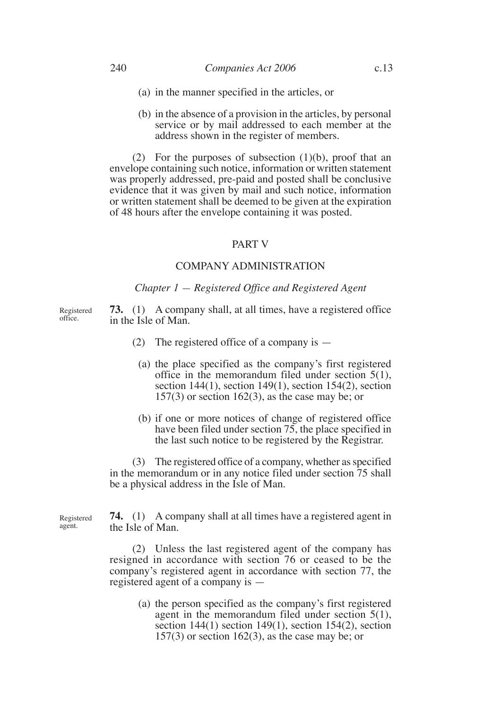- (a) in the manner specified in the articles, or
- (b) in the absence of a provision in the articles, by personal service or by mail addressed to each member at the address shown in the register of members.

(2) For the purposes of subsection  $(1)(b)$ , proof that an envelope containing such notice, information or written statement was properly addressed, pre-paid and posted shall be conclusive evidence that it was given by mail and such notice, information or written statement shall be deemed to be given at the expiration of 48 hours after the envelope containing it was posted.

## PART V

# COMPANY ADMINISTRATION

#### *Chapter 1 — Registered Office and Registered Agent*

**73.** (1) A company shall, at all times, have a registered office in the Isle of Man.

- (2) The registered office of a company is  $-$ 
	- (a) the place specified as the company's first registered office in the memorandum filed under section 5(1), section  $144(1)$ , section  $149(1)$ , section  $154(2)$ , section  $157(3)$  or section  $162(3)$ , as the case may be; or
	- (b) if one or more notices of change of registered office have been filed under section 75, the place specified in the last such notice to be registered by the Registrar.

(3) The registered office of a company, whether as specified in the memorandum or in any notice filed under section 75 shall be a physical address in the Isle of Man.

Registered agent.

**74.** (1) A company shall at all times have a registered agent in the Isle of Man.

(2) Unless the last registered agent of the company has resigned in accordance with section 76 or ceased to be the company's registered agent in accordance with section 77, the registered agent of a company is —

> (a) the person specified as the company's first registered agent in the memorandum filed under section 5(1), section 144(1) section 149(1), section 154(2), section  $157(3)$  or section  $162(3)$ , as the case may be; or

Registered office.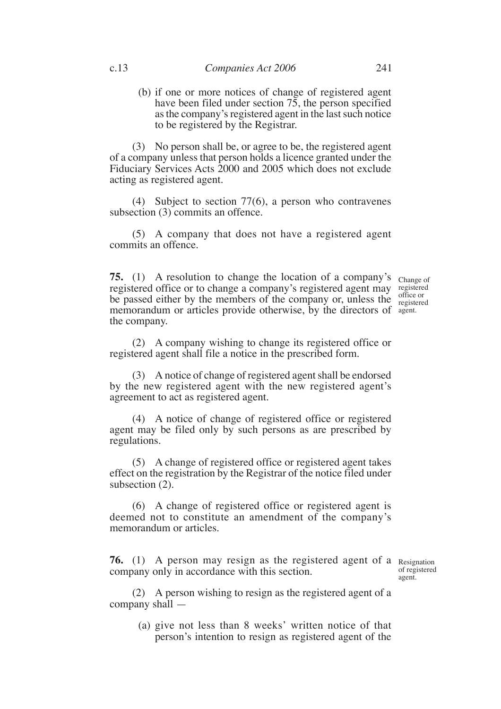(b) if one or more notices of change of registered agent have been filed under section 75, the person specified as the company's registered agent in the last such notice to be registered by the Registrar.

(3) No person shall be, or agree to be, the registered agent of a company unless that person holds a licence granted under the Fiduciary Services Acts 2000 and 2005 which does not exclude acting as registered agent.

(4) Subject to section 77(6), a person who contravenes subsection (3) commits an offence.

(5) A company that does not have a registered agent commits an offence.

**75.** (1) A resolution to change the location of a company's change of registered office or to change a company's registered agent may registered be passed either by the members of the company or, unless the memorandum or articles provide otherwise, by the directors of agent. the company.

office or registered

(2) A company wishing to change its registered office or registered agent shall file a notice in the prescribed form.

(3) A notice of change of registered agent shall be endorsed by the new registered agent with the new registered agent's agreement to act as registered agent.

(4) A notice of change of registered office or registered agent may be filed only by such persons as are prescribed by regulations.

(5) A change of registered office or registered agent takes effect on the registration by the Registrar of the notice filed under subsection (2).

(6) A change of registered office or registered agent is deemed not to constitute an amendment of the company's memorandum or articles.

**76.** (1) A person may resign as the registered agent of a Resignation company only in accordance with this section.

of registered agent.

(2) A person wishing to resign as the registered agent of a company shall —

(a) give not less than 8 weeks' written notice of that person's intention to resign as registered agent of the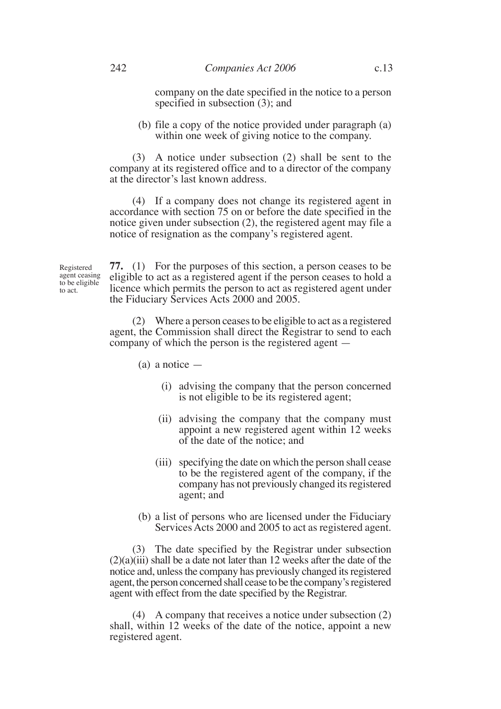company on the date specified in the notice to a person specified in subsection (3); and

(b) file a copy of the notice provided under paragraph (a) within one week of giving notice to the company.

(3) A notice under subsection (2) shall be sent to the company at its registered office and to a director of the company at the director's last known address.

(4) If a company does not change its registered agent in accordance with section 75 on or before the date specified in the notice given under subsection (2), the registered agent may file a notice of resignation as the company's registered agent.

Registered agent ceasing to be eligible to act.

**77.** (1) For the purposes of this section, a person ceases to be eligible to act as a registered agent if the person ceases to hold a licence which permits the person to act as registered agent under the Fiduciary Services Acts 2000 and 2005.

(2) Where a person ceases to be eligible to act as a registered agent, the Commission shall direct the Registrar to send to each company of which the person is the registered agent —

- $(a)$  a notice  $-$ 
	- (i) advising the company that the person concerned is not eligible to be its registered agent;
	- (ii) advising the company that the company must appoint a new registered agent within 12 weeks of the date of the notice; and
	- (iii) specifying the date on which the person shall cease to be the registered agent of the company, if the company has not previously changed its registered agent; and
- (b) a list of persons who are licensed under the Fiduciary Services Acts 2000 and 2005 to act as registered agent.

(3) The date specified by the Registrar under subsection  $(2)(a)(iii)$  shall be a date not later than 12 weeks after the date of the notice and, unless the company has previously changed its registered agent, the person concerned shall cease to be the company's registered agent with effect from the date specified by the Registrar.

(4) A company that receives a notice under subsection (2) shall, within 12 weeks of the date of the notice, appoint a new registered agent.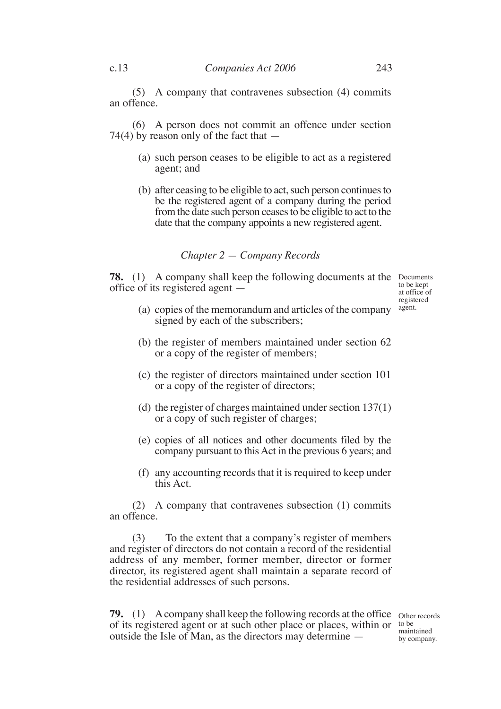(5) A company that contravenes subsection (4) commits an offence.

(6) A person does not commit an offence under section 74(4) by reason only of the fact that —

- (a) such person ceases to be eligible to act as a registered agent; and
- (b) after ceasing to be eligible to act, such person continues to be the registered agent of a company during the period from the date such person ceases to be eligible to act to the date that the company appoints a new registered agent.

# *Chapter 2 — Company Records*

**78.** (1) A company shall keep the following documents at the Documents office of its registered agent —

to be kept at office of registered agent.

- (a) copies of the memorandum and articles of the company signed by each of the subscribers;
- (b) the register of members maintained under section 62 or a copy of the register of members;
- (c) the register of directors maintained under section 101 or a copy of the register of directors;
- (d) the register of charges maintained under section 137(1) or a copy of such register of charges;
- (e) copies of all notices and other documents filed by the company pursuant to this Act in the previous 6 years; and
- (f) any accounting records that it is required to keep under this Act.

(2) A company that contravenes subsection (1) commits an offence.

(3) To the extent that a company's register of members and register of directors do not contain a record of the residential address of any member, former member, director or former director, its registered agent shall maintain a separate record of the residential addresses of such persons.

**79.** (1) A company shall keep the following records at the office other records of its registered agent or at such other place or places, within or to be outside the Isle of Man, as the directors may determine —

maintained by company.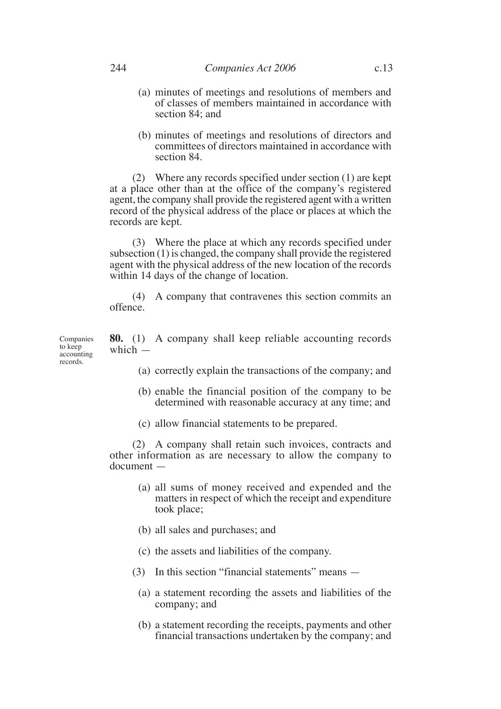- (a) minutes of meetings and resolutions of members and of classes of members maintained in accordance with section 84; and
- (b) minutes of meetings and resolutions of directors and committees of directors maintained in accordance with section 84.

(2) Where any records specified under section (1) are kept at a place other than at the office of the company's registered agent, the company shall provide the registered agent with a written record of the physical address of the place or places at which the records are kept.

(3) Where the place at which any records specified under subsection (1) is changed, the company shall provide the registered agent with the physical address of the new location of the records within 14 days of the change of location.

(4) A company that contravenes this section commits an offence.

**80.** (1) A company shall keep reliable accounting records which  $-$ 

- (a) correctly explain the transactions of the company; and
- (b) enable the financial position of the company to be determined with reasonable accuracy at any time; and
- (c) allow financial statements to be prepared.

(2) A company shall retain such invoices, contracts and other information as are necessary to allow the company to document —

- (a) all sums of money received and expended and the matters in respect of which the receipt and expenditure took place;
- (b) all sales and purchases; and
- (c) the assets and liabilities of the company.
- (3) In this section "financial statements" means
	- (a) a statement recording the assets and liabilities of the company; and
	- (b) a statement recording the receipts, payments and other financial transactions undertaken by the company; and

Companies to keep accounting records.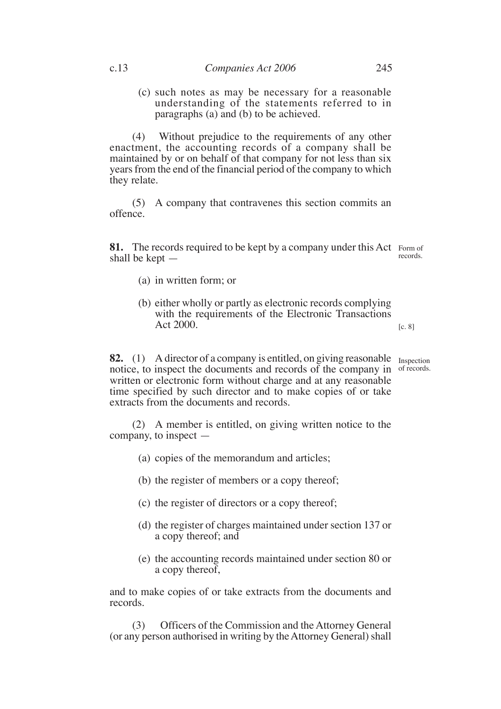(c) such notes as may be necessary for a reasonable understanding of the statements referred to in paragraphs (a) and (b) to be achieved.

(4) Without prejudice to the requirements of any other enactment, the accounting records of a company shall be maintained by or on behalf of that company for not less than six years from the end of the financial period of the company to which they relate.

(5) A company that contravenes this section commits an offence.

**81.** The records required to be kept by a company under this Act Form of shall be kept records.

- (a) in written form; or
- (b) either wholly or partly as electronic records complying with the requirements of the Electronic Transactions Act 2000.

[c. 8]

**82.** (1) A director of a company is entitled, on giving reasonable Inspection notice, to inspect the documents and records of the company in of records. written or electronic form without charge and at any reasonable time specified by such director and to make copies of or take extracts from the documents and records.

(2) A member is entitled, on giving written notice to the company, to inspect —

- (a) copies of the memorandum and articles;
- (b) the register of members or a copy thereof;
- (c) the register of directors or a copy thereof;
- (d) the register of charges maintained under section 137 or a copy thereof; and
- (e) the accounting records maintained under section 80 or a copy thereof,

and to make copies of or take extracts from the documents and records.

(3) Officers of the Commission and the Attorney General (or any person authorised in writing by the Attorney General) shall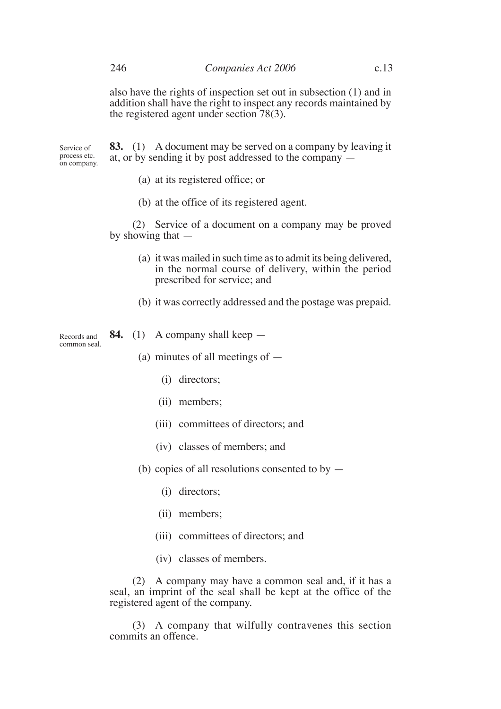also have the rights of inspection set out in subsection (1) and in addition shall have the right to inspect any records maintained by the registered agent under section 78(3).

**83.** (1) A document may be served on a company by leaving it at, or by sending it by post addressed to the company — Service of process etc. on company.

- (a) at its registered office; or
- (b) at the office of its registered agent.

(2) Service of a document on a company may be proved by showing that —

- (a) it was mailed in such time as to admit its being delivered, in the normal course of delivery, within the period prescribed for service; and
- (b) it was correctly addressed and the postage was prepaid.

Records and common seal.

- **84.** (1) A company shall keep
	- (a) minutes of all meetings of
		- (i) directors;
		- (ii) members;
		- (iii) committees of directors; and
		- (iv) classes of members; and
	- (b) copies of all resolutions consented to by
		- (i) directors;
		- (ii) members;
		- (iii) committees of directors; and
		- (iv) classes of members.

(2) A company may have a common seal and, if it has a seal, an imprint of the seal shall be kept at the office of the registered agent of the company.

(3) A company that wilfully contravenes this section commits an offence.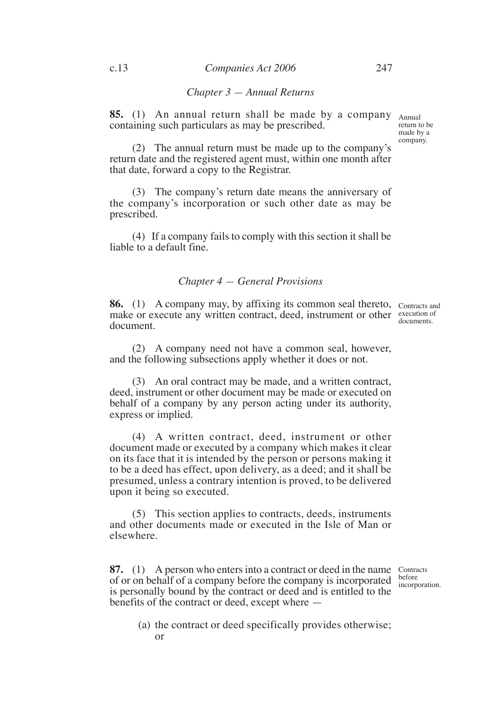## *Chapter 3 — Annual Returns*

**85.** (1) An annual return shall be made by a company Annual containing such particulars as may be prescribed.

return to be made by a company.

(2) The annual return must be made up to the company's return date and the registered agent must, within one month after that date, forward a copy to the Registrar.

(3) The company's return date means the anniversary of the company's incorporation or such other date as may be prescribed.

(4) If a company fails to comply with this section it shall be liable to a default fine.

# *Chapter 4 — General Provisions*

**86.** (1) A company may, by affixing its common seal thereto, Contracts and make or execute any written contract, deed, instrument or other execution of document.

documents.

(2) A company need not have a common seal, however, and the following subsections apply whether it does or not.

(3) An oral contract may be made, and a written contract, deed, instrument or other document may be made or executed on behalf of a company by any person acting under its authority, express or implied.

(4) A written contract, deed, instrument or other document made or executed by a company which makes it clear on its face that it is intended by the person or persons making it to be a deed has effect, upon delivery, as a deed; and it shall be presumed, unless a contrary intention is proved, to be delivered upon it being so executed.

(5) This section applies to contracts, deeds, instruments and other documents made or executed in the Isle of Man or elsewhere.

**87.** (1) A person who enters into a contract or deed in the name Contracts of or on behalf of a company before the company is incorporated is personally bound by the contract or deed and is entitled to the benefits of the contract or deed, except where —

before incorporation.

(a) the contract or deed specifically provides otherwise; or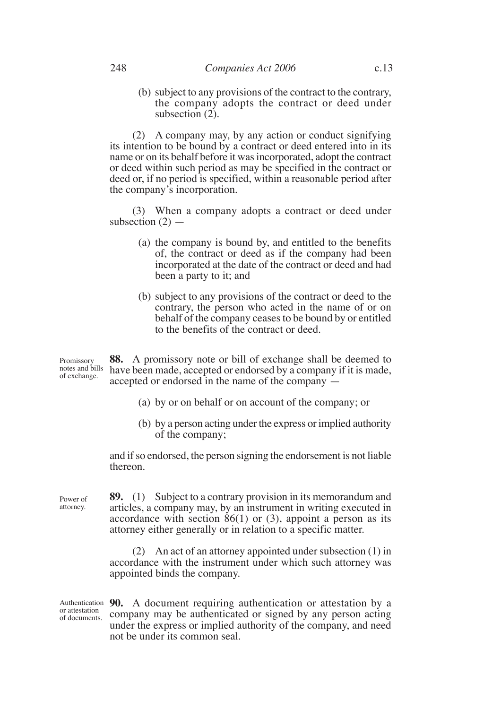(b) subject to any provisions of the contract to the contrary, the company adopts the contract or deed under subsection (2).

(2) A company may, by any action or conduct signifying its intention to be bound by a contract or deed entered into in its name or on its behalf before it was incorporated, adopt the contract or deed within such period as may be specified in the contract or deed or, if no period is specified, within a reasonable period after the company's incorporation.

(3) When a company adopts a contract or deed under subsection  $(2)$  —

- (a) the company is bound by, and entitled to the benefits of, the contract or deed as if the company had been incorporated at the date of the contract or deed and had been a party to it; and
- (b) subject to any provisions of the contract or deed to the contrary, the person who acted in the name of or on behalf of the company ceases to be bound by or entitled to the benefits of the contract or deed.

**88.** A promissory note or bill of exchange shall be deemed to have been made, accepted or endorsed by a company if it is made, accepted or endorsed in the name of the company — Promissory notes and bills of exchange.

- (a) by or on behalf or on account of the company; or
- (b) by a person acting under the express or implied authority of the company;

and if so endorsed, the person signing the endorsement is not liable thereon.

**89.** (1) Subject to a contrary provision in its memorandum and articles, a company may, by an instrument in writing executed in accordance with section  $86(1)$  or (3), appoint a person as its attorney either generally or in relation to a specific matter. Power of attorney.

> (2) An act of an attorney appointed under subsection (1) in accordance with the instrument under which such attorney was appointed binds the company.

Authentication 90. A document requiring authentication or attestation by a company may be authenticated or signed by any person acting under the express or implied authority of the company, and need not be under its common seal. or attestation of documents.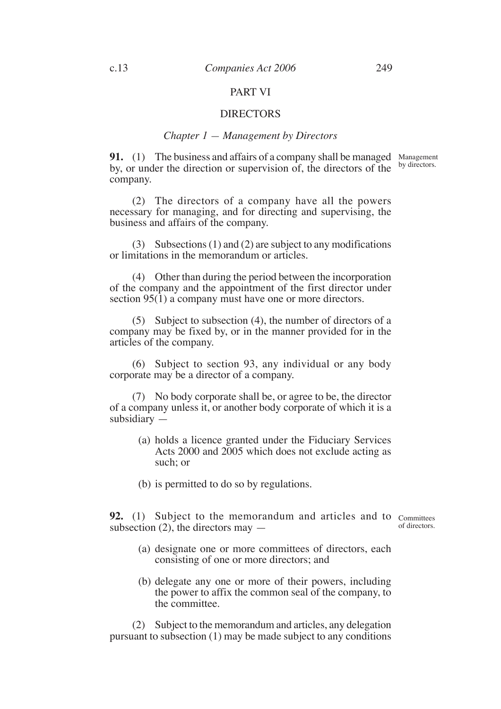## PART VI

#### DIRECTORS

## *Chapter 1 — Management by Directors*

**91.** (1) The business and affairs of a company shall be managed by, or under the direction or supervision of, the directors of the company. Management by directors.

(2) The directors of a company have all the powers necessary for managing, and for directing and supervising, the business and affairs of the company.

(3) Subsections (1) and (2) are subject to any modifications or limitations in the memorandum or articles.

(4) Other than during the period between the incorporation of the company and the appointment of the first director under section  $95(1)$  a company must have one or more directors.

(5) Subject to subsection (4), the number of directors of a company may be fixed by, or in the manner provided for in the articles of the company.

(6) Subject to section 93, any individual or any body corporate may be a director of a company.

(7) No body corporate shall be, or agree to be, the director of a company unless it, or another body corporate of which it is a subsidiary —

- (a) holds a licence granted under the Fiduciary Services Acts 2000 and 2005 which does not exclude acting as such; or
- (b) is permitted to do so by regulations.

**92.** (1) Subject to the memorandum and articles and to  $\text{Committers}$ subsection  $(2)$ , the directors may  $-$ 

of directors.

- (a) designate one or more committees of directors, each consisting of one or more directors; and
- (b) delegate any one or more of their powers, including the power to affix the common seal of the company, to the committee.

(2) Subject to the memorandum and articles, any delegation pursuant to subsection (1) may be made subject to any conditions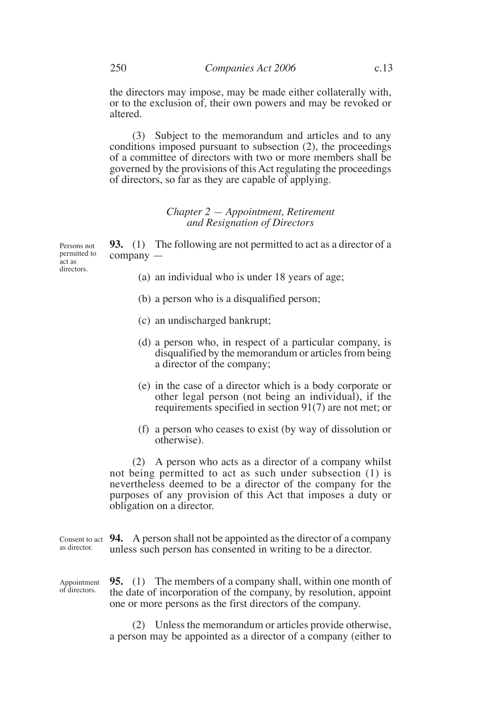the directors may impose, may be made either collaterally with, or to the exclusion of, their own powers and may be revoked or altered.

(3) Subject to the memorandum and articles and to any conditions imposed pursuant to subsection (2), the proceedings of a committee of directors with two or more members shall be governed by the provisions of this Act regulating the proceedings of directors, so far as they are capable of applying.

# *Chapter 2 — Appointment, Retirement and Resignation of Directors*

**93.** (1) The following are not permitted to act as a director of a company —

- (a) an individual who is under 18 years of age;
- (b) a person who is a disqualified person;
- (c) an undischarged bankrupt;
- (d) a person who, in respect of a particular company, is disqualified by the memorandum or articles from being a director of the company;
- (e) in the case of a director which is a body corporate or other legal person (not being an individual), if the requirements specified in section 91(7) are not met; or
- (f) a person who ceases to exist (by way of dissolution or otherwise).

(2) A person who acts as a director of a company whilst not being permitted to act as such under subsection (1) is nevertheless deemed to be a director of the company for the purposes of any provision of this Act that imposes a duty or obligation on a director.

Consent to act **94.** A person shall not be appointed as the director of a company unless such person has consented in writing to be a director. as director.

**95.** (1) The members of a company shall, within one month of the date of incorporation of the company, by resolution, appoint one or more persons as the first directors of the company. Appointment of directors.

> (2) Unless the memorandum or articles provide otherwise, a person may be appointed as a director of a company (either to

Persons not permitted to act as directors.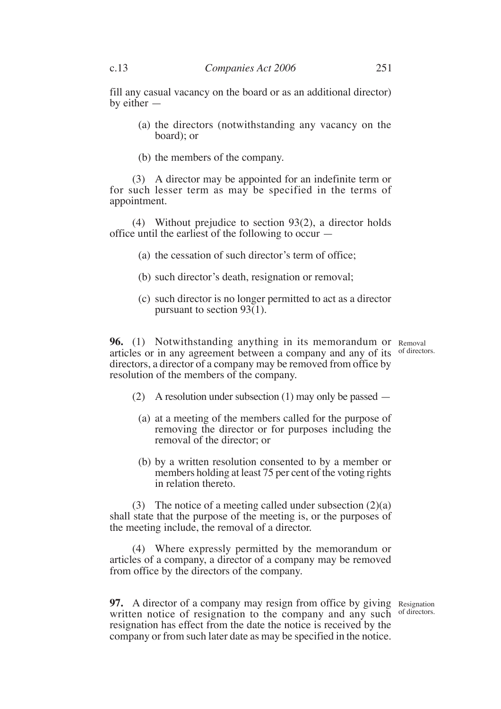fill any casual vacancy on the board or as an additional director) by either —

- (a) the directors (notwithstanding any vacancy on the board); or
- (b) the members of the company.

(3) A director may be appointed for an indefinite term or for such lesser term as may be specified in the terms of appointment.

(4) Without prejudice to section 93(2), a director holds office until the earliest of the following to occur —

- (a) the cessation of such director's term of office;
- (b) such director's death, resignation or removal;
- (c) such director is no longer permitted to act as a director pursuant to section  $93(1)$ .

**96.** (1) Notwithstanding anything in its memorandum or Removal articles or in any agreement between a company and any of its of directors. directors, a director of a company may be removed from office by resolution of the members of the company.

- (2) A resolution under subsection (1) may only be passed
	- (a) at a meeting of the members called for the purpose of removing the director or for purposes including the removal of the director; or
	- (b) by a written resolution consented to by a member or members holding at least 75 per cent of the voting rights in relation thereto.

(3) The notice of a meeting called under subsection  $(2)(a)$ shall state that the purpose of the meeting is, or the purposes of the meeting include, the removal of a director.

(4) Where expressly permitted by the memorandum or articles of a company, a director of a company may be removed from office by the directors of the company.

**97.** A director of a company may resign from office by giving Resignation written notice of resignation to the company and any such of directors. resignation has effect from the date the notice is received by the company or from such later date as may be specified in the notice.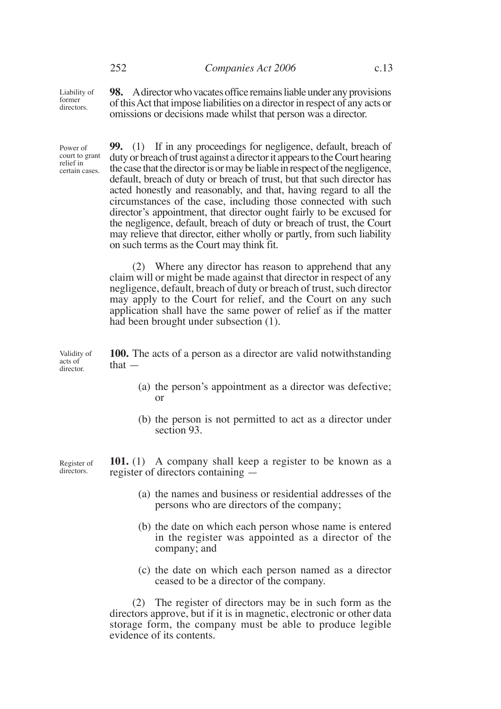Liability of former directors.

**98.** A director who vacates office remains liable under any provisions of this Act that impose liabilities on a director in respect of any acts or omissions or decisions made whilst that person was a director.

**99.** (1) If in any proceedings for negligence, default, breach of duty or breach of trust against a director it appears to the Court hearing the case that the director is or may be liable in respect of the negligence, default, breach of duty or breach of trust, but that such director has acted honestly and reasonably, and that, having regard to all the circumstances of the case, including those connected with such director's appointment, that director ought fairly to be excused for the negligence, default, breach of duty or breach of trust, the Court may relieve that director, either wholly or partly, from such liability on such terms as the Court may think fit. (2) Where any director has reason to apprehend that any claim will or might be made against that director in respect of any negligence, default, breach of duty or breach of trust, such director may apply to the Court for relief, and the Court on any such application shall have the same power of relief as if the matter had been brought under subsection (1). **100.** The acts of a person as a director are valid notwithstanding that — (a) the person's appointment as a director was defective; or (b) the person is not permitted to act as a director under section 93. **101.** (1) A company shall keep a register to be known as a register of directors containing — (a) the names and business or residential addresses of the persons who are directors of the company; (b) the date on which each person whose name is entered in the register was appointed as a director of the company; and (c) the date on which each person named as a director ceased to be a director of the company. (2) The register of directors may be in such form as the Validity of acts of director. Register of directors. Power of court to grant relief in certain cases.

directors approve, but if it is in magnetic, electronic or other data storage form, the company must be able to produce legible evidence of its contents.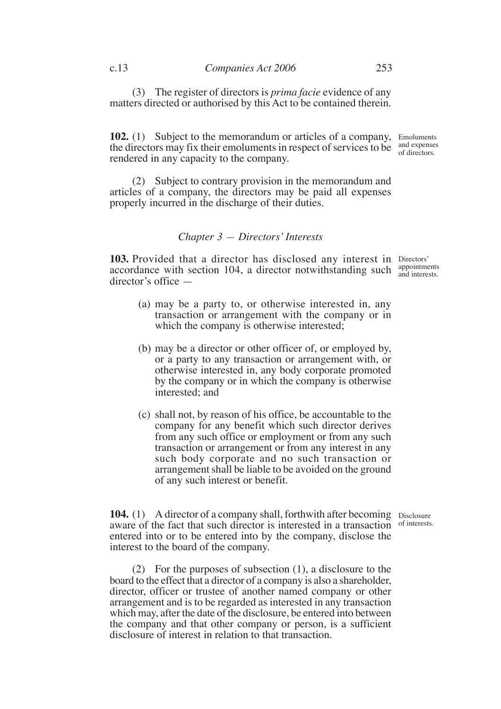(3) The register of directors is *prima facie* evidence of any matters directed or authorised by this Act to be contained therein.

**102.** (1) Subject to the memorandum or articles of a company, Emoluments the directors may fix their emoluments in respect of services to be  $\frac{and$  expenses rendered in any capacity to the company. of directors.

(2) Subject to contrary provision in the memorandum and articles of a company, the directors may be paid all expenses properly incurred in the discharge of their duties.

#### *Chapter 3 — Directors' Interests*

**103.** Provided that a director has disclosed any interest in Directors' accordance with section 104, a director notwithstanding such  $\frac{\text{appoinments}}{\text{and interest}}$ director's office —

- (a) may be a party to, or otherwise interested in, any transaction or arrangement with the company or in which the company is otherwise interested;
- (b) may be a director or other officer of, or employed by, or a party to any transaction or arrangement with, or otherwise interested in, any body corporate promoted by the company or in which the company is otherwise interested; and
- (c) shall not, by reason of his office, be accountable to the company for any benefit which such director derives from any such office or employment or from any such transaction or arrangement or from any interest in any such body corporate and no such transaction or arrangement shall be liable to be avoided on the ground of any such interest or benefit.

104. (1) A director of a company shall, forthwith after becoming Disclosure aware of the fact that such director is interested in a transaction entered into or to be entered into by the company, disclose the interest to the board of the company.

(2) For the purposes of subsection (1), a disclosure to the board to the effect that a director of a company is also a shareholder, director, officer or trustee of another named company or other arrangement and is to be regarded as interested in any transaction which may, after the date of the disclosure, be entered into between the company and that other company or person, is a sufficient disclosure of interest in relation to that transaction.

of interests.

and interests.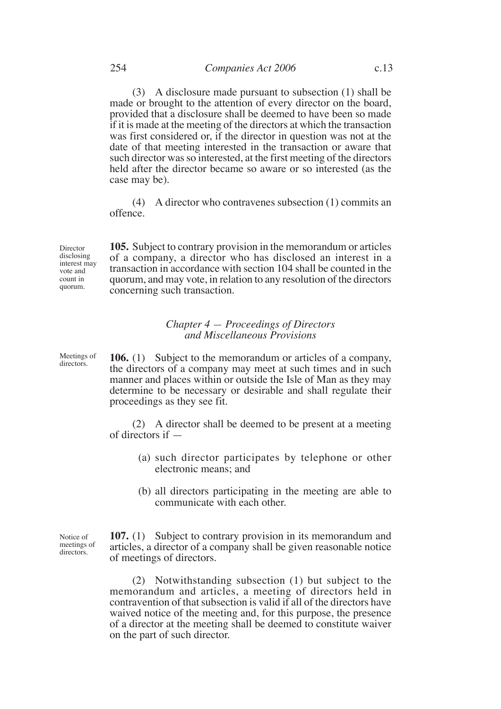(3) A disclosure made pursuant to subsection (1) shall be made or brought to the attention of every director on the board, provided that a disclosure shall be deemed to have been so made if it is made at the meeting of the directors at which the transaction was first considered or, if the director in question was not at the date of that meeting interested in the transaction or aware that such director was so interested, at the first meeting of the directors held after the director became so aware or so interested (as the case may be).

(4) A director who contravenes subsection (1) commits an offence.

**105.** Subject to contrary provision in the memorandum or articles of a company, a director who has disclosed an interest in a transaction in accordance with section 104 shall be counted in the quorum, and may vote, in relation to any resolution of the directors concerning such transaction.

## *Chapter 4 — Proceedings of Directors and Miscellaneous Provisions*

Meetings of directors.

Director disclosing interest may vote and count in quorum.

> **106.** (1) Subject to the memorandum or articles of a company, the directors of a company may meet at such times and in such manner and places within or outside the Isle of Man as they may determine to be necessary or desirable and shall regulate their proceedings as they see fit.

> (2) A director shall be deemed to be present at a meeting of directors if —

- (a) such director participates by telephone or other electronic means; and
- (b) all directors participating in the meeting are able to communicate with each other.

Notice of meetings of directors.

**107.** (1) Subject to contrary provision in its memorandum and articles, a director of a company shall be given reasonable notice of meetings of directors.

(2) Notwithstanding subsection (1) but subject to the memorandum and articles, a meeting of directors held in contravention of that subsection is valid if all of the directors have waived notice of the meeting and, for this purpose, the presence of a director at the meeting shall be deemed to constitute waiver on the part of such director.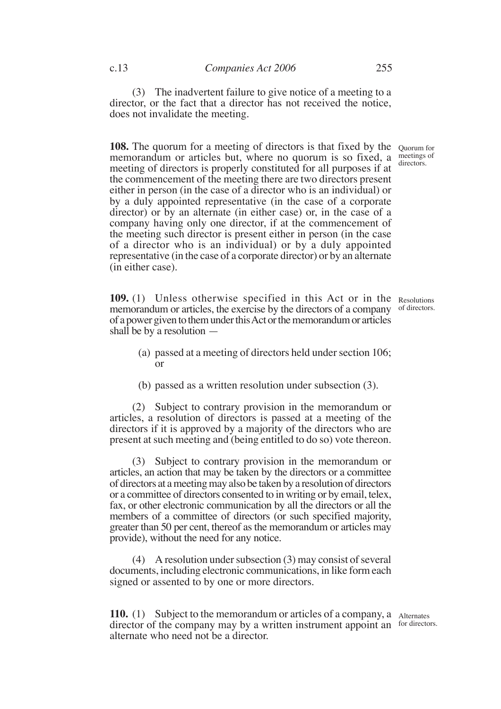(3) The inadvertent failure to give notice of a meeting to a director, or the fact that a director has not received the notice, does not invalidate the meeting.

**108.** The quorum for a meeting of directors is that fixed by the Quorum for memorandum or articles but, where no quorum is so fixed, a meeting of directors is properly constituted for all purposes if at the commencement of the meeting there are two directors present either in person (in the case of a director who is an individual) or by a duly appointed representative (in the case of a corporate director) or by an alternate (in either case) or, in the case of a company having only one director, if at the commencement of the meeting such director is present either in person (in the case of a director who is an individual) or by a duly appointed representative (in the case of a corporate director) or by an alternate (in either case).

109. (1) Unless otherwise specified in this Act or in the Resolutions memorandum or articles, the exercise by the directors of a company of directors. of a power given to them under this Act or the memorandum or articles shall be by a resolution —

- (a) passed at a meeting of directors held under section 106; or
- (b) passed as a written resolution under subsection (3).

(2) Subject to contrary provision in the memorandum or articles, a resolution of directors is passed at a meeting of the directors if it is approved by a majority of the directors who are present at such meeting and (being entitled to do so) vote thereon.

(3) Subject to contrary provision in the memorandum or articles, an action that may be taken by the directors or a committee of directors at a meeting may also be taken by a resolution of directors or a committee of directors consented to in writing or by email, telex, fax, or other electronic communication by all the directors or all the members of a committee of directors (or such specified majority, greater than 50 per cent, thereof as the memorandum or articles may provide), without the need for any notice.

(4) A resolution under subsection (3) may consist of several documents, including electronic communications, in like form each signed or assented to by one or more directors.

**110.** (1) Subject to the memorandum or articles of a company, a Alternates director of the company may by a written instrument appoint an for directors. alternate who need not be a director.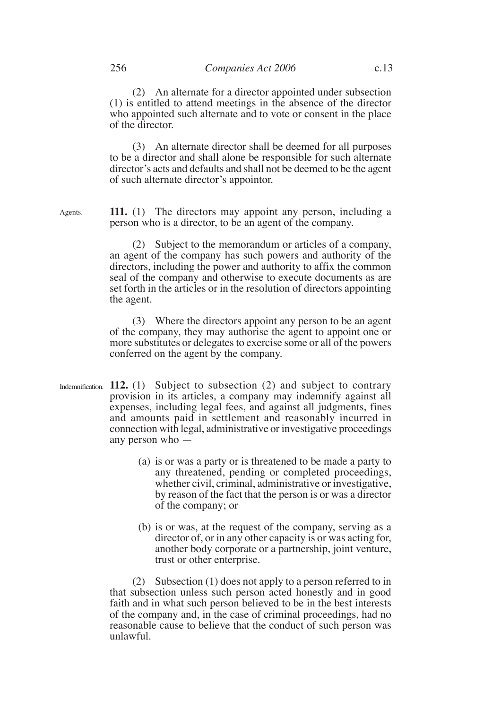(2) An alternate for a director appointed under subsection (1) is entitled to attend meetings in the absence of the director who appointed such alternate and to vote or consent in the place of the director.

(3) An alternate director shall be deemed for all purposes to be a director and shall alone be responsible for such alternate director's acts and defaults and shall not be deemed to be the agent of such alternate director's appointor.

**111.** (1) The directors may appoint any person, including a person who is a director, to be an agent of the company. Agents.

> (2) Subject to the memorandum or articles of a company, an agent of the company has such powers and authority of the directors, including the power and authority to affix the common seal of the company and otherwise to execute documents as are set forth in the articles or in the resolution of directors appointing the agent.

> (3) Where the directors appoint any person to be an agent of the company, they may authorise the agent to appoint one or more substitutes or delegates to exercise some or all of the powers conferred on the agent by the company.

- Indemnification. 112. (1) Subject to subsection (2) and subject to contrary provision in its articles, a company may indemnify against all expenses, including legal fees, and against all judgments, fines and amounts paid in settlement and reasonably incurred in connection with legal, administrative or investigative proceedings any person who —
	- (a) is or was a party or is threatened to be made a party to any threatened, pending or completed proceedings, whether civil, criminal, administrative or investigative, by reason of the fact that the person is or was a director of the company; or
	- (b) is or was, at the request of the company, serving as a director of, or in any other capacity is or was acting for, another body corporate or a partnership, joint venture, trust or other enterprise.

(2) Subsection (1) does not apply to a person referred to in that subsection unless such person acted honestly and in good faith and in what such person believed to be in the best interests of the company and, in the case of criminal proceedings, had no reasonable cause to believe that the conduct of such person was unlawful.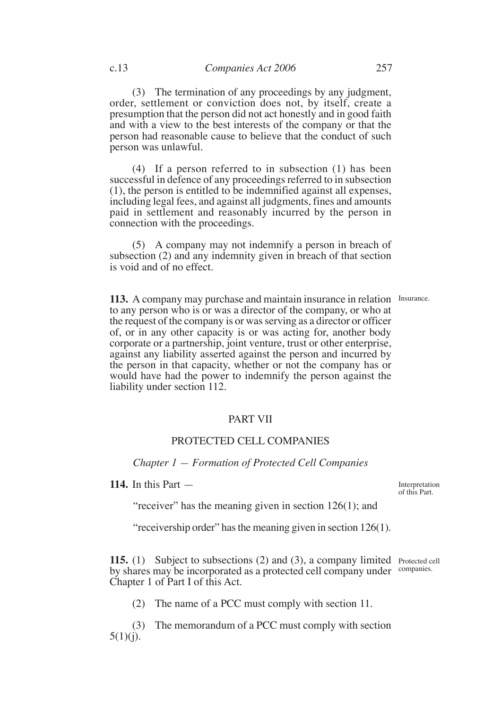(3) The termination of any proceedings by any judgment, order, settlement or conviction does not, by itself, create a presumption that the person did not act honestly and in good faith and with a view to the best interests of the company or that the person had reasonable cause to believe that the conduct of such person was unlawful.

(4) If a person referred to in subsection (1) has been successful in defence of any proceedings referred to in subsection (1), the person is entitled to be indemnified against all expenses, including legal fees, and against all judgments, fines and amounts paid in settlement and reasonably incurred by the person in connection with the proceedings.

(5) A company may not indemnify a person in breach of subsection (2) and any indemnity given in breach of that section is void and of no effect.

113. A company may purchase and maintain insurance in relation Insurance. to any person who is or was a director of the company, or who at the request of the company is or was serving as a director or officer of, or in any other capacity is or was acting for, another body corporate or a partnership, joint venture, trust or other enterprise, against any liability asserted against the person and incurred by the person in that capacity, whether or not the company has or would have had the power to indemnify the person against the liability under section 112.

# PART VII

# PROTECTED CELL COMPANIES

*Chapter 1 — Formation of Protected Cell Companies*

**114.** In this Part —

Interpretation of this Part.

"receiver" has the meaning given in section 126(1); and

"receivership order" has the meaning given in section 126(1).

**115.** (1) Subject to subsections (2) and (3), a company limited Protected cell by shares may be incorporated as a protected cell company under companies. Chapter 1 of Part I of this Act.

(2) The name of a PCC must comply with section 11.

(3) The memorandum of a PCC must comply with section  $5(1)(i)$ .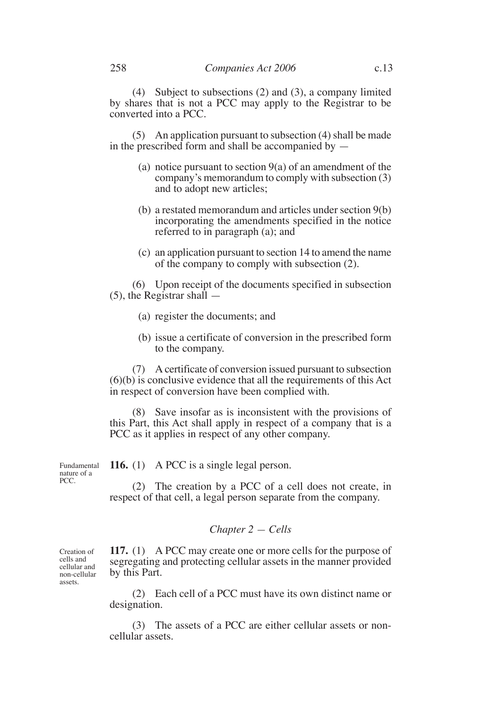(4) Subject to subsections (2) and (3), a company limited by shares that is not a PCC may apply to the Registrar to be converted into a PCC.

(5) An application pursuant to subsection (4) shall be made in the prescribed form and shall be accompanied by —

- (a) notice pursuant to section  $9(a)$  of an amendment of the company's memorandum to comply with subsection (3) and to adopt new articles;
- (b) a restated memorandum and articles under section 9(b) incorporating the amendments specified in the notice referred to in paragraph (a); and
- (c) an application pursuant to section 14 to amend the name of the company to comply with subsection (2).

(6) Upon receipt of the documents specified in subsection (5), the Registrar shall —

- (a) register the documents; and
- (b) issue a certificate of conversion in the prescribed form to the company.

(7) A certificate of conversion issued pursuant to subsection (6)(b) is conclusive evidence that all the requirements of this Act in respect of conversion have been complied with.

(8) Save insofar as is inconsistent with the provisions of this Part, this Act shall apply in respect of a company that is a PCC as it applies in respect of any other company.

Fundamental nature of a PCC.

**116.** (1) A PCC is a single legal person.

(2) The creation by a PCC of a cell does not create, in respect of that cell, a legal person separate from the company.

## *Chapter 2 — Cells*

**117.** (1) A PCC may create one or more cells for the purpose of segregating and protecting cellular assets in the manner provided by this Part.

(2) Each cell of a PCC must have its own distinct name or designation.

(3) The assets of a PCC are either cellular assets or noncellular assets.

Creation of cells and cellular and non-cellular assets.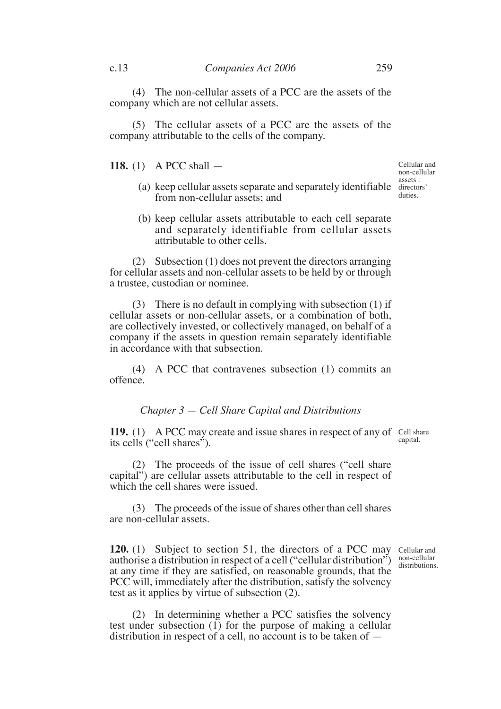(4) The non-cellular assets of a PCC are the assets of the company which are not cellular assets.

(5) The cellular assets of a PCC are the assets of the company attributable to the cells of the company.

**118.** (1) A PCC shall —

- (a) keep cellular assets separate and separately identifiable directors' from non-cellular assets; and
- (b) keep cellular assets attributable to each cell separate and separately identifiable from cellular assets attributable to other cells.

(2) Subsection (1) does not prevent the directors arranging for cellular assets and non-cellular assets to be held by or through a trustee, custodian or nominee.

(3) There is no default in complying with subsection (1) if cellular assets or non-cellular assets, or a combination of both, are collectively invested, or collectively managed, on behalf of a company if the assets in question remain separately identifiable in accordance with that subsection.

(4) A PCC that contravenes subsection (1) commits an offence.

## *Chapter 3 — Cell Share Capital and Distributions*

**119.** (1) A PCC may create and issue shares in respect of any of Cell share its cells ("cell shares").

capital.

(2) The proceeds of the issue of cell shares ("cell share capital") are cellular assets attributable to the cell in respect of which the cell shares were issued.

(3) The proceeds of the issue of shares other than cell shares are non-cellular assets.

**120.** (1) Subject to section 51, the directors of a PCC may Cellular and authorise a distribution in respect of a cell ("cellular distribution") at any time if they are satisfied, on reasonable grounds, that the PCC will, immediately after the distribution, satisfy the solvency test as it applies by virtue of subsection (2). non-cellular distributions.

(2) In determining whether a PCC satisfies the solvency test under subsection (1) for the purpose of making a cellular distribution in respect of a cell, no account is to be taken of —

Cellular and non-cellular assets : duties.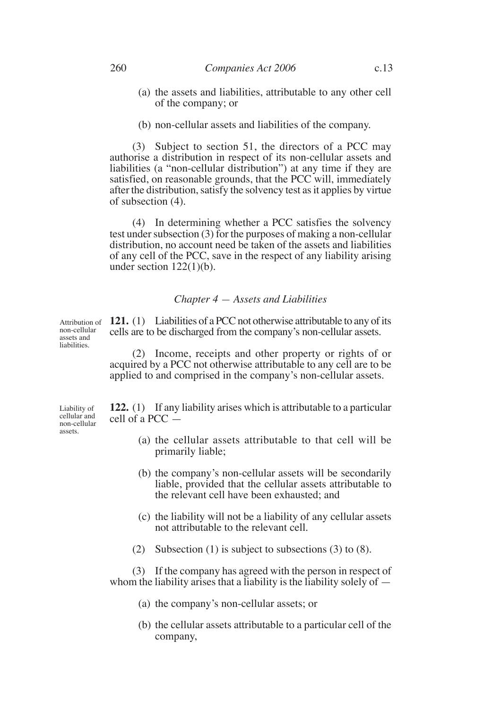- (a) the assets and liabilities, attributable to any other cell of the company; or
- (b) non-cellular assets and liabilities of the company.

(3) Subject to section 51, the directors of a PCC may authorise a distribution in respect of its non-cellular assets and liabilities (a "non-cellular distribution") at any time if they are satisfied, on reasonable grounds, that the PCC will, immediately after the distribution, satisfy the solvency test as it applies by virtue of subsection (4).

(4) In determining whether a PCC satisfies the solvency test under subsection (3) for the purposes of making a non-cellular distribution, no account need be taken of the assets and liabilities of any cell of the PCC, save in the respect of any liability arising under section  $122(1)(b)$ .

## *Chapter 4 — Assets and Liabilities*

**121.** (1) Liabilities of a PCC not otherwise attributable to any of its cells are to be discharged from the company's non-cellular assets. Attribution of non-cellular assets and liabilities.

> (2) Income, receipts and other property or rights of or acquired by a PCC not otherwise attributable to any cell are to be applied to and comprised in the company's non-cellular assets.

Liability of cellular and non-cellular assets.

**122.** (1) If any liability arises which is attributable to a particular cell of a PCC —

- (a) the cellular assets attributable to that cell will be primarily liable;
- (b) the company's non-cellular assets will be secondarily liable, provided that the cellular assets attributable to the relevant cell have been exhausted; and
- (c) the liability will not be a liability of any cellular assets not attributable to the relevant cell.
- (2) Subsection (1) is subject to subsections (3) to (8).

(3) If the company has agreed with the person in respect of whom the liability arises that a liability is the liability solely of  $-$ 

- (a) the company's non-cellular assets; or
- (b) the cellular assets attributable to a particular cell of the company,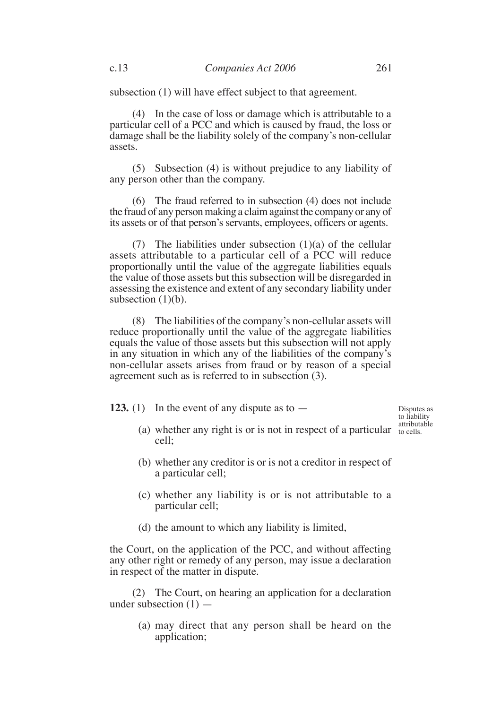subsection (1) will have effect subject to that agreement.

(4) In the case of loss or damage which is attributable to a particular cell of a PCC and which is caused by fraud, the loss or damage shall be the liability solely of the company's non-cellular assets.

(5) Subsection (4) is without prejudice to any liability of any person other than the company.

(6) The fraud referred to in subsection (4) does not include the fraud of any person making a claim against the company or any of its assets or of that person's servants, employees, officers or agents.

(7) The liabilities under subsection  $(1)(a)$  of the cellular assets attributable to a particular cell of a PCC will reduce proportionally until the value of the aggregate liabilities equals the value of those assets but this subsection will be disregarded in assessing the existence and extent of any secondary liability under subsection  $(1)(b)$ .

(8) The liabilities of the company's non-cellular assets will reduce proportionally until the value of the aggregate liabilities equals the value of those assets but this subsection will not apply in any situation in which any of the liabilities of the company's non-cellular assets arises from fraud or by reason of a special agreement such as is referred to in subsection (3).

**123.** (1) In the event of any dispute as to —

Disputes as to liability attributable

- (a) whether any right is or is not in respect of a particular  $\frac{1}{10}$  cells. cell;
- (b) whether any creditor is or is not a creditor in respect of a particular cell;
- (c) whether any liability is or is not attributable to a particular cell;
- (d) the amount to which any liability is limited,

the Court, on the application of the PCC, and without affecting any other right or remedy of any person, may issue a declaration in respect of the matter in dispute.

(2) The Court, on hearing an application for a declaration under subsection  $(1)$  —

> (a) may direct that any person shall be heard on the application;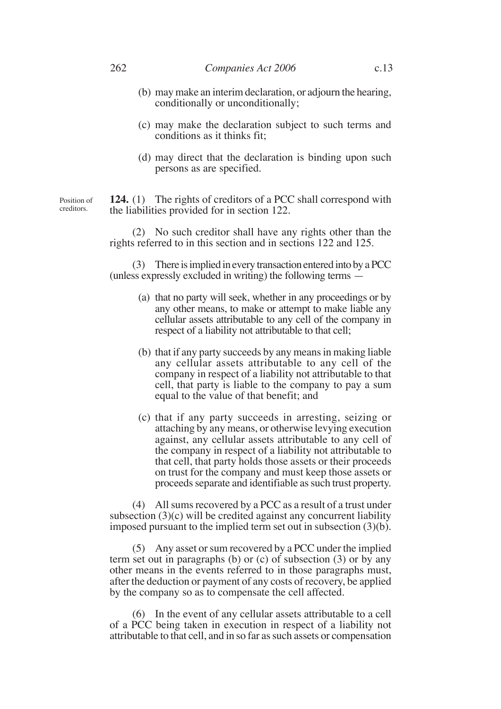- (b) may make an interim declaration, or adjourn the hearing, conditionally or unconditionally;
- (c) may make the declaration subject to such terms and conditions as it thinks fit;
- (d) may direct that the declaration is binding upon such persons as are specified.

**124.** (1) The rights of creditors of a PCC shall correspond with the liabilities provided for in section 122. Position of creditors.

> (2) No such creditor shall have any rights other than the rights referred to in this section and in sections 122 and 125.

> (3) There is implied in every transaction entered into by a PCC (unless expressly excluded in writing) the following terms —

- (a) that no party will seek, whether in any proceedings or by any other means, to make or attempt to make liable any cellular assets attributable to any cell of the company in respect of a liability not attributable to that cell;
- (b) that if any party succeeds by any means in making liable any cellular assets attributable to any cell of the company in respect of a liability not attributable to that cell, that party is liable to the company to pay a sum equal to the value of that benefit; and
- (c) that if any party succeeds in arresting, seizing or attaching by any means, or otherwise levying execution against, any cellular assets attributable to any cell of the company in respect of a liability not attributable to that cell, that party holds those assets or their proceeds on trust for the company and must keep those assets or proceeds separate and identifiable as such trust property.

(4) All sums recovered by a PCC as a result of a trust under subsection  $(3)(c)$  will be credited against any concurrent liability imposed pursuant to the implied term set out in subsection (3)(b).

(5) Any asset or sum recovered by a PCC under the implied term set out in paragraphs (b) or (c) of subsection (3) or by any other means in the events referred to in those paragraphs must, after the deduction or payment of any costs of recovery, be applied by the company so as to compensate the cell affected.

(6) In the event of any cellular assets attributable to a cell of a PCC being taken in execution in respect of a liability not attributable to that cell, and in so far as such assets or compensation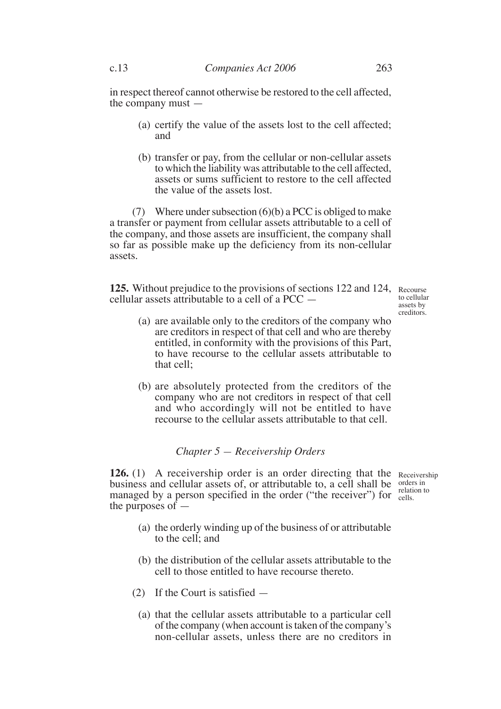in respect thereof cannot otherwise be restored to the cell affected, the company must —

- (a) certify the value of the assets lost to the cell affected; and
- (b) transfer or pay, from the cellular or non-cellular assets to which the liability was attributable to the cell affected, assets or sums sufficient to restore to the cell affected the value of the assets lost.

(7) Where under subsection  $(6)(b)$  a PCC is obliged to make a transfer or payment from cellular assets attributable to a cell of the company, and those assets are insufficient, the company shall so far as possible make up the deficiency from its non-cellular assets.

125. Without prejudice to the provisions of sections 122 and 124, Recourse cellular assets attributable to a cell of a PCC —

to cellular assets by creditors.

- (a) are available only to the creditors of the company who are creditors in respect of that cell and who are thereby entitled, in conformity with the provisions of this Part, to have recourse to the cellular assets attributable to that cell;
- (b) are absolutely protected from the creditors of the company who are not creditors in respect of that cell and who accordingly will not be entitled to have recourse to the cellular assets attributable to that cell.

## *Chapter 5 — Receivership Orders*

**126.** (1) A receivership order is an order directing that the Receivership business and cellular assets of, or attributable to, a cell shall be orders in managed by a person specified in the order ("the receiver") for cells. the purposes of cells.

- (a) the orderly winding up of the business of or attributable to the cell; and
- (b) the distribution of the cellular assets attributable to the cell to those entitled to have recourse thereto.
- (2) If the Court is satisfied
	- (a) that the cellular assets attributable to a particular cell of the company (when account is taken of the company's non-cellular assets, unless there are no creditors in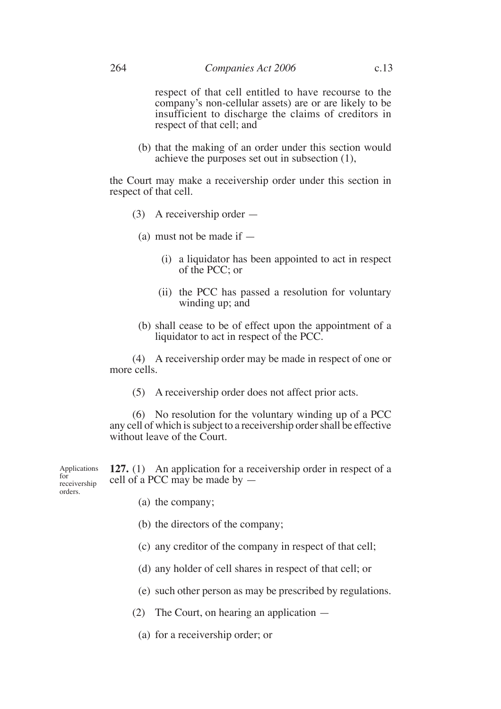respect of that cell entitled to have recourse to the company's non-cellular assets) are or are likely to be insufficient to discharge the claims of creditors in respect of that cell; and

(b) that the making of an order under this section would achieve the purposes set out in subsection (1),

the Court may make a receivership order under this section in respect of that cell.

- (3) A receivership order
	- (a) must not be made if  $-$ 
		- (i) a liquidator has been appointed to act in respect of the PCC; or
		- (ii) the PCC has passed a resolution for voluntary winding up; and
	- (b) shall cease to be of effect upon the appointment of a liquidator to act in respect of the PCC.

(4) A receivership order may be made in respect of one or more cells.

(5) A receivership order does not affect prior acts.

(6) No resolution for the voluntary winding up of a PCC any cell of which is subject to a receivership order shall be effective without leave of the Court.

**127.** (1) An application for a receivership order in respect of a cell of a PCC may be made by — Applications

- (a) the company;
- (b) the directors of the company;
- (c) any creditor of the company in respect of that cell;
- (d) any holder of cell shares in respect of that cell; or
- (e) such other person as may be prescribed by regulations.
- (2) The Court, on hearing an application
	- (a) for a receivership order; or

 $f_{\alpha r}$ <sup> $\overline{f}$ </sup> receivership orders.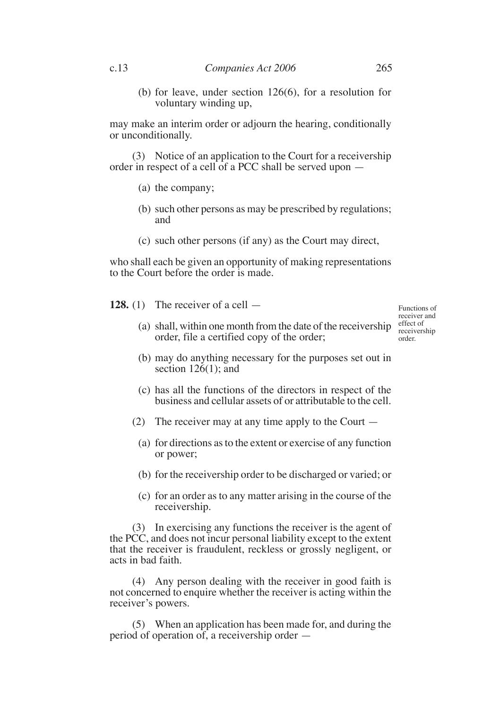(b) for leave, under section 126(6), for a resolution for voluntary winding up,

may make an interim order or adjourn the hearing, conditionally or unconditionally.

(3) Notice of an application to the Court for a receivership order in respect of a cell of a PCC shall be served upon —

- (a) the company;
- (b) such other persons as may be prescribed by regulations; and
- (c) such other persons (if any) as the Court may direct,

who shall each be given an opportunity of making representations to the Court before the order is made.

**128.** (1) The receiver of a cell —

- (a) shall, within one month from the date of the receivership  $\frac{\text{effect of}}{\text{recoiver}}$ order, file a certified copy of the order; receiver and receivership order.
- (b) may do anything necessary for the purposes set out in section  $126(1)$ ; and
- (c) has all the functions of the directors in respect of the business and cellular assets of or attributable to the cell.
- (2) The receiver may at any time apply to the Court
	- (a) for directions as to the extent or exercise of any function or power;
	- (b) for the receivership order to be discharged or varied; or
	- (c) for an order as to any matter arising in the course of the receivership.

(3) In exercising any functions the receiver is the agent of the PCC, and does not incur personal liability except to the extent that the receiver is fraudulent, reckless or grossly negligent, or acts in bad faith.

(4) Any person dealing with the receiver in good faith is not concerned to enquire whether the receiver is acting within the receiver's powers.

(5) When an application has been made for, and during the period of operation of, a receivership order —

Functions of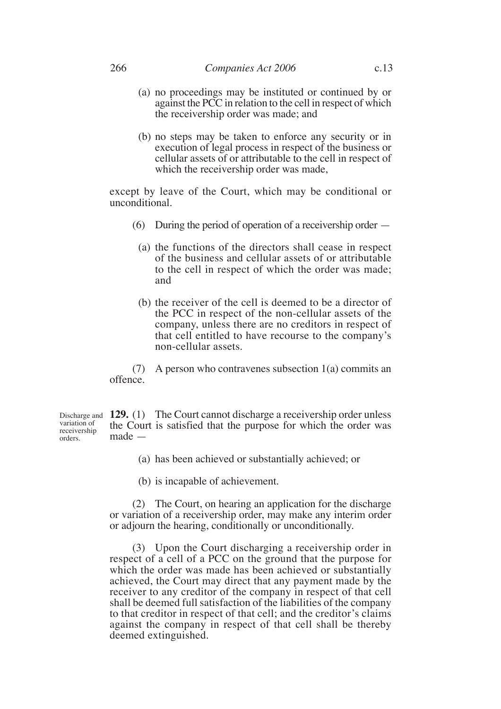- (a) no proceedings may be instituted or continued by or against the PCC in relation to the cell in respect of which the receivership order was made; and
- (b) no steps may be taken to enforce any security or in execution of legal process in respect of the business or cellular assets of or attributable to the cell in respect of which the receivership order was made,

except by leave of the Court, which may be conditional or unconditional.

- (6) During the period of operation of a receivership order
	- (a) the functions of the directors shall cease in respect of the business and cellular assets of or attributable to the cell in respect of which the order was made; and
	- (b) the receiver of the cell is deemed to be a director of the PCC in respect of the non-cellular assets of the company, unless there are no creditors in respect of that cell entitled to have recourse to the company's non-cellular assets.

(7) A person who contravenes subsection 1(a) commits an offence.

Discharge and **129.** (1) The Court cannot discharge a receivership order unless the Court is satisfied that the purpose for which the order was made variation of receivership

- (a) has been achieved or substantially achieved; or
- (b) is incapable of achievement.

(2) The Court, on hearing an application for the discharge or variation of a receivership order, may make any interim order or adjourn the hearing, conditionally or unconditionally.

(3) Upon the Court discharging a receivership order in respect of a cell of a PCC on the ground that the purpose for which the order was made has been achieved or substantially achieved, the Court may direct that any payment made by the receiver to any creditor of the company in respect of that cell shall be deemed full satisfaction of the liabilities of the company to that creditor in respect of that cell; and the creditor's claims against the company in respect of that cell shall be thereby deemed extinguished.

orders.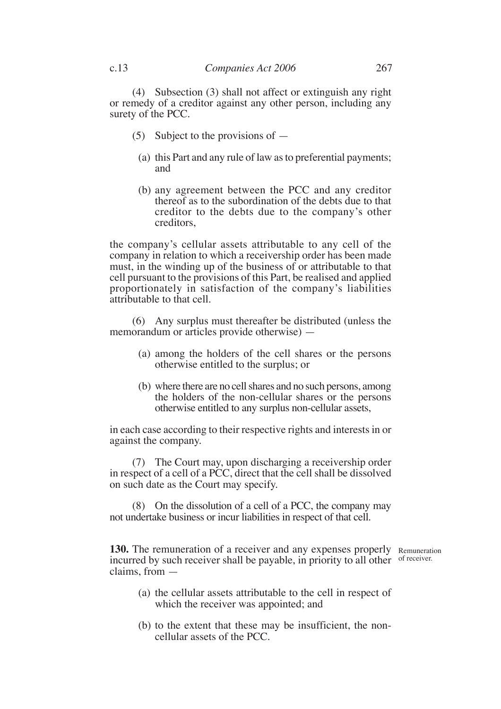(4) Subsection (3) shall not affect or extinguish any right or remedy of a creditor against any other person, including any surety of the PCC.

- (5) Subject to the provisions of  $-$ 
	- (a) this Part and any rule of law as to preferential payments; and
	- (b) any agreement between the PCC and any creditor thereof as to the subordination of the debts due to that creditor to the debts due to the company's other creditors,

the company's cellular assets attributable to any cell of the company in relation to which a receivership order has been made must, in the winding up of the business of or attributable to that cell pursuant to the provisions of this Part, be realised and applied proportionately in satisfaction of the company's liabilities attributable to that cell.

(6) Any surplus must thereafter be distributed (unless the memorandum or articles provide otherwise) —

- (a) among the holders of the cell shares or the persons otherwise entitled to the surplus; or
- (b) where there are no cell shares and no such persons, among the holders of the non-cellular shares or the persons otherwise entitled to any surplus non-cellular assets,

in each case according to their respective rights and interests in or against the company.

(7) The Court may, upon discharging a receivership order in respect of a cell of a PCC, direct that the cell shall be dissolved on such date as the Court may specify.

(8) On the dissolution of a cell of a PCC, the company may not undertake business or incur liabilities in respect of that cell.

**130.** The remuneration of a receiver and any expenses properly Remuneration incurred by such receiver shall be payable, in priority to all other of receiver.claims, from —

- (a) the cellular assets attributable to the cell in respect of which the receiver was appointed; and
- (b) to the extent that these may be insufficient, the noncellular assets of the PCC.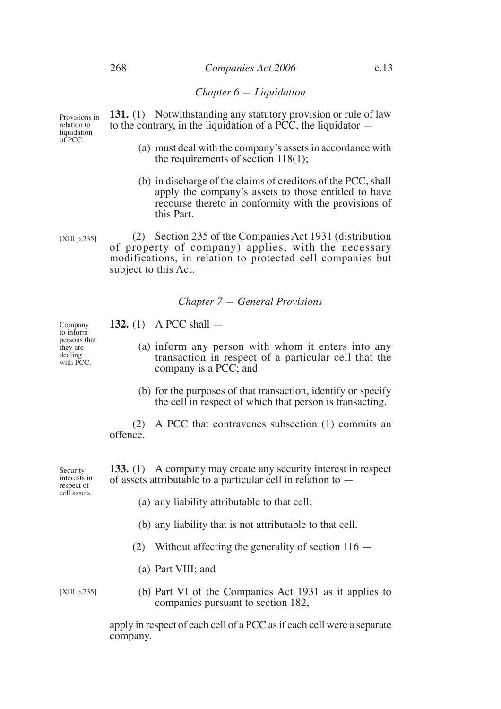### 268 *Companies Act 2006* c.13

*Chapter 6 — Liquidation*

**131.** (1) Notwithstanding any statutory provision or rule of law to the contrary, in the liquidation of a PCC, the liquidator  $-$ Provisions in relation to liquidation

- (a) must deal with the company's assets in accordance with the requirements of section  $118(1)$ ;
- (b) in discharge of the claims of creditors of the PCC, shall apply the company's assets to those entitled to have recourse thereto in conformity with the provisions of this Part.

(2) Section 235 of the Companies Act 1931 (distribution of property of company) applies, with the necessary modifications, in relation to protected cell companies but subject to this Act. [XIII p.235]

#### *Chapter 7 — General Provisions*

**132.** (1) A PCC shall —

- (a) inform any person with whom it enters into any transaction in respect of a particular cell that the company is a PCC; and
	- (b) for the purposes of that transaction, identify or specify the cell in respect of which that person is transacting.

(2) A PCC that contravenes subsection (1) commits an offence.

**133.** (1) A company may create any security interest in respect of assets attributable to a particular cell in relation to —

- (a) any liability attributable to that cell;
- (b) any liability that is not attributable to that cell.
- (2) Without affecting the generality of section  $116 -$ 
	- (a) Part VIII; and

[XIII p.235]

(b) Part VI of the Companies Act 1931 as it applies to companies pursuant to section 182,

apply in respect of each cell of a PCC as if each cell were a separate company.

Company to inform persons that they are dealing with PCC.

Security interests in respect of cell assets.

of PCC.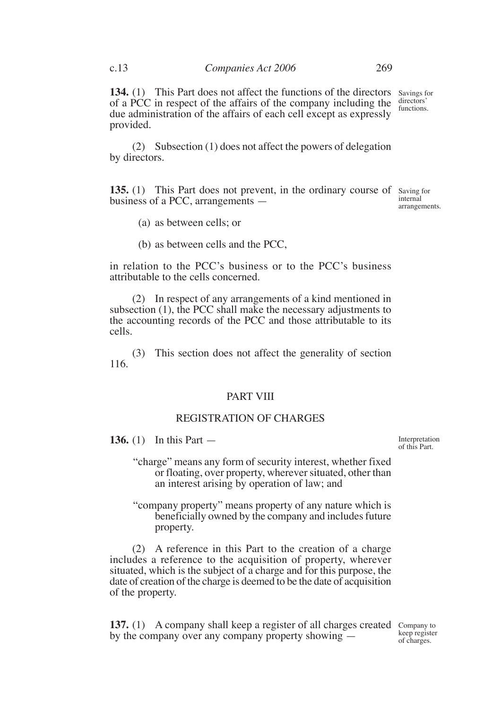**134.** (1) This Part does not affect the functions of the directors of a PCC in respect of the affairs of the company including the due administration of the affairs of each cell except as expressly provided. Savings for directors' functions.

(2) Subsection (1) does not affect the powers of delegation by directors.

**135.** (1) This Part does not prevent, in the ordinary course of Saving for business of a PCC, arrangements —

internal arrangements.

- (a) as between cells; or
- (b) as between cells and the PCC,

in relation to the PCC's business or to the PCC's business attributable to the cells concerned.

(2) In respect of any arrangements of a kind mentioned in subsection (1), the PCC shall make the necessary adjustments to the accounting records of the PCC and those attributable to its cells.

(3) This section does not affect the generality of section 116.

## PART VIII

## REGISTRATION OF CHARGES

**136.** (1) In this Part —

Interpretation of this Part.

"charge" means any form of security interest, whether fixed or floating, over property, wherever situated, other than an interest arising by operation of law; and

"company property" means property of any nature which is beneficially owned by the company and includes future property.

(2) A reference in this Part to the creation of a charge includes a reference to the acquisition of property, wherever situated, which is the subject of a charge and for this purpose, the date of creation of the charge is deemed to be the date of acquisition of the property.

137. (1) A company shall keep a register of all charges created Company to by the company over any company property showing —

keep register of charges.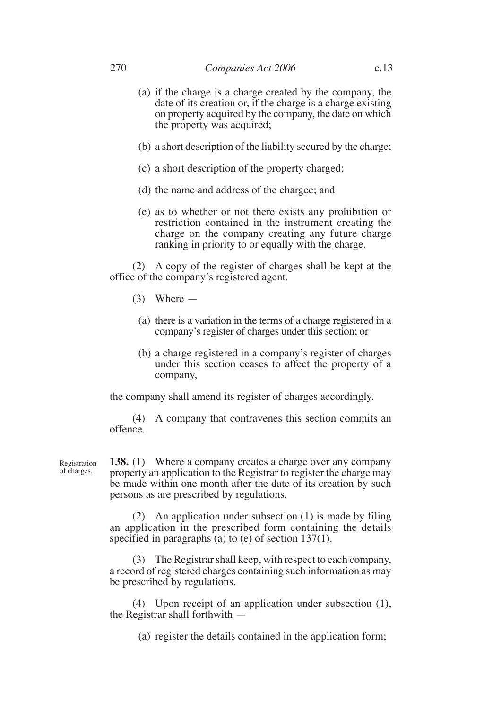- (a) if the charge is a charge created by the company, the date of its creation or, if the charge is a charge existing on property acquired by the company, the date on which the property was acquired;
- (b) a short description of the liability secured by the charge;
- (c) a short description of the property charged;
- (d) the name and address of the chargee; and
- (e) as to whether or not there exists any prohibition or restriction contained in the instrument creating the charge on the company creating any future charge ranking in priority to or equally with the charge.

(2) A copy of the register of charges shall be kept at the office of the company's registered agent.

- $(3)$  Where
	- (a) there is a variation in the terms of a charge registered in a company's register of charges under this section; or
	- (b) a charge registered in a company's register of charges under this section ceases to affect the property of a company,

the company shall amend its register of charges accordingly.

(4) A company that contravenes this section commits an offence.

Registration of charges.

**138.** (1) Where a company creates a charge over any company property an application to the Registrar to register the charge may be made within one month after the date of its creation by such persons as are prescribed by regulations.

(2) An application under subsection (1) is made by filing an application in the prescribed form containing the details specified in paragraphs (a) to (e) of section  $137(1)$ .

(3) The Registrar shall keep, with respect to each company, a record of registered charges containing such information as may be prescribed by regulations.

(4) Upon receipt of an application under subsection (1), the Registrar shall forthwith —

(a) register the details contained in the application form;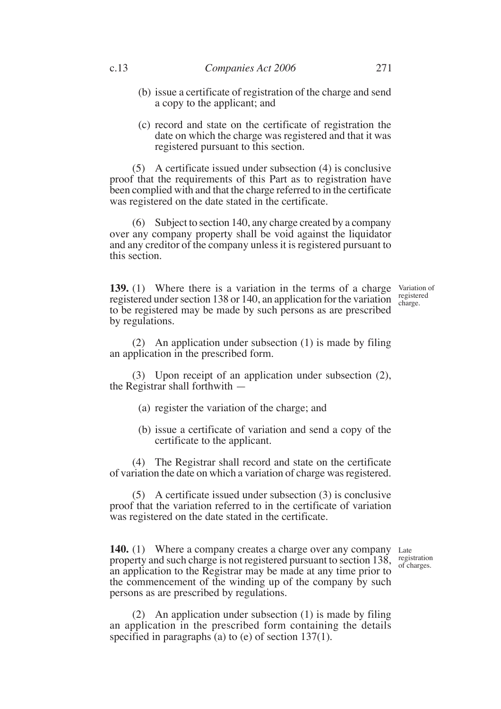- (b) issue a certificate of registration of the charge and send a copy to the applicant; and
- (c) record and state on the certificate of registration the date on which the charge was registered and that it was registered pursuant to this section.

(5) A certificate issued under subsection (4) is conclusive proof that the requirements of this Part as to registration have been complied with and that the charge referred to in the certificate was registered on the date stated in the certificate.

(6) Subject to section 140, any charge created by a company over any company property shall be void against the liquidator and any creditor of the company unless it is registered pursuant to this section.

**139.** (1) Where there is a variation in the terms of a charge Variation of registered under section 138 or 140, an application for the variation to be registered may be made by such persons as are prescribed by regulations.

registered charge.

(2) An application under subsection (1) is made by filing an application in the prescribed form.

(3) Upon receipt of an application under subsection (2), the Registrar shall forthwith —

- (a) register the variation of the charge; and
- (b) issue a certificate of variation and send a copy of the certificate to the applicant.

(4) The Registrar shall record and state on the certificate of variation the date on which a variation of charge was registered.

(5) A certificate issued under subsection (3) is conclusive proof that the variation referred to in the certificate of variation was registered on the date stated in the certificate.

140. (1) Where a company creates a charge over any company Late property and such charge is not registered pursuant to section  $138$ , registration an application to the Registrar may be made at any time prior to the commencement of the winding up of the company by such persons as are prescribed by regulations.

of charges.

(2) An application under subsection (1) is made by filing an application in the prescribed form containing the details specified in paragraphs  $(a)$  to  $(e)$  of section 137(1).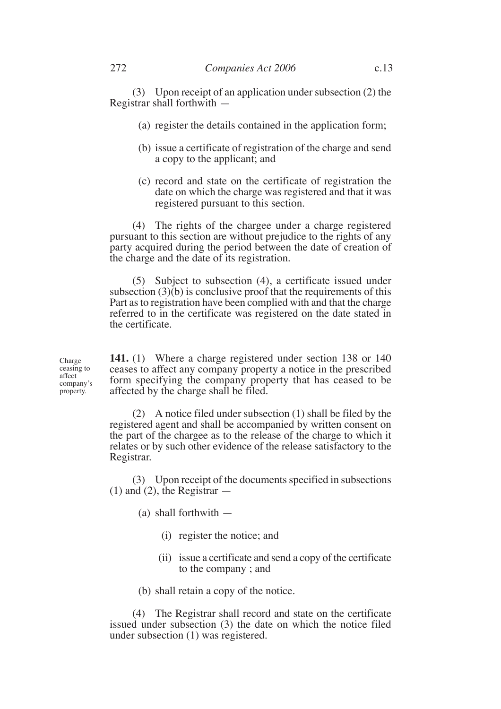(3) Upon receipt of an application under subsection (2) the Registrar shall forthwith —

- (a) register the details contained in the application form;
- (b) issue a certificate of registration of the charge and send a copy to the applicant; and
- (c) record and state on the certificate of registration the date on which the charge was registered and that it was registered pursuant to this section.

(4) The rights of the chargee under a charge registered pursuant to this section are without prejudice to the rights of any party acquired during the period between the date of creation of the charge and the date of its registration.

(5) Subject to subsection (4), a certificate issued under subsection  $(3)(b)$  is conclusive proof that the requirements of this Part as to registration have been complied with and that the charge referred to in the certificate was registered on the date stated in the certificate.

**141.** (1) Where a charge registered under section 138 or 140 ceases to affect any company property a notice in the prescribed form specifying the company property that has ceased to be affected by the charge shall be filed.

(2) A notice filed under subsection (1) shall be filed by the registered agent and shall be accompanied by written consent on the part of the chargee as to the release of the charge to which it relates or by such other evidence of the release satisfactory to the Registrar.

(3) Upon receipt of the documents specified in subsections  $(1)$  and  $(2)$ , the Registrar  $-$ 

(a) shall forthwith —

- (i) register the notice; and
- (ii) issue a certificate and send a copy of the certificate to the company ; and
- (b) shall retain a copy of the notice.

(4) The Registrar shall record and state on the certificate issued under subsection (3) the date on which the notice filed under subsection (1) was registered.

Charge ceasing to affect company's property.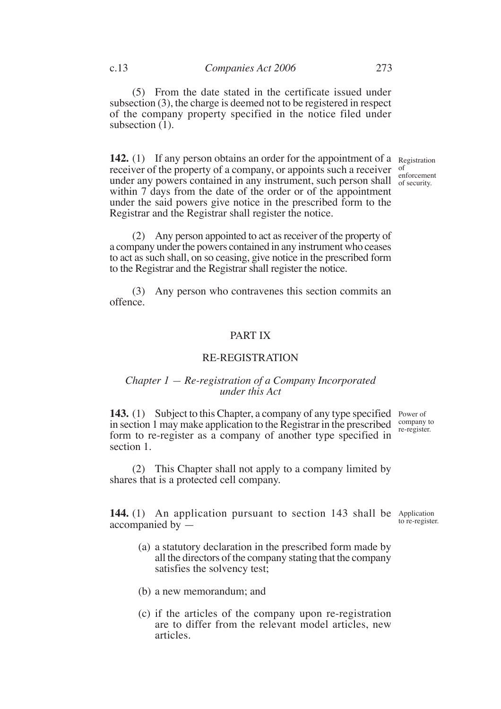**142.** (1) If any person obtains an order for the appointment of a Registration receiver of the property of a company, or appoints such a receiver of exercise of the property of a company, or appoints such a receiver enforcement under any powers contained in any instrument, such person shall of security. within 7 days from the date of the order or of the appointment under the said powers give notice in the prescribed form to the Registrar and the Registrar shall register the notice.

of security.

(2) Any person appointed to act as receiver of the property of a company under the powers contained in any instrument who ceases to act as such shall, on so ceasing, give notice in the prescribed form to the Registrar and the Registrar shall register the notice.

(3) Any person who contravenes this section commits an offence.

#### PART IX

## RE-REGISTRATION

#### *Chapter 1 — Re-registration of a Company Incorporated under this Act*

143. (1) Subject to this Chapter, a company of any type specified Power of in section 1 may make application to the Registrar in the prescribed form to re-register as a company of another type specified in section 1.

company to re-register.

(2) This Chapter shall not apply to a company limited by shares that is a protected cell company.

144. (1) An application pursuant to section 143 shall be Application accompanied by —

- to re-register.
- (a) a statutory declaration in the prescribed form made by all the directors of the company stating that the company satisfies the solvency test;
- (b) a new memorandum; and
- (c) if the articles of the company upon re-registration are to differ from the relevant model articles, new articles.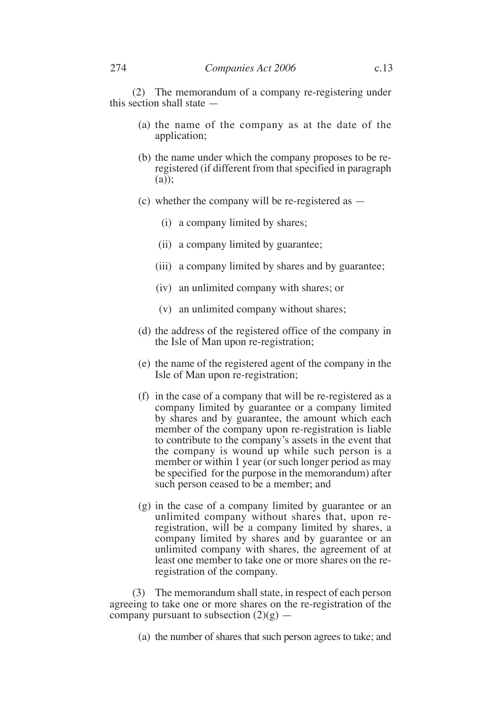(2) The memorandum of a company re-registering under this section shall state —

- (a) the name of the company as at the date of the application;
- (b) the name under which the company proposes to be reregistered (if different from that specified in paragraph (a));
- (c) whether the company will be re-registered as
	- (i) a company limited by shares;
	- (ii) a company limited by guarantee;
	- (iii) a company limited by shares and by guarantee;
	- (iv) an unlimited company with shares; or
	- (v) an unlimited company without shares;
- (d) the address of the registered office of the company in the Isle of Man upon re-registration;
- (e) the name of the registered agent of the company in the Isle of Man upon re-registration;
- (f) in the case of a company that will be re-registered as a company limited by guarantee or a company limited by shares and by guarantee, the amount which each member of the company upon re-registration is liable to contribute to the company's assets in the event that the company is wound up while such person is a member or within 1 year (or such longer period as may be specified for the purpose in the memorandum) after such person ceased to be a member; and
- (g) in the case of a company limited by guarantee or an unlimited company without shares that, upon reregistration, will be a company limited by shares, a company limited by shares and by guarantee or an unlimited company with shares, the agreement of at least one member to take one or more shares on the reregistration of the company.

(3) The memorandum shall state, in respect of each person agreeing to take one or more shares on the re-registration of the company pursuant to subsection  $(2)(g)$  —

(a) the number of shares that such person agrees to take; and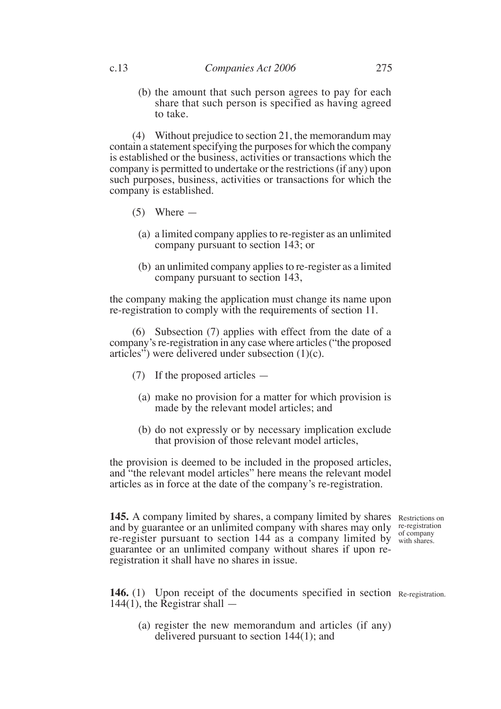(b) the amount that such person agrees to pay for each share that such person is specified as having agreed to take.

(4) Without prejudice to section 21, the memorandum may contain a statement specifying the purposes for which the company is established or the business, activities or transactions which the company is permitted to undertake or the restrictions (if any) upon such purposes, business, activities or transactions for which the company is established.

- $(5)$  Where
	- (a) a limited company applies to re-register as an unlimited company pursuant to section 143; or
	- (b) an unlimited company applies to re-register as a limited company pursuant to section 143,

the company making the application must change its name upon re-registration to comply with the requirements of section 11.

(6) Subsection (7) applies with effect from the date of a company's re-registration in any case where articles ("the proposed articles") were delivered under subsection (1)(c).

- (7) If the proposed articles
	- (a) make no provision for a matter for which provision is made by the relevant model articles; and
	- (b) do not expressly or by necessary implication exclude that provision of those relevant model articles,

the provision is deemed to be included in the proposed articles, and "the relevant model articles" here means the relevant model articles as in force at the date of the company's re-registration.

145. A company limited by shares, a company limited by shares Restrictions on and by guarantee or an unlimited company with shares may only re-registration re-register pursuant to section 144 as a company limited by with shares. guarantee or an unlimited company without shares if upon reregistration it shall have no shares in issue.

with shares.

146. (1) Upon receipt of the documents specified in section Re-registration.  $144(1)$ , the Registrar shall  $-$ 

(a) register the new memorandum and articles (if any) delivered pursuant to section 144(1); and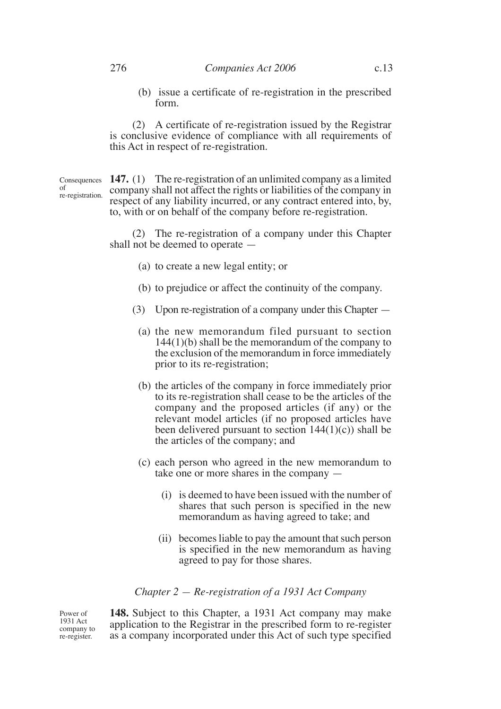(b) issue a certificate of re-registration in the prescribed form.

(2) A certificate of re-registration issued by the Registrar is conclusive evidence of compliance with all requirements of this Act in respect of re-registration.

of re-registration.

Consequences **147.** (1) The re-registration of an unlimited company as a limited company shall not affect the rights or liabilities of the company in respect of any liability incurred, or any contract entered into, by, to, with or on behalf of the company before re-registration.

> (2) The re-registration of a company under this Chapter shall not be deemed to operate —

- (a) to create a new legal entity; or
- (b) to prejudice or affect the continuity of the company.
- (3) Upon re-registration of a company under this Chapter
	- (a) the new memorandum filed pursuant to section 144(1)(b) shall be the memorandum of the company to the exclusion of the memorandum in force immediately prior to its re-registration;
	- (b) the articles of the company in force immediately prior to its re-registration shall cease to be the articles of the company and the proposed articles (if any) or the relevant model articles (if no proposed articles have been delivered pursuant to section  $144(1)(c)$ ) shall be the articles of the company; and
	- (c) each person who agreed in the new memorandum to take one or more shares in the company —
		- (i) is deemed to have been issued with the number of shares that such person is specified in the new memorandum as having agreed to take; and
		- (ii) becomes liable to pay the amount that such person is specified in the new memorandum as having agreed to pay for those shares.

# *Chapter 2 — Re-registration of a 1931 Act Company*

Power of 1931 Act company to re-register.

**148.** Subject to this Chapter, a 1931 Act company may make application to the Registrar in the prescribed form to re-register as a company incorporated under this Act of such type specified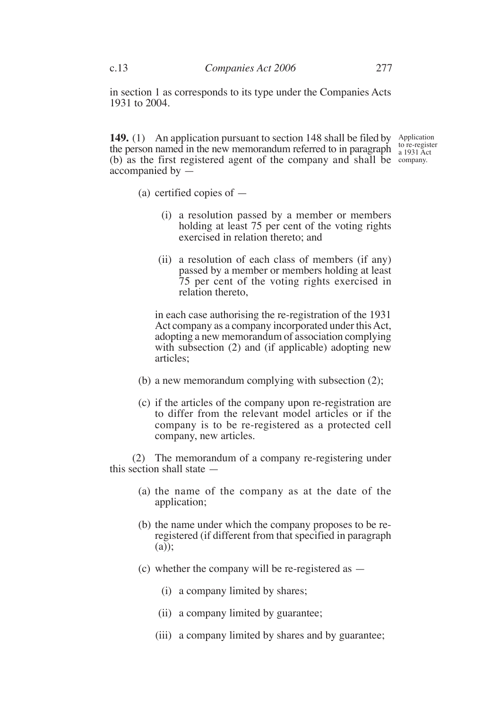in section 1 as corresponds to its type under the Companies Acts 1931 to 2004.

**149.** (1) An application pursuant to section 148 shall be filed by Application the person named in the new memorandum referred to in paragraph (b) as the first registered agent of the company and shall be company.accompanied by —

to re-register a 1931 Act

- (a) certified copies of
	- (i) a resolution passed by a member or members holding at least 75 per cent of the voting rights exercised in relation thereto; and
	- (ii) a resolution of each class of members (if any) passed by a member or members holding at least 75 per cent of the voting rights exercised in relation thereto,

in each case authorising the re-registration of the 1931 Act company as a company incorporated under this Act, adopting a new memorandum of association complying with subsection (2) and (if applicable) adopting new articles;

- (b) a new memorandum complying with subsection (2);
- (c) if the articles of the company upon re-registration are to differ from the relevant model articles or if the company is to be re-registered as a protected cell company, new articles.

(2) The memorandum of a company re-registering under this section shall state —

- (a) the name of the company as at the date of the application;
- (b) the name under which the company proposes to be reregistered (if different from that specified in paragraph (a));
- (c) whether the company will be re-registered as
	- (i) a company limited by shares;
	- (ii) a company limited by guarantee;
	- (iii) a company limited by shares and by guarantee;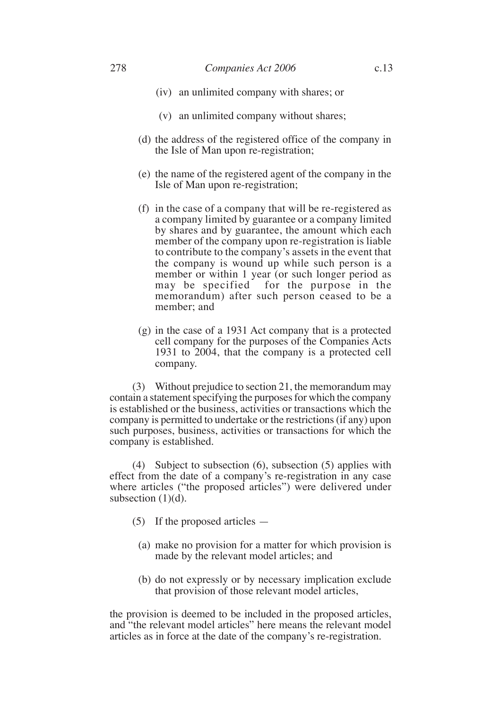- (v) an unlimited company without shares;
- (d) the address of the registered office of the company in the Isle of Man upon re-registration;
- (e) the name of the registered agent of the company in the Isle of Man upon re-registration;
- (f) in the case of a company that will be re-registered as a company limited by guarantee or a company limited by shares and by guarantee, the amount which each member of the company upon re-registration is liable to contribute to the company's assets in the event that the company is wound up while such person is a member or within 1 year (or such longer period as may be specified for the purpose in the memorandum) after such person ceased to be a member; and
- (g) in the case of a 1931 Act company that is a protected cell company for the purposes of the Companies Acts 1931 to 2004, that the company is a protected cell company.

(3) Without prejudice to section 21, the memorandum may contain a statement specifying the purposes for which the company is established or the business, activities or transactions which the company is permitted to undertake or the restrictions (if any) upon such purposes, business, activities or transactions for which the company is established.

(4) Subject to subsection (6), subsection (5) applies with effect from the date of a company's re-registration in any case where articles ("the proposed articles") were delivered under subsection  $(1)(d)$ .

- (5) If the proposed articles
	- (a) make no provision for a matter for which provision is made by the relevant model articles; and
	- (b) do not expressly or by necessary implication exclude that provision of those relevant model articles,

the provision is deemed to be included in the proposed articles, and "the relevant model articles" here means the relevant model articles as in force at the date of the company's re-registration.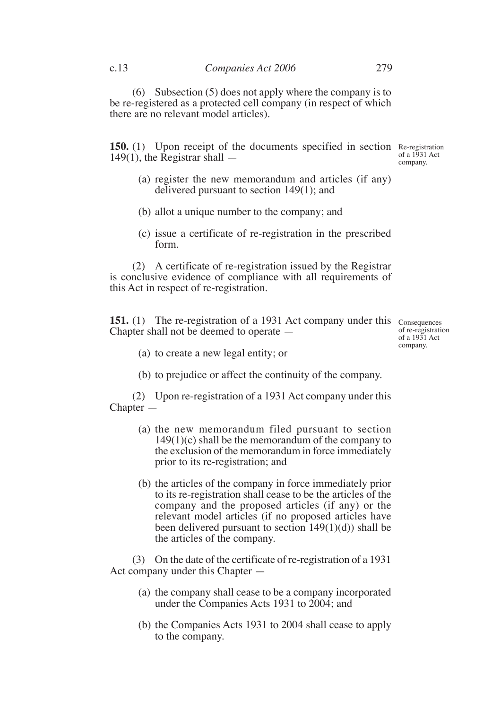(6) Subsection (5) does not apply where the company is to be re-registered as a protected cell company (in respect of which there are no relevant model articles).

**150.** (1) Upon receipt of the documents specified in section Re-registration  $149(1)$ , the Registrar shall  $-$ 

of a 1931 Act company.

- (a) register the new memorandum and articles (if any) delivered pursuant to section 149(1); and
- (b) allot a unique number to the company; and
- (c) issue a certificate of re-registration in the prescribed form.

(2) A certificate of re-registration issued by the Registrar is conclusive evidence of compliance with all requirements of this Act in respect of re-registration.

**151.** (1) The re-registration of a 1931 Act company under this Consequences Chapter shall not be deemed to operate —

of re-registration of a  $19\overline{3}1$  Act company.

- (a) to create a new legal entity; or
- (b) to prejudice or affect the continuity of the company.

(2) Upon re-registration of a 1931 Act company under this Chapter —

- (a) the new memorandum filed pursuant to section  $149(1)(c)$  shall be the memorandum of the company to the exclusion of the memorandum in force immediately prior to its re-registration; and
- (b) the articles of the company in force immediately prior to its re-registration shall cease to be the articles of the company and the proposed articles (if any) or the relevant model articles (if no proposed articles have been delivered pursuant to section  $149(1)(d)$ ) shall be the articles of the company.

(3) On the date of the certificate of re-registration of a 1931 Act company under this Chapter —

- (a) the company shall cease to be a company incorporated under the Companies Acts 1931 to 2004; and
- (b) the Companies Acts 1931 to 2004 shall cease to apply to the company.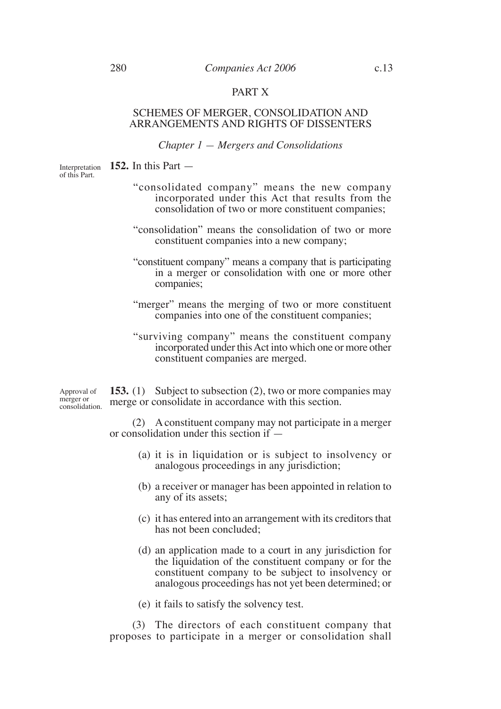# PART X

#### SCHEMES OF MERGER, CONSOLIDATION AND ARRANGEMENTS AND RIGHTS OF DISSENTERS

## *Chapter 1 — Mergers and Consolidations*

Interpretation **152.** In this Part – of this Part.

- "consolidated company" means the new company incorporated under this Act that results from the consolidation of two or more constituent companies;
- "consolidation" means the consolidation of two or more constituent companies into a new company;
- "constituent company" means a company that is participating in a merger or consolidation with one or more other companies;
- "merger" means the merging of two or more constituent companies into one of the constituent companies;
- "surviving company" means the constituent company incorporated under this Act into which one or more other constituent companies are merged.

**153.** (1) Subject to subsection (2), two or more companies may merge or consolidate in accordance with this section. Approval of merger or consolidation.

> (2) A constituent company may not participate in a merger or consolidation under this section if —

- (a) it is in liquidation or is subject to insolvency or analogous proceedings in any jurisdiction;
- (b) a receiver or manager has been appointed in relation to any of its assets;
- (c) it has entered into an arrangement with its creditors that has not been concluded;
- (d) an application made to a court in any jurisdiction for the liquidation of the constituent company or for the constituent company to be subject to insolvency or analogous proceedings has not yet been determined; or
- (e) it fails to satisfy the solvency test.

(3) The directors of each constituent company that proposes to participate in a merger or consolidation shall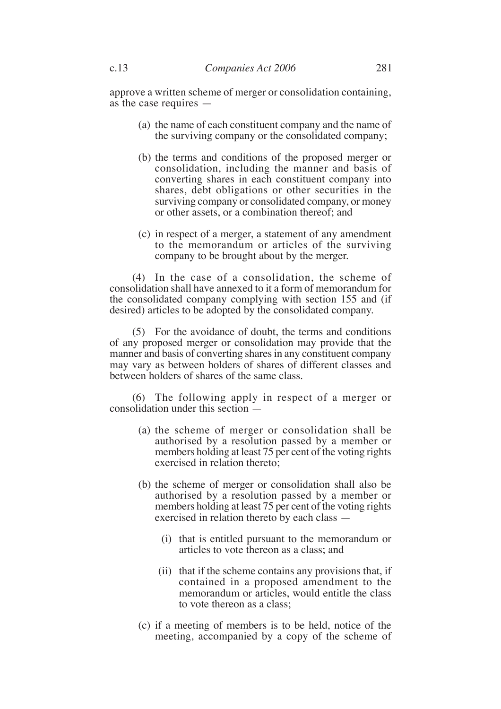approve a written scheme of merger or consolidation containing, as the case requires —

- (a) the name of each constituent company and the name of the surviving company or the consolidated company;
- (b) the terms and conditions of the proposed merger or consolidation, including the manner and basis of converting shares in each constituent company into shares, debt obligations or other securities in the surviving company or consolidated company, or money or other assets, or a combination thereof; and
- (c) in respect of a merger, a statement of any amendment to the memorandum or articles of the surviving company to be brought about by the merger.

(4) In the case of a consolidation, the scheme of consolidation shall have annexed to it a form of memorandum for the consolidated company complying with section 155 and (if desired) articles to be adopted by the consolidated company.

(5) For the avoidance of doubt, the terms and conditions of any proposed merger or consolidation may provide that the manner and basis of converting shares in any constituent company may vary as between holders of shares of different classes and between holders of shares of the same class.

(6) The following apply in respect of a merger or consolidation under this section —

- (a) the scheme of merger or consolidation shall be authorised by a resolution passed by a member or members holding at least 75 per cent of the voting rights exercised in relation thereto;
- (b) the scheme of merger or consolidation shall also be authorised by a resolution passed by a member or members holding at least 75 per cent of the voting rights exercised in relation thereto by each class —
	- (i) that is entitled pursuant to the memorandum or articles to vote thereon as a class; and
	- (ii) that if the scheme contains any provisions that, if contained in a proposed amendment to the memorandum or articles, would entitle the class to vote thereon as a class;
- (c) if a meeting of members is to be held, notice of the meeting, accompanied by a copy of the scheme of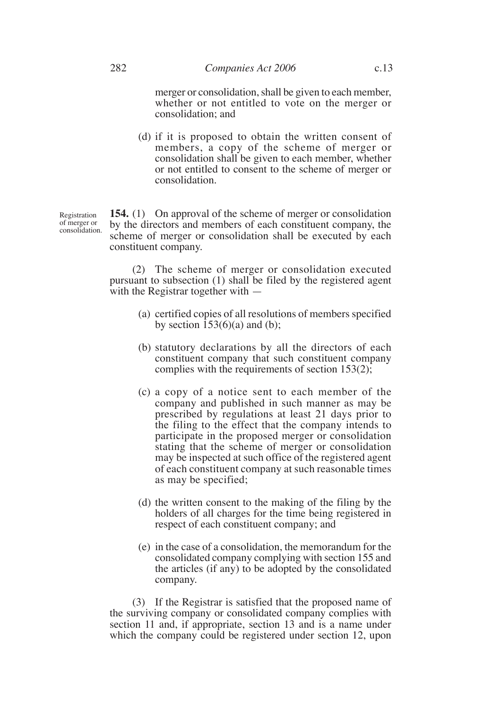merger or consolidation, shall be given to each member, whether or not entitled to vote on the merger or consolidation; and

(d) if it is proposed to obtain the written consent of members, a copy of the scheme of merger or consolidation shall be given to each member, whether or not entitled to consent to the scheme of merger or consolidation.

**154.** (1) On approval of the scheme of merger or consolidation by the directors and members of each constituent company, the scheme of merger or consolidation shall be executed by each constituent company.

(2) The scheme of merger or consolidation executed pursuant to subsection (1) shall be filed by the registered agent with the Registrar together with —

- (a) certified copies of all resolutions of members specified by section  $\overline{153(6)}$ (a) and (b);
- (b) statutory declarations by all the directors of each constituent company that such constituent company complies with the requirements of section 153(2);
- (c) a copy of a notice sent to each member of the company and published in such manner as may be prescribed by regulations at least 21 days prior to the filing to the effect that the company intends to participate in the proposed merger or consolidation stating that the scheme of merger or consolidation may be inspected at such office of the registered agent of each constituent company at such reasonable times as may be specified;
- (d) the written consent to the making of the filing by the holders of all charges for the time being registered in respect of each constituent company; and
- (e) in the case of a consolidation, the memorandum for the consolidated company complying with section 155 and the articles (if any) to be adopted by the consolidated company.

(3) If the Registrar is satisfied that the proposed name of the surviving company or consolidated company complies with section 11 and, if appropriate, section 13 and is a name under which the company could be registered under section 12, upon

Registration of merger or consolidation.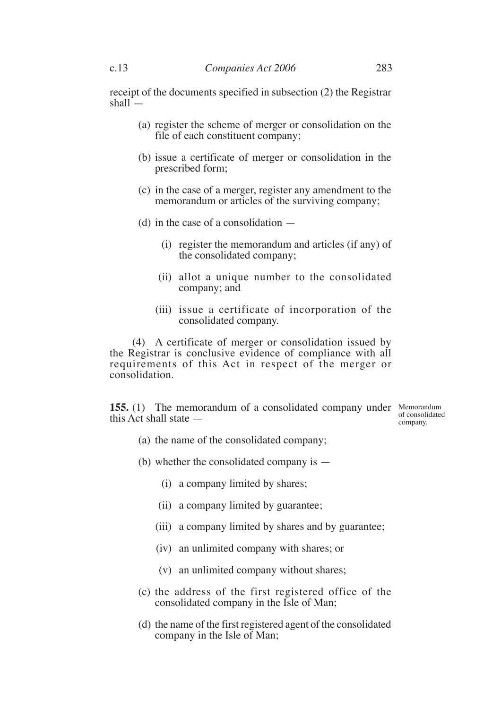receipt of the documents specified in subsection (2) the Registrar shall $\overline{\phantom{a}}$ 

- (a) register the scheme of merger or consolidation on the file of each constituent company;
- (b) issue a certificate of merger or consolidation in the prescribed form;
- (c) in the case of a merger, register any amendment to the memorandum or articles of the surviving company;
- (d) in the case of a consolidation
	- (i) register the memorandum and articles (if any) of the consolidated company;
	- (ii) allot a unique number to the consolidated company; and
	- (iii) issue a certificate of incorporation of the consolidated company.

(4) A certificate of merger or consolidation issued by the Registrar is conclusive evidence of compliance with all requirements of this Act in respect of the merger or consolidation.

**155.** (1) The memorandum of a consolidated company under Memorandum this Act shall state —

of consolidated company.

- (a) the name of the consolidated company;
- (b) whether the consolidated company is
	- (i) a company limited by shares;
	- (ii) a company limited by guarantee;
	- (iii) a company limited by shares and by guarantee;
	- (iv) an unlimited company with shares; or
	- (v) an unlimited company without shares;
- (c) the address of the first registered office of the consolidated company in the Isle of Man;
- (d) the name of the first registered agent of the consolidated company in the Isle of Man;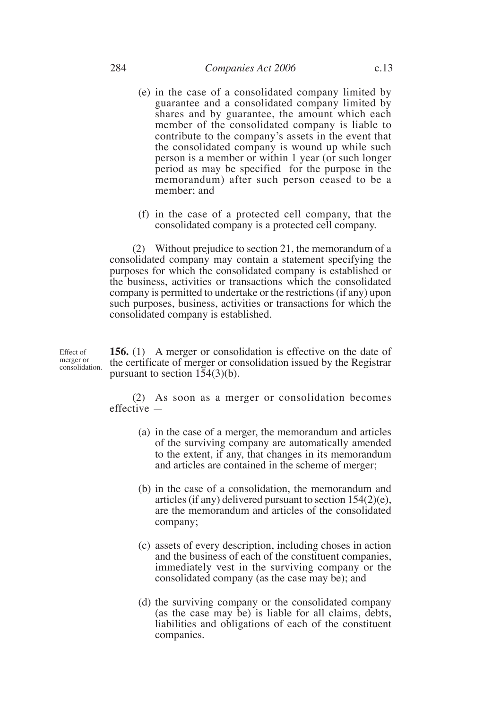- (e) in the case of a consolidated company limited by guarantee and a consolidated company limited by shares and by guarantee, the amount which each member of the consolidated company is liable to contribute to the company's assets in the event that the consolidated company is wound up while such person is a member or within 1 year (or such longer period as may be specified for the purpose in the memorandum) after such person ceased to be a member; and
- (f) in the case of a protected cell company, that the consolidated company is a protected cell company.

(2) Without prejudice to section 21, the memorandum of a consolidated company may contain a statement specifying the purposes for which the consolidated company is established or the business, activities or transactions which the consolidated company is permitted to undertake or the restrictions (if any) upon such purposes, business, activities or transactions for which the consolidated company is established.

**156.** (1) A merger or consolidation is effective on the date of the certificate of merger or consolidation issued by the Registrar pursuant to section  $1\overline{5}4(3)(b)$ . Effect of merger or consolidation.

> (2) As soon as a merger or consolidation becomes effective —

- (a) in the case of a merger, the memorandum and articles of the surviving company are automatically amended to the extent, if any, that changes in its memorandum and articles are contained in the scheme of merger;
- (b) in the case of a consolidation, the memorandum and articles (if any) delivered pursuant to section 154(2)(e), are the memorandum and articles of the consolidated company;
- (c) assets of every description, including choses in action and the business of each of the constituent companies, immediately vest in the surviving company or the consolidated company (as the case may be); and
- (d) the surviving company or the consolidated company (as the case may be) is liable for all claims, debts, liabilities and obligations of each of the constituent companies.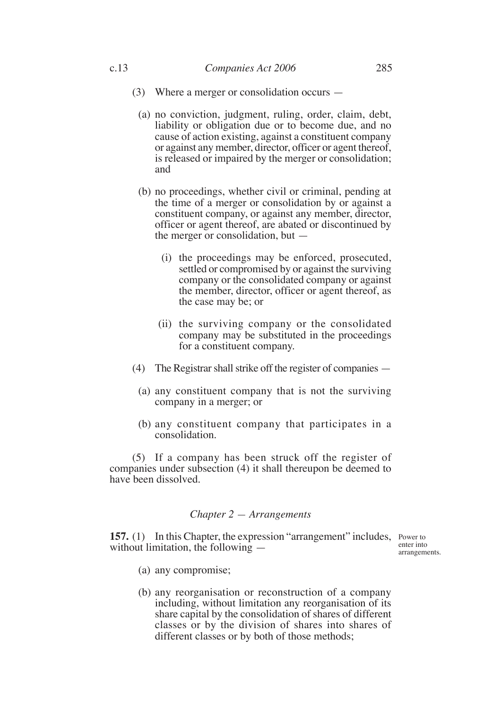- (3) Where a merger or consolidation occurs
	- (a) no conviction, judgment, ruling, order, claim, debt, liability or obligation due or to become due, and no cause of action existing, against a constituent company or against any member, director, officer or agent thereof, is released or impaired by the merger or consolidation; and
	- (b) no proceedings, whether civil or criminal, pending at the time of a merger or consolidation by or against a constituent company, or against any member, director, officer or agent thereof, are abated or discontinued by the merger or consolidation, but —
		- (i) the proceedings may be enforced, prosecuted, settled or compromised by or against the surviving company or the consolidated company or against the member, director, officer or agent thereof, as the case may be; or
		- (ii) the surviving company or the consolidated company may be substituted in the proceedings for a constituent company.
- (4) The Registrar shall strike off the register of companies
	- (a) any constituent company that is not the surviving company in a merger; or
	- (b) any constituent company that participates in a consolidation.

(5) If a company has been struck off the register of companies under subsection (4) it shall thereupon be deemed to have been dissolved.

## *Chapter 2 — Arrangements*

**157.** (1) In this Chapter, the expression "arrangement" includes, Power to without limitation, the following

enter into arrangements.

- (a) any compromise;
- (b) any reorganisation or reconstruction of a company including, without limitation any reorganisation of its share capital by the consolidation of shares of different classes or by the division of shares into shares of different classes or by both of those methods;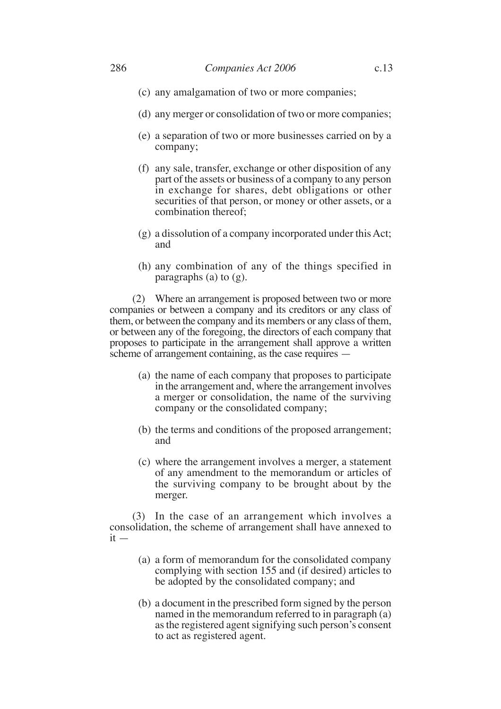- (c) any amalgamation of two or more companies;
- (d) any merger or consolidation of two or more companies;
- (e) a separation of two or more businesses carried on by a company;
- (f) any sale, transfer, exchange or other disposition of any part of the assets or business of a company to any person in exchange for shares, debt obligations or other securities of that person, or money or other assets, or a combination thereof;
- (g) a dissolution of a company incorporated under this Act; and
- (h) any combination of any of the things specified in paragraphs (a) to  $(g)$ .

(2) Where an arrangement is proposed between two or more companies or between a company and its creditors or any class of them, or between the company and its members or any class of them, or between any of the foregoing, the directors of each company that proposes to participate in the arrangement shall approve a written scheme of arrangement containing, as the case requires —

- (a) the name of each company that proposes to participate in the arrangement and, where the arrangement involves a merger or consolidation, the name of the surviving company or the consolidated company;
- (b) the terms and conditions of the proposed arrangement; and
- (c) where the arrangement involves a merger, a statement of any amendment to the memorandum or articles of the surviving company to be brought about by the merger.

(3) In the case of an arrangement which involves a consolidation, the scheme of arrangement shall have annexed to  $it -$ 

- (a) a form of memorandum for the consolidated company complying with section 155 and (if desired) articles to be adopted by the consolidated company; and
- (b) a document in the prescribed form signed by the person named in the memorandum referred to in paragraph (a) as the registered agent signifying such person's consent to act as registered agent.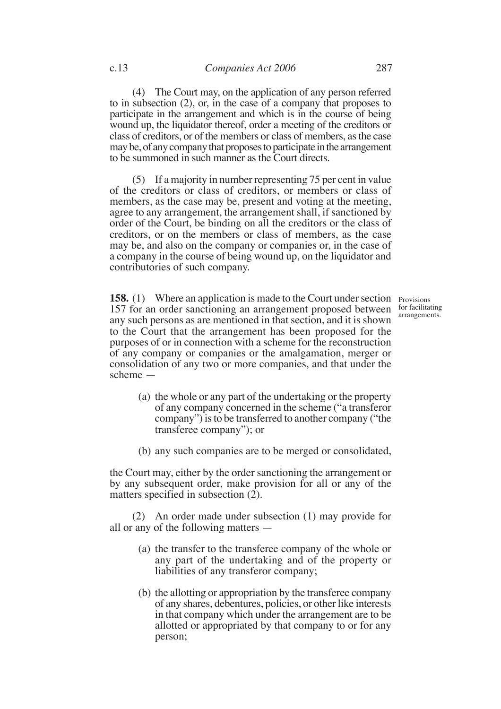(4) The Court may, on the application of any person referred to in subsection (2), or, in the case of a company that proposes to participate in the arrangement and which is in the course of being wound up, the liquidator thereof, order a meeting of the creditors or class of creditors, or of the members or class of members, as the case may be, of any company that proposes to participate in the arrangement to be summoned in such manner as the Court directs.

(5) If a majority in number representing 75 per cent in value of the creditors or class of creditors, or members or class of members, as the case may be, present and voting at the meeting, agree to any arrangement, the arrangement shall, if sanctioned by order of the Court, be binding on all the creditors or the class of creditors, or on the members or class of members, as the case may be, and also on the company or companies or, in the case of a company in the course of being wound up, on the liquidator and contributories of such company.

**158.** (1) Where an application is made to the Court under section Provisions 157 for an order sanctioning an arrangement proposed between any such persons as are mentioned in that section, and it is shown to the Court that the arrangement has been proposed for the purposes of or in connection with a scheme for the reconstruction of any company or companies or the amalgamation, merger or consolidation of any two or more companies, and that under the scheme —

for facilitating arrangements.

- (a) the whole or any part of the undertaking or the property of any company concerned in the scheme ("a transferor company") is to be transferred to another company ("the transferee company"); or
- (b) any such companies are to be merged or consolidated,

the Court may, either by the order sanctioning the arrangement or by any subsequent order, make provision for all or any of the matters specified in subsection (2).

(2) An order made under subsection (1) may provide for all or any of the following matters —

- (a) the transfer to the transferee company of the whole or any part of the undertaking and of the property or liabilities of any transferor company;
- (b) the allotting or appropriation by the transferee company of any shares, debentures, policies, or other like interests in that company which under the arrangement are to be allotted or appropriated by that company to or for any person;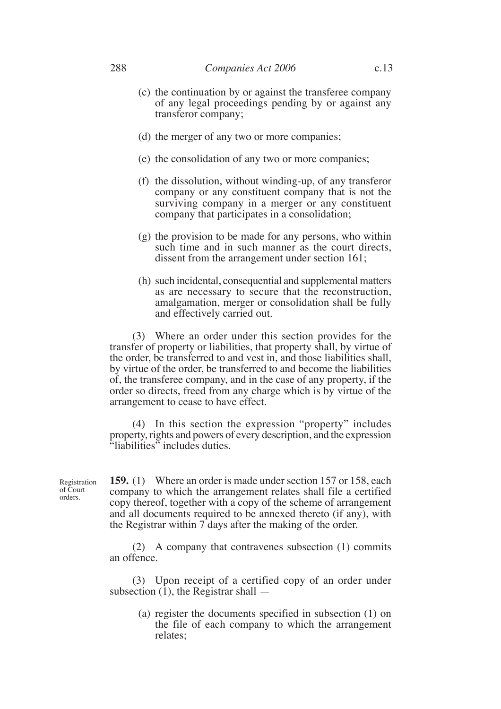- (c) the continuation by or against the transferee company of any legal proceedings pending by or against any transferor company;
- (d) the merger of any two or more companies;
- (e) the consolidation of any two or more companies;
- (f) the dissolution, without winding-up, of any transferor company or any constituent company that is not the surviving company in a merger or any constituent company that participates in a consolidation;
- (g) the provision to be made for any persons, who within such time and in such manner as the court directs, dissent from the arrangement under section 161;
- (h) such incidental, consequential and supplemental matters as are necessary to secure that the reconstruction, amalgamation, merger or consolidation shall be fully and effectively carried out.

(3) Where an order under this section provides for the transfer of property or liabilities, that property shall, by virtue of the order, be transferred to and vest in, and those liabilities shall, by virtue of the order, be transferred to and become the liabilities of, the transferee company, and in the case of any property, if the order so directs, freed from any charge which is by virtue of the arrangement to cease to have effect.

(4) In this section the expression "property" includes property, rights and powers of every description, and the expression "liabilities" includes duties.

Registration of Court orders.

**159.** (1) Where an order is made under section 157 or 158, each company to which the arrangement relates shall file a certified copy thereof, together with a copy of the scheme of arrangement and all documents required to be annexed thereto (if any), with the Registrar within 7 days after the making of the order.

(2) A company that contravenes subsection (1) commits an offence.

(3) Upon receipt of a certified copy of an order under subsection  $(1)$ , the Registrar shall  $-$ 

> (a) register the documents specified in subsection (1) on the file of each company to which the arrangement relates;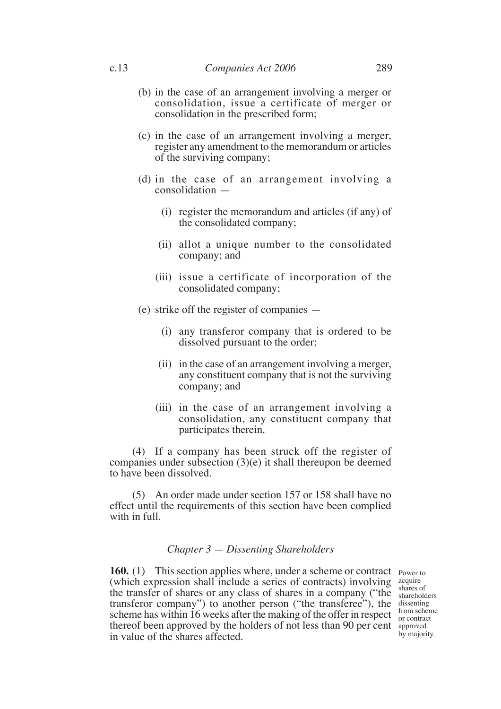- (b) in the case of an arrangement involving a merger or consolidation, issue a certificate of merger or consolidation in the prescribed form;
- (c) in the case of an arrangement involving a merger, register any amendment to the memorandum or articles of the surviving company;
- (d) in the case of an arrangement involving a consolidation —
	- (i) register the memorandum and articles (if any) of the consolidated company;
	- (ii) allot a unique number to the consolidated company; and
	- (iii) issue a certificate of incorporation of the consolidated company;
- (e) strike off the register of companies
	- (i) any transferor company that is ordered to be dissolved pursuant to the order;
	- (ii) in the case of an arrangement involving a merger, any constituent company that is not the surviving company; and
	- (iii) in the case of an arrangement involving a consolidation, any constituent company that participates therein.

(4) If a company has been struck off the register of companies under subsection (3)(e) it shall thereupon be deemed to have been dissolved.

(5) An order made under section 157 or 158 shall have no effect until the requirements of this section have been complied with in full.

## *Chapter 3 — Dissenting Shareholders*

**160.** (1) This section applies where, under a scheme or contract Power to (which expression shall include a series of contracts) involving the transfer of shares or any class of shares in a company ("the transferor company") to another person ("the transferee"), the dissenting scheme has within 16 weeks after the making of the offer in respect  $\frac{1000 \text{ m}}{200 \text{ m}}$ thereof been approved by the holders of not less than 90 per cent approved in value of the shares affected.

acquire shares of shareholders from scheme by majority.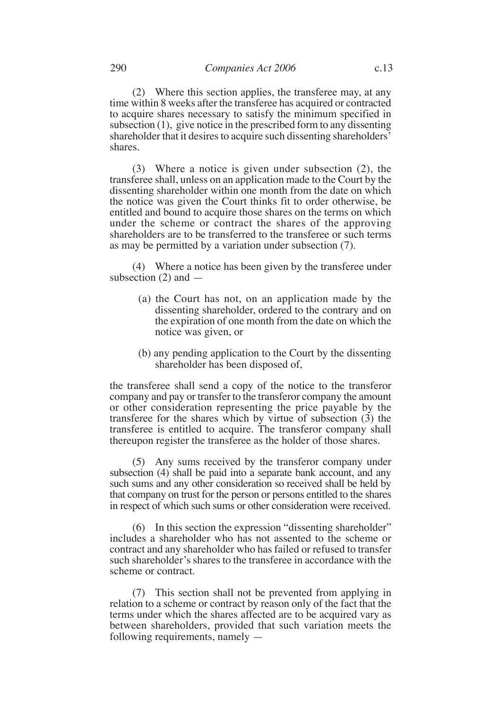(2) Where this section applies, the transferee may, at any time within 8 weeks after the transferee has acquired or contracted to acquire shares necessary to satisfy the minimum specified in subsection (1), give notice in the prescribed form to any dissenting shareholder that it desires to acquire such dissenting shareholders' shares.

(3) Where a notice is given under subsection (2), the transferee shall, unless on an application made to the Court by the dissenting shareholder within one month from the date on which the notice was given the Court thinks fit to order otherwise, be entitled and bound to acquire those shares on the terms on which under the scheme or contract the shares of the approving shareholders are to be transferred to the transferee or such terms as may be permitted by a variation under subsection (7).

(4) Where a notice has been given by the transferee under subsection  $(2)$  and  $-$ 

- (a) the Court has not, on an application made by the dissenting shareholder, ordered to the contrary and on the expiration of one month from the date on which the notice was given, or
- (b) any pending application to the Court by the dissenting shareholder has been disposed of,

the transferee shall send a copy of the notice to the transferor company and pay or transfer to the transferor company the amount or other consideration representing the price payable by the transferee for the shares which by virtue of subsection  $(3)$  the transferee is entitled to acquire. The transferor company shall thereupon register the transferee as the holder of those shares.

(5) Any sums received by the transferor company under subsection (4) shall be paid into a separate bank account, and any such sums and any other consideration so received shall be held by that company on trust for the person or persons entitled to the shares in respect of which such sums or other consideration were received.

(6) In this section the expression "dissenting shareholder" includes a shareholder who has not assented to the scheme or contract and any shareholder who has failed or refused to transfer such shareholder's shares to the transferee in accordance with the scheme or contract.

(7) This section shall not be prevented from applying in relation to a scheme or contract by reason only of the fact that the terms under which the shares affected are to be acquired vary as between shareholders, provided that such variation meets the following requirements, namely —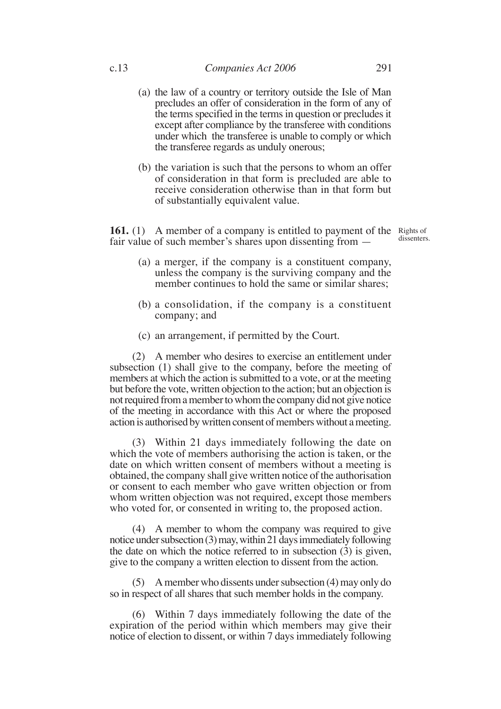- (a) the law of a country or territory outside the Isle of Man precludes an offer of consideration in the form of any of the terms specified in the terms in question or precludes it except after compliance by the transferee with conditions under which the transferee is unable to comply or which the transferee regards as unduly onerous;
- (b) the variation is such that the persons to whom an offer of consideration in that form is precluded are able to receive consideration otherwise than in that form but of substantially equivalent value.

**161.** (1) A member of a company is entitled to payment of the Rights of fair value of such member's shares upon dissenting from —

dissenters.

- (a) a merger, if the company is a constituent company, unless the company is the surviving company and the member continues to hold the same or similar shares;
- (b) a consolidation, if the company is a constituent company; and
- (c) an arrangement, if permitted by the Court.

(2) A member who desires to exercise an entitlement under subsection (1) shall give to the company, before the meeting of members at which the action is submitted to a vote, or at the meeting but before the vote, written objection to the action; but an objection is not required from a member to whom the company did not give notice of the meeting in accordance with this Act or where the proposed action is authorised by written consent of members without a meeting.

(3) Within 21 days immediately following the date on which the vote of members authorising the action is taken, or the date on which written consent of members without a meeting is obtained, the company shall give written notice of the authorisation or consent to each member who gave written objection or from whom written objection was not required, except those members who voted for, or consented in writing to, the proposed action.

(4) A member to whom the company was required to give notice under subsection (3) may, within 21 days immediately following the date on which the notice referred to in subsection  $(3)$  is given, give to the company a written election to dissent from the action.

(5) A member who dissents under subsection (4) may only do so in respect of all shares that such member holds in the company.

(6) Within 7 days immediately following the date of the expiration of the period within which members may give their notice of election to dissent, or within 7 days immediately following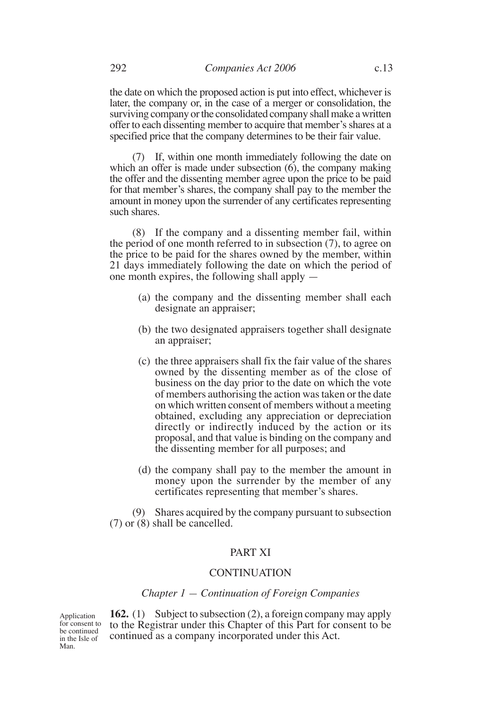the date on which the proposed action is put into effect, whichever is later, the company or, in the case of a merger or consolidation, the surviving company or the consolidated company shall make a written offer to each dissenting member to acquire that member's shares at a specified price that the company determines to be their fair value.

(7) If, within one month immediately following the date on which an offer is made under subsection  $(6)$ , the company making the offer and the dissenting member agree upon the price to be paid for that member's shares, the company shall pay to the member the amount in money upon the surrender of any certificates representing such shares.

(8) If the company and a dissenting member fail, within the period of one month referred to in subsection (7), to agree on the price to be paid for the shares owned by the member, within 21 days immediately following the date on which the period of one month expires, the following shall apply —

- (a) the company and the dissenting member shall each designate an appraiser;
- (b) the two designated appraisers together shall designate an appraiser;
- (c) the three appraisers shall fix the fair value of the shares owned by the dissenting member as of the close of business on the day prior to the date on which the vote of members authorising the action was taken or the date on which written consent of members without a meeting obtained, excluding any appreciation or depreciation directly or indirectly induced by the action or its proposal, and that value is binding on the company and the dissenting member for all purposes; and
- (d) the company shall pay to the member the amount in money upon the surrender by the member of any certificates representing that member's shares.

(9) Shares acquired by the company pursuant to subsection (7) or (8) shall be cancelled.

# PART XI

#### CONTINUATION

## *Chapter 1 — Continuation of Foreign Companies*

Application for consent to be continued in the Isle of Man.

**162.** (1) Subject to subsection (2), a foreign company may apply to the Registrar under this Chapter of this Part for consent to be continued as a company incorporated under this Act.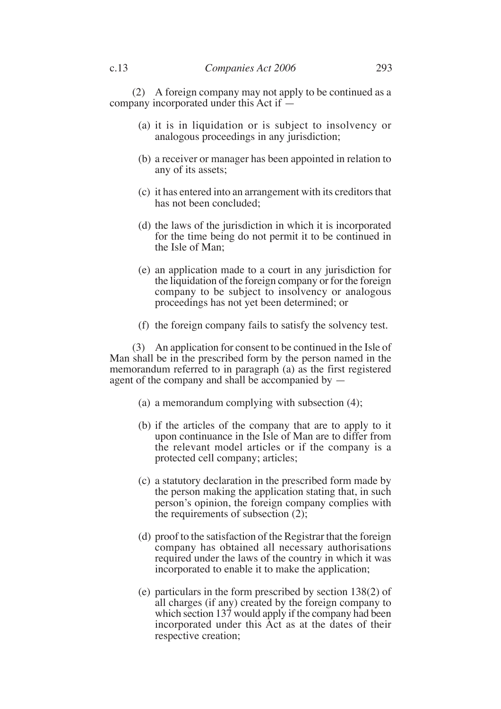(2) A foreign company may not apply to be continued as a company incorporated under this Act if —

- (a) it is in liquidation or is subject to insolvency or analogous proceedings in any jurisdiction;
- (b) a receiver or manager has been appointed in relation to any of its assets;
- (c) it has entered into an arrangement with its creditors that has not been concluded;
- (d) the laws of the jurisdiction in which it is incorporated for the time being do not permit it to be continued in the Isle of Man;
- (e) an application made to a court in any jurisdiction for the liquidation of the foreign company or for the foreign company to be subject to insolvency or analogous proceedings has not yet been determined; or
- (f) the foreign company fails to satisfy the solvency test.

(3) An application for consent to be continued in the Isle of Man shall be in the prescribed form by the person named in the memorandum referred to in paragraph (a) as the first registered agent of the company and shall be accompanied by —

- (a) a memorandum complying with subsection (4);
- (b) if the articles of the company that are to apply to it upon continuance in the Isle of Man are to differ from the relevant model articles or if the company is a protected cell company; articles;
- (c) a statutory declaration in the prescribed form made by the person making the application stating that, in such person's opinion, the foreign company complies with the requirements of subsection  $(2)$ ;
- (d) proof to the satisfaction of the Registrar that the foreign company has obtained all necessary authorisations required under the laws of the country in which it was incorporated to enable it to make the application;
- (e) particulars in the form prescribed by section 138(2) of all charges (if any) created by the foreign company to which section 137 would apply if the company had been incorporated under this Act as at the dates of their respective creation;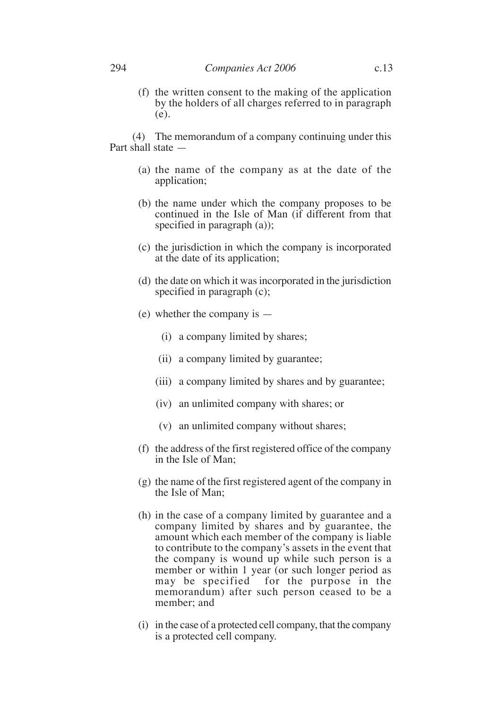(f) the written consent to the making of the application by the holders of all charges referred to in paragraph (e).

(4) The memorandum of a company continuing under this Part shall state —

- (a) the name of the company as at the date of the application;
- (b) the name under which the company proposes to be continued in the Isle of Man (if different from that specified in paragraph (a));
- (c) the jurisdiction in which the company is incorporated at the date of its application;
- (d) the date on which it was incorporated in the jurisdiction specified in paragraph (c);
- (e) whether the company is
	- (i) a company limited by shares;
	- (ii) a company limited by guarantee;
	- (iii) a company limited by shares and by guarantee;
	- (iv) an unlimited company with shares; or
	- (v) an unlimited company without shares;
- (f) the address of the first registered office of the company in the Isle of Man;
- (g) the name of the first registered agent of the company in the Isle of Man;
- (h) in the case of a company limited by guarantee and a company limited by shares and by guarantee, the amount which each member of the company is liable to contribute to the company's assets in the event that the company is wound up while such person is a member or within 1 year (or such longer period as may be specified for the purpose in the memorandum) after such person ceased to be a member; and
- (i) in the case of a protected cell company, that the company is a protected cell company.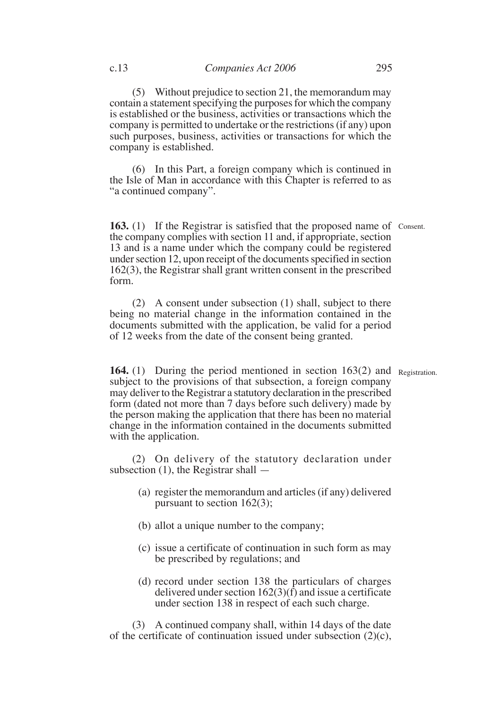(5) Without prejudice to section 21, the memorandum may contain a statement specifying the purposes for which the company is established or the business, activities or transactions which the company is permitted to undertake or the restrictions (if any) upon such purposes, business, activities or transactions for which the company is established.

(6) In this Part, a foreign company which is continued in the Isle of Man in accordance with this Chapter is referred to as "a continued company".

**163.** (1) If the Registrar is satisfied that the proposed name of Consent. the company complies with section 11 and, if appropriate, section 13 and is a name under which the company could be registered under section 12, upon receipt of the documents specified in section 162(3), the Registrar shall grant written consent in the prescribed form.

(2) A consent under subsection (1) shall, subject to there being no material change in the information contained in the documents submitted with the application, be valid for a period of 12 weeks from the date of the consent being granted.

164. (1) During the period mentioned in section 163(2) and Registration. subject to the provisions of that subsection, a foreign company may deliver to the Registrar a statutory declaration in the prescribed form (dated not more than 7 days before such delivery) made by the person making the application that there has been no material change in the information contained in the documents submitted with the application.

(2) On delivery of the statutory declaration under subsection (1), the Registrar shall —

- (a) register the memorandum and articles (if any) delivered pursuant to section 162(3);
- (b) allot a unique number to the company;
- (c) issue a certificate of continuation in such form as may be prescribed by regulations; and
- (d) record under section 138 the particulars of charges delivered under section 162(3)(f) and issue a certificate under section 138 in respect of each such charge.

(3) A continued company shall, within 14 days of the date of the certificate of continuation issued under subsection  $(2)(c)$ ,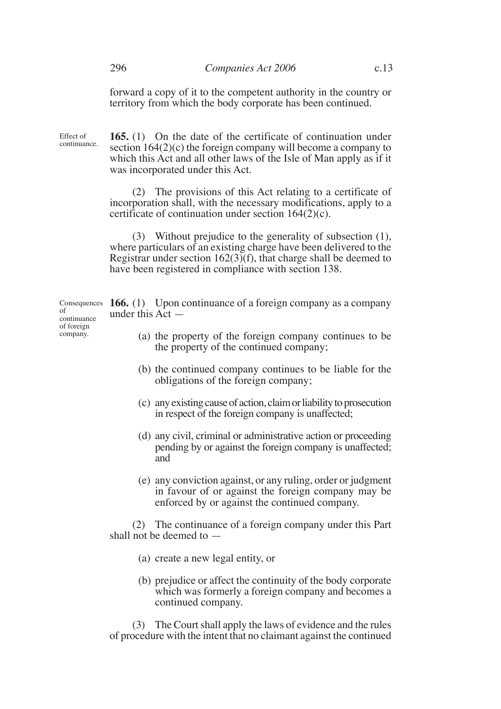forward a copy of it to the competent authority in the country or territory from which the body corporate has been continued.

Effect of continuance. **165.** (1) On the date of the certificate of continuation under section 164(2)(c) the foreign company will become a company to which this Act and all other laws of the Isle of Man apply as if it was incorporated under this Act.

(2) The provisions of this Act relating to a certificate of incorporation shall, with the necessary modifications, apply to a certificate of continuation under section 164(2)(c).

(3) Without prejudice to the generality of subsection (1), where particulars of an existing charge have been delivered to the Registrar under section  $162(3)(f)$ , that charge shall be deemed to have been registered in compliance with section 138.

Consequences **166.** (1) Upon continuance of a foreign company as a company under this Act —

- (a) the property of the foreign company continues to be the property of the continued company;
- (b) the continued company continues to be liable for the obligations of the foreign company;
- (c) any existing cause of action, claim or liability to prosecution in respect of the foreign company is unaffected;
- (d) any civil, criminal or administrative action or proceeding pending by or against the foreign company is unaffected; and
- (e) any conviction against, or any ruling, order or judgment in favour of or against the foreign company may be enforced by or against the continued company.

(2) The continuance of a foreign company under this Part shall not be deemed to —

- (a) create a new legal entity, or
- (b) prejudice or affect the continuity of the body corporate which was formerly a foreign company and becomes a continued company.

(3) The Court shall apply the laws of evidence and the rules of procedure with the intent that no claimant against the continued

of continuance of foreign company.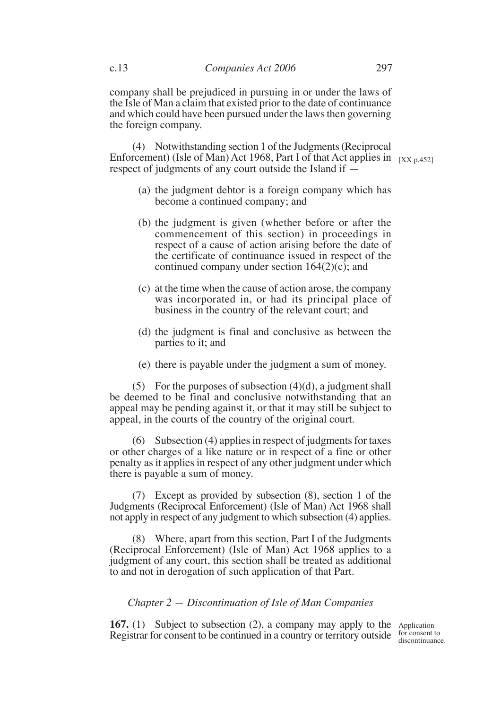company shall be prejudiced in pursuing in or under the laws of the Isle of Man a claim that existed prior to the date of continuance and which could have been pursued under the laws then governing the foreign company.

(4) Notwithstanding section 1 of the Judgments (Reciprocal Enforcement) (Isle of Man) Act 1968, Part I of that Act applies in  $\left[xx_{p.452}\right]$ respect of judgments of any court outside the Island if —

- (a) the judgment debtor is a foreign company which has become a continued company; and
- (b) the judgment is given (whether before or after the commencement of this section) in proceedings in respect of a cause of action arising before the date of the certificate of continuance issued in respect of the continued company under section 164(2)(c); and
- (c) at the time when the cause of action arose, the company was incorporated in, or had its principal place of business in the country of the relevant court; and
- (d) the judgment is final and conclusive as between the parties to it; and
- (e) there is payable under the judgment a sum of money.

(5) For the purposes of subsection  $(4)(d)$ , a judgment shall be deemed to be final and conclusive notwithstanding that an appeal may be pending against it, or that it may still be subject to appeal, in the courts of the country of the original court.

(6) Subsection (4) applies in respect of judgments for taxes or other charges of a like nature or in respect of a fine or other penalty as it applies in respect of any other judgment under which there is payable a sum of money.

(7) Except as provided by subsection (8), section 1 of the Judgments (Reciprocal Enforcement) (Isle of Man) Act 1968 shall not apply in respect of any judgment to which subsection (4) applies.

(8) Where, apart from this section, Part I of the Judgments (Reciprocal Enforcement) (Isle of Man) Act 1968 applies to a judgment of any court, this section shall be treated as additional to and not in derogation of such application of that Part.

## *Chapter 2 — Discontinuation of Isle of Man Companies*

**167.** (1) Subject to subsection (2), a company may apply to the Application Registrar for consent to be continued in a country or territory outside for consent to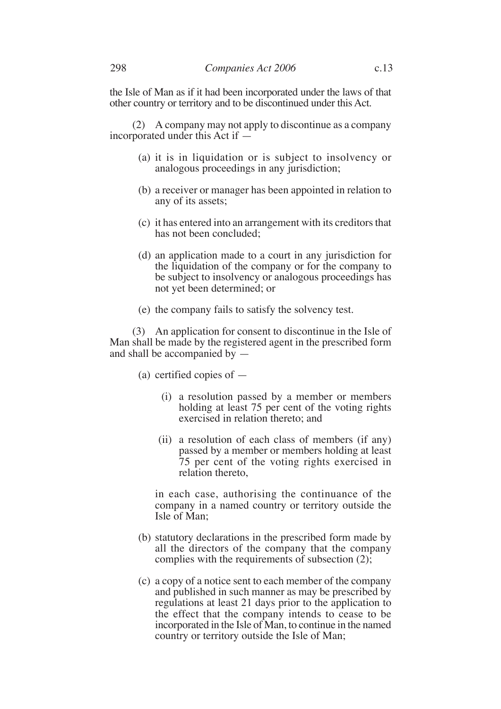the Isle of Man as if it had been incorporated under the laws of that other country or territory and to be discontinued under this Act.

(2) A company may not apply to discontinue as a company incorporated under this Act if —

- (a) it is in liquidation or is subject to insolvency or analogous proceedings in any jurisdiction;
- (b) a receiver or manager has been appointed in relation to any of its assets;
- (c) it has entered into an arrangement with its creditors that has not been concluded;
- (d) an application made to a court in any jurisdiction for the liquidation of the company or for the company to be subject to insolvency or analogous proceedings has not yet been determined; or
- (e) the company fails to satisfy the solvency test.

(3) An application for consent to discontinue in the Isle of Man shall be made by the registered agent in the prescribed form and shall be accompanied by —

- (a) certified copies of
	- (i) a resolution passed by a member or members holding at least 75 per cent of the voting rights exercised in relation thereto; and
	- (ii) a resolution of each class of members (if any) passed by a member or members holding at least 75 per cent of the voting rights exercised in relation thereto,

in each case, authorising the continuance of the company in a named country or territory outside the Isle of Man;

- (b) statutory declarations in the prescribed form made by all the directors of the company that the company complies with the requirements of subsection (2);
- (c) a copy of a notice sent to each member of the company and published in such manner as may be prescribed by regulations at least 21 days prior to the application to the effect that the company intends to cease to be incorporated in the Isle of Man, to continue in the named country or territory outside the Isle of Man;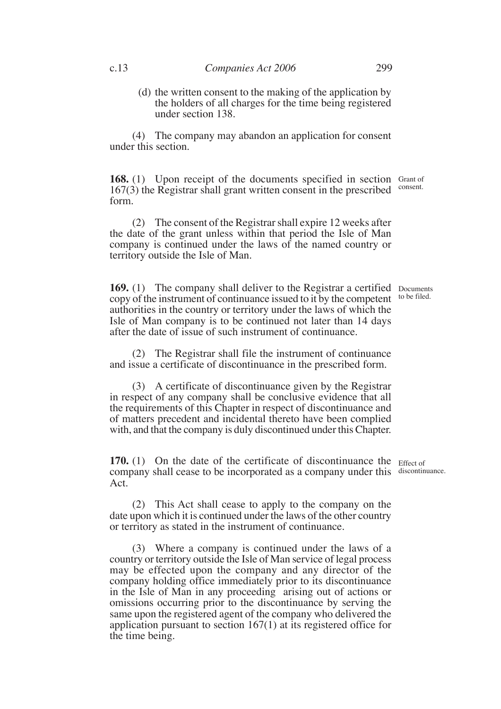(d) the written consent to the making of the application by the holders of all charges for the time being registered under section 138.

(4) The company may abandon an application for consent under this section.

168. (1) Upon receipt of the documents specified in section Grant of  $167(3)$  the Registrar shall grant written consent in the prescribed  $\frac{1}{2}$  consent. form.

(2) The consent of the Registrar shall expire 12 weeks after the date of the grant unless within that period the Isle of Man company is continued under the laws of the named country or territory outside the Isle of Man.

**169.** (1) The company shall deliver to the Registrar a certified Documents copy of the instrument of continuance issued to it by the competent authorities in the country or territory under the laws of which the Isle of Man company is to be continued not later than 14 days after the date of issue of such instrument of continuance. to be filed.

(2) The Registrar shall file the instrument of continuance and issue a certificate of discontinuance in the prescribed form.

(3) A certificate of discontinuance given by the Registrar in respect of any company shall be conclusive evidence that all the requirements of this Chapter in respect of discontinuance and of matters precedent and incidental thereto have been complied with, and that the company is duly discontinued under this Chapter.

**170.** (1) On the date of the certificate of discontinuance the Effect of company shall cease to be incorporated as a company under this discontinuance. Act.

(2) This Act shall cease to apply to the company on the date upon which it is continued under the laws of the other country or territory as stated in the instrument of continuance.

(3) Where a company is continued under the laws of a country or territory outside the Isle of Man service of legal process may be effected upon the company and any director of the company holding office immediately prior to its discontinuance in the Isle of Man in any proceeding arising out of actions or omissions occurring prior to the discontinuance by serving the same upon the registered agent of the company who delivered the application pursuant to section 167(1) at its registered office for the time being.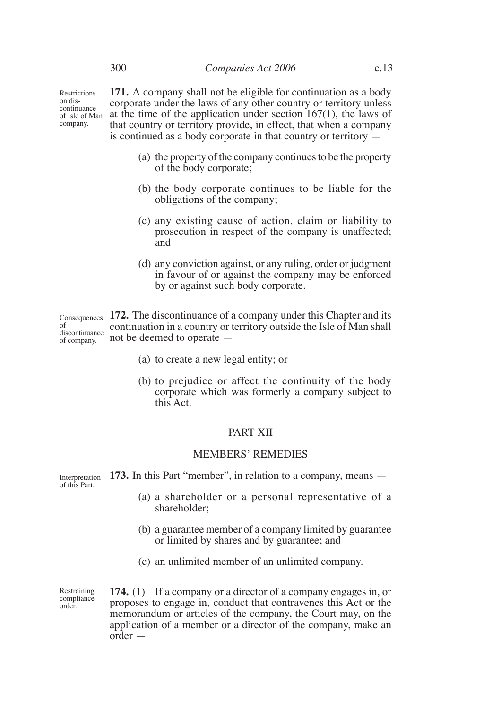Restrictions on discontinuance of Isle of Man company.

**171.** A company shall not be eligible for continuation as a body corporate under the laws of any other country or territory unless at the time of the application under section 167(1), the laws of that country or territory provide, in effect, that when a company is continued as a body corporate in that country or territory —

- (a) the property of the company continues to be the property of the body corporate;
- (b) the body corporate continues to be liable for the obligations of the company;
- (c) any existing cause of action, claim or liability to prosecution in respect of the company is unaffected; and
- (d) any conviction against, or any ruling, order or judgment in favour of or against the company may be enforced by or against such body corporate.

Consequences 172. The discontinuance of a company under this Chapter and its continuation in a country or territory outside the Isle of Man shall not be deemed to operate of discontinuance of company.

- (a) to create a new legal entity; or
- (b) to prejudice or affect the continuity of the body corporate which was formerly a company subject to this Act.

#### PART XII

#### MEMBERS' REMEDIES

**173.** In this Part "member", in relation to a company, means — Interpretation of this Part.

- (a) a shareholder or a personal representative of a shareholder;
- (b) a guarantee member of a company limited by guarantee or limited by shares and by guarantee; and
- (c) an unlimited member of an unlimited company.

Restraining compliance order.

**174.** (1) If a company or a director of a company engages in, or proposes to engage in, conduct that contravenes this Act or the memorandum or articles of the company, the Court may, on the application of a member or a director of the company, make an order —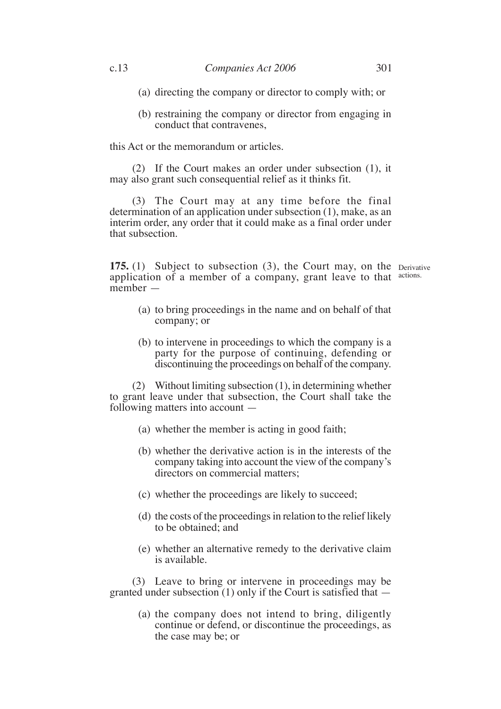- (a) directing the company or director to comply with; or
- (b) restraining the company or director from engaging in conduct that contravenes,

this Act or the memorandum or articles.

(2) If the Court makes an order under subsection (1), it may also grant such consequential relief as it thinks fit.

(3) The Court may at any time before the final determination of an application under subsection (1), make, as an interim order, any order that it could make as a final order under that subsection.

**175.** (1) Subject to subsection (3), the Court may, on the Derivative application of a member of a company, grant leave to that actions. member —

- (a) to bring proceedings in the name and on behalf of that company; or
- (b) to intervene in proceedings to which the company is a party for the purpose of continuing, defending or discontinuing the proceedings on behalf of the company.

(2) Without limiting subsection (1), in determining whether to grant leave under that subsection, the Court shall take the following matters into account —

- (a) whether the member is acting in good faith;
- (b) whether the derivative action is in the interests of the company taking into account the view of the company's directors on commercial matters;
- (c) whether the proceedings are likely to succeed;
- (d) the costs of the proceedings in relation to the relief likely to be obtained; and
- (e) whether an alternative remedy to the derivative claim is available.

(3) Leave to bring or intervene in proceedings may be granted under subsection  $(1)$  only if the Court is satisfied that  $-$ 

> (a) the company does not intend to bring, diligently continue or defend, or discontinue the proceedings, as the case may be; or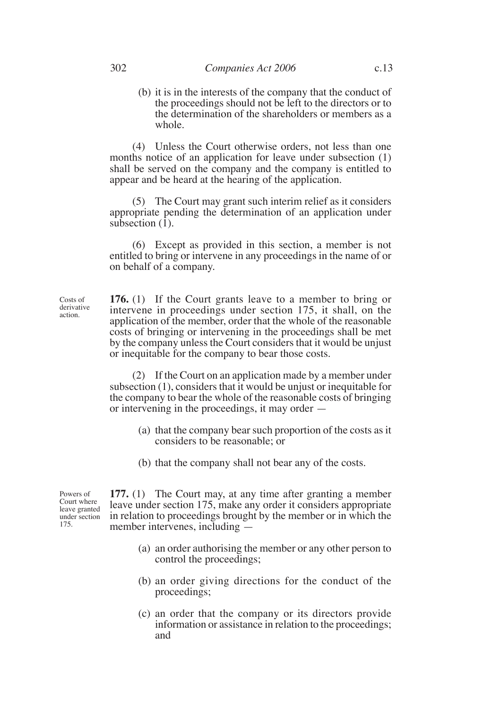(b) it is in the interests of the company that the conduct of the proceedings should not be left to the directors or to the determination of the shareholders or members as a whole.

(4) Unless the Court otherwise orders, not less than one months notice of an application for leave under subsection (1) shall be served on the company and the company is entitled to appear and be heard at the hearing of the application.

(5) The Court may grant such interim relief as it considers appropriate pending the determination of an application under subsection  $(1)$ .

(6) Except as provided in this section, a member is not entitled to bring or intervene in any proceedings in the name of or on behalf of a company.

**176.** (1) If the Court grants leave to a member to bring or intervene in proceedings under section 175, it shall, on the application of the member, order that the whole of the reasonable costs of bringing or intervening in the proceedings shall be met by the company unless the Court considers that it would be unjust or inequitable for the company to bear those costs.

(2) If the Court on an application made by a member under subsection (1), considers that it would be unjust or inequitable for the company to bear the whole of the reasonable costs of bringing or intervening in the proceedings, it may order —

- (a) that the company bear such proportion of the costs as it considers to be reasonable; or
- (b) that the company shall not bear any of the costs.

**177.** (1) The Court may, at any time after granting a member leave under section 175, make any order it considers appropriate in relation to proceedings brought by the member or in which the member intervenes, including —

- (a) an order authorising the member or any other person to control the proceedings;
- (b) an order giving directions for the conduct of the proceedings;
- (c) an order that the company or its directors provide information or assistance in relation to the proceedings; and

Powers of Court where leave granted under section 175.

Costs of derivative action.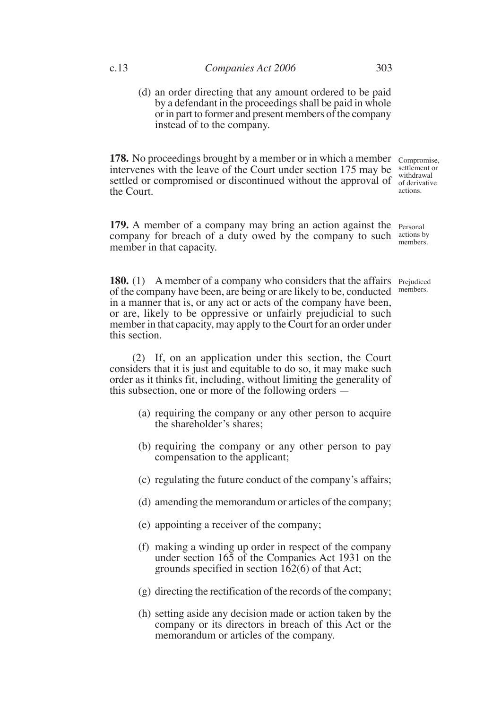(d) an order directing that any amount ordered to be paid by a defendant in the proceedings shall be paid in whole or in part to former and present members of the company instead of to the company.

**178.** No proceedings brought by a member or in which a member Compromise, intervenes with the leave of the Court under section 175 may be settled or compromised or discontinued without the approval of  $\frac{1}{\text{of derivative}}$ the Court.

**179.** A member of a company may bring an action against the Personal company for breach of a duty owed by the company to such  $\frac{\text{actions by}}{\text{number}}$ member in that capacity.

**180.** (1) A member of a company who considers that the affairs Prejudiced of the company have been, are being or are likely to be, conducted in a manner that is, or any act or acts of the company have been, or are, likely to be oppressive or unfairly prejudicial to such member in that capacity, may apply to the Court for an order under this section.

(2) If, on an application under this section, the Court considers that it is just and equitable to do so, it may make such order as it thinks fit, including, without limiting the generality of this subsection, one or more of the following orders —

- (a) requiring the company or any other person to acquire the shareholder's shares;
- (b) requiring the company or any other person to pay compensation to the applicant;
- (c) regulating the future conduct of the company's affairs;
- (d) amending the memorandum or articles of the company;
- (e) appointing a receiver of the company;
- (f) making a winding up order in respect of the company under section 165 of the Companies Act 1931 on the grounds specified in section  $162(6)$  of that Act;
- (g) directing the rectification of the records of the company;
- (h) setting aside any decision made or action taken by the company or its directors in breach of this Act or the memorandum or articles of the company.

settlement or withdrawal actions.

members.

members.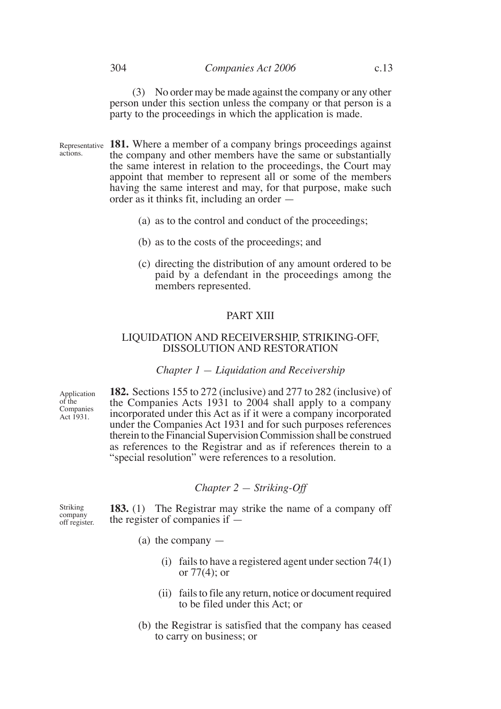#### 304 *Companies Act 2006* c.13

(3) No order may be made against the company or any other person under this section unless the company or that person is a party to the proceedings in which the application is made.

- Representative 181. Where a member of a company brings proceedings against the company and other members have the same or substantially the same interest in relation to the proceedings, the Court may appoint that member to represent all or some of the members having the same interest and may, for that purpose, make such order as it thinks fit, including an order actions.
	- (a) as to the control and conduct of the proceedings;
	- (b) as to the costs of the proceedings; and
	- (c) directing the distribution of any amount ordered to be paid by a defendant in the proceedings among the members represented.

## PART XIII

## LIQUIDATION AND RECEIVERSHIP, STRIKING-OFF, DISSOLUTION AND RESTORATION

#### *Chapter 1 — Liquidation and Receivership*

Application of the Companies Act 1931.

**182.** Sections 155 to 272 (inclusive) and 277 to 282 (inclusive) of the Companies Acts 1931 to 2004 shall apply to a company incorporated under this Act as if it were a company incorporated under the Companies Act 1931 and for such purposes references therein to the Financial Supervision Commission shall be construed as references to the Registrar and as if references therein to a "special resolution" were references to a resolution.

## *Chapter 2 — Striking-Off*

Striking company off register.

**183.** (1) The Registrar may strike the name of a company off the register of companies if —

- (a) the company
	- (i) fails to have a registered agent under section 74(1) or  $77(4)$ ; or
	- (ii) fails to file any return, notice or document required to be filed under this Act; or
- (b) the Registrar is satisfied that the company has ceased to carry on business; or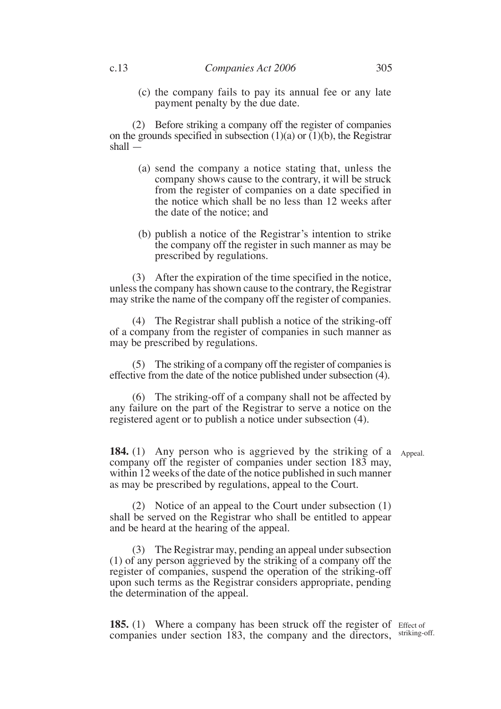(c) the company fails to pay its annual fee or any late payment penalty by the due date.

(2) Before striking a company off the register of companies on the grounds specified in subsection  $(1)(a)$  or  $(1)(b)$ , the Registrar shall —

- (a) send the company a notice stating that, unless the company shows cause to the contrary, it will be struck from the register of companies on a date specified in the notice which shall be no less than 12 weeks after the date of the notice; and
- (b) publish a notice of the Registrar's intention to strike the company off the register in such manner as may be prescribed by regulations.

(3) After the expiration of the time specified in the notice, unless the company has shown cause to the contrary, the Registrar may strike the name of the company off the register of companies.

(4) The Registrar shall publish a notice of the striking-off of a company from the register of companies in such manner as may be prescribed by regulations.

(5) The striking of a company off the register of companies is effective from the date of the notice published under subsection (4).

(6) The striking-off of a company shall not be affected by any failure on the part of the Registrar to serve a notice on the registered agent or to publish a notice under subsection (4).

**184.** (1) Any person who is aggrieved by the striking of a Appeal. company off the register of companies under section 183 may, within 12 weeks of the date of the notice published in such manner as may be prescribed by regulations, appeal to the Court.

(2) Notice of an appeal to the Court under subsection (1) shall be served on the Registrar who shall be entitled to appear and be heard at the hearing of the appeal.

(3) The Registrar may, pending an appeal under subsection (1) of any person aggrieved by the striking of a company off the register of companies, suspend the operation of the striking-off upon such terms as the Registrar considers appropriate, pending the determination of the appeal.

185. (1) Where a company has been struck off the register of Effect of companies under section 183, the company and the directors, striking-off.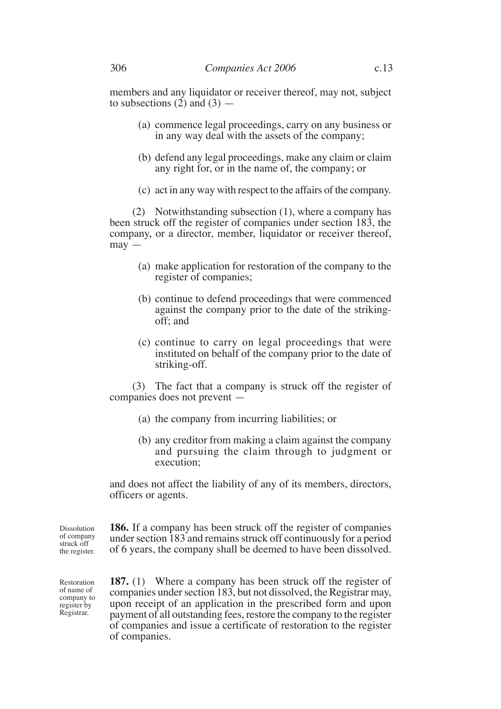members and any liquidator or receiver thereof, may not, subject to subsections  $(2)$  and  $(3)$  —

- (a) commence legal proceedings, carry on any business or in any way deal with the assets of the company;
- (b) defend any legal proceedings, make any claim or claim any right for, or in the name of, the company; or
- (c) act in any way with respect to the affairs of the company.

(2) Notwithstanding subsection (1), where a company has been struck off the register of companies under section 183, the company, or a director, member, liquidator or receiver thereof, may —

- (a) make application for restoration of the company to the register of companies;
- (b) continue to defend proceedings that were commenced against the company prior to the date of the strikingoff; and
- (c) continue to carry on legal proceedings that were instituted on behalf of the company prior to the date of striking-off.

(3) The fact that a company is struck off the register of companies does not prevent —

- (a) the company from incurring liabilities; or
- (b) any creditor from making a claim against the company and pursuing the claim through to judgment or execution;

and does not affect the liability of any of its members, directors, officers or agents.

**186.** If a company has been struck off the register of companies under section 183 and remains struck off continuously for a period of 6 years, the company shall be deemed to have been dissolved. Dissolution of company struck off the register.

Restoration of name of company to register by Registrar.

**187.** (1) Where a company has been struck off the register of companies under section 183, but not dissolved, the Registrar may, upon receipt of an application in the prescribed form and upon payment of all outstanding fees, restore the company to the register of companies and issue a certificate of restoration to the register of companies.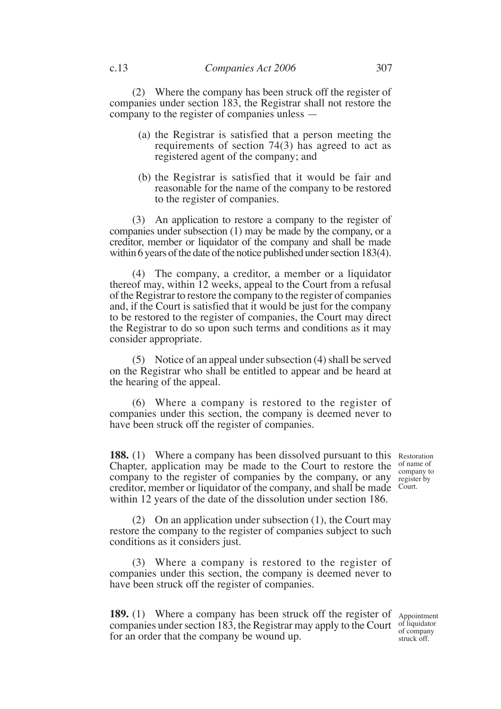(2) Where the company has been struck off the register of companies under section 183, the Registrar shall not restore the company to the register of companies unless —

- (a) the Registrar is satisfied that a person meeting the requirements of section 74(3) has agreed to act as registered agent of the company; and
- (b) the Registrar is satisfied that it would be fair and reasonable for the name of the company to be restored to the register of companies.

(3) An application to restore a company to the register of companies under subsection (1) may be made by the company, or a creditor, member or liquidator of the company and shall be made within 6 years of the date of the notice published under section 183(4).

(4) The company, a creditor, a member or a liquidator thereof may, within 12 weeks, appeal to the Court from a refusal of the Registrar to restore the company to the register of companies and, if the Court is satisfied that it would be just for the company to be restored to the register of companies, the Court may direct the Registrar to do so upon such terms and conditions as it may consider appropriate.

(5) Notice of an appeal under subsection (4) shall be served on the Registrar who shall be entitled to appear and be heard at the hearing of the appeal.

(6) Where a company is restored to the register of companies under this section, the company is deemed never to have been struck off the register of companies.

**188.** (1) Where a company has been dissolved pursuant to this Restoration Chapter, application may be made to the Court to restore the  $\frac{1}{\text{Gamma of name of}}$ company to the register of companies by the company, or any creditor, member or liquidator of the company, and shall be made within 12 years of the date of the dissolution under section 186.

(2) On an application under subsection (1), the Court may restore the company to the register of companies subject to such conditions as it considers just.

(3) Where a company is restored to the register of companies under this section, the company is deemed never to have been struck off the register of companies.

189. (1) Where a company has been struck off the register of Appointment companies under section 183, the Registrar may apply to the Court of liquidator for an order that the company be wound up.

of company struck off.

company to register by Court.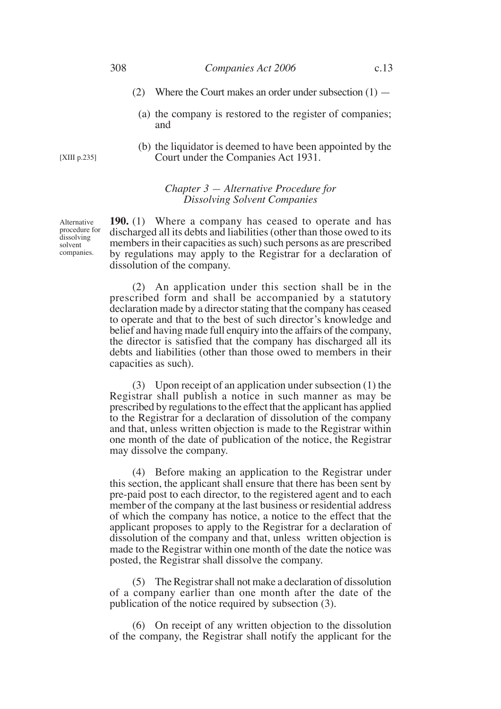- (2) Where the Court makes an order under subsection (1)
	- (a) the company is restored to the register of companies; and
	- (b) the liquidator is deemed to have been appointed by the Court under the Companies Act 1931.

## *Chapter 3 — Alternative Procedure for Dissolving Solvent Companies*

**190.** (1) Where a company has ceased to operate and has discharged all its debts and liabilities (other than those owed to its members in their capacities as such) such persons as are prescribed by regulations may apply to the Registrar for a declaration of dissolution of the company.

(2) An application under this section shall be in the prescribed form and shall be accompanied by a statutory declaration made by a director stating that the company has ceased to operate and that to the best of such director's knowledge and belief and having made full enquiry into the affairs of the company, the director is satisfied that the company has discharged all its debts and liabilities (other than those owed to members in their capacities as such).

(3) Upon receipt of an application under subsection (1) the Registrar shall publish a notice in such manner as may be prescribed by regulations to the effect that the applicant has applied to the Registrar for a declaration of dissolution of the company and that, unless written objection is made to the Registrar within one month of the date of publication of the notice, the Registrar may dissolve the company.

(4) Before making an application to the Registrar under this section, the applicant shall ensure that there has been sent by pre-paid post to each director, to the registered agent and to each member of the company at the last business or residential address of which the company has notice, a notice to the effect that the applicant proposes to apply to the Registrar for a declaration of dissolution of the company and that, unless written objection is made to the Registrar within one month of the date the notice was posted, the Registrar shall dissolve the company.

(5) The Registrar shall not make a declaration of dissolution of a company earlier than one month after the date of the publication of the notice required by subsection (3).

(6) On receipt of any written objection to the dissolution of the company, the Registrar shall notify the applicant for the

Alternative procedure for dissolving solvent companies.

[XIII p.235]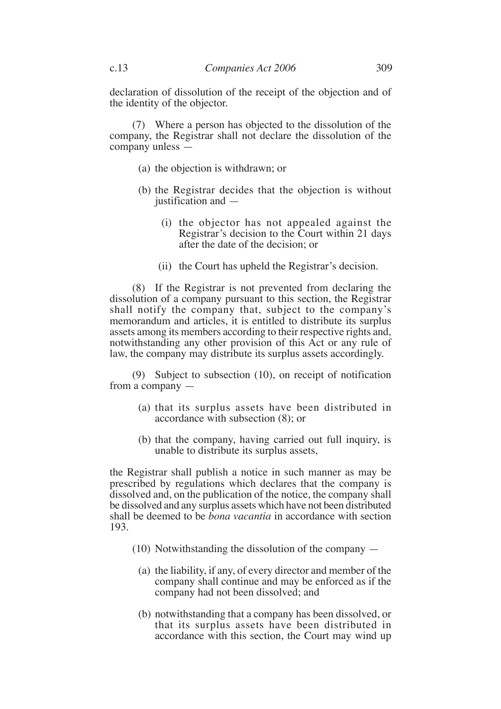declaration of dissolution of the receipt of the objection and of the identity of the objector.

(7) Where a person has objected to the dissolution of the company, the Registrar shall not declare the dissolution of the company unless —

- (a) the objection is withdrawn; or
- (b) the Registrar decides that the objection is without justification and —
	- (i) the objector has not appealed against the Registrar's decision to the Court within 21 days after the date of the decision; or
	- (ii) the Court has upheld the Registrar's decision.

(8) If the Registrar is not prevented from declaring the dissolution of a company pursuant to this section, the Registrar shall notify the company that, subject to the company's memorandum and articles, it is entitled to distribute its surplus assets among its members according to their respective rights and, notwithstanding any other provision of this Act or any rule of law, the company may distribute its surplus assets accordingly.

(9) Subject to subsection (10), on receipt of notification from a company —

- (a) that its surplus assets have been distributed in accordance with subsection (8); or
- (b) that the company, having carried out full inquiry, is unable to distribute its surplus assets,

the Registrar shall publish a notice in such manner as may be prescribed by regulations which declares that the company is dissolved and, on the publication of the notice, the company shall be dissolved and any surplus assets which have not been distributed shall be deemed to be *bona vacantia* in accordance with section 193.

- (10) Notwithstanding the dissolution of the company
	- (a) the liability, if any, of every director and member of the company shall continue and may be enforced as if the company had not been dissolved; and
	- (b) notwithstanding that a company has been dissolved, or that its surplus assets have been distributed in accordance with this section, the Court may wind up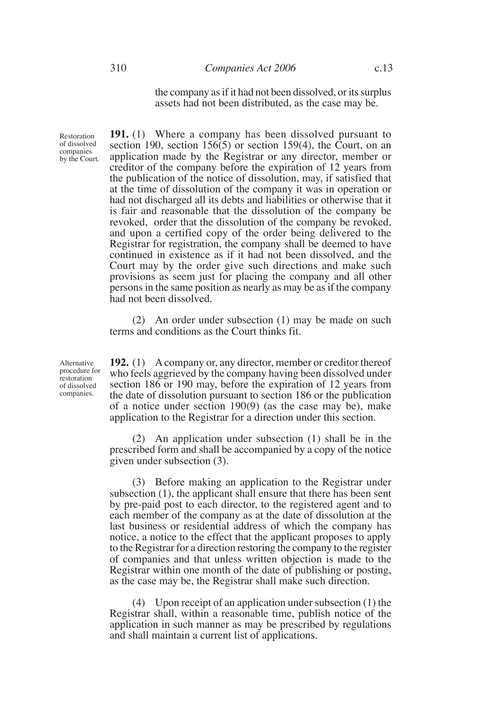the company as if it had not been dissolved, or its surplus assets had not been distributed, as the case may be.

**191.** (1) Where a company has been dissolved pursuant to section 190, section 156 $(5)$  or section 159 $(4)$ , the Court, on an application made by the Registrar or any director, member or creditor of the company before the expiration of 12 years from the publication of the notice of dissolution, may, if satisfied that at the time of dissolution of the company it was in operation or had not discharged all its debts and liabilities or otherwise that it is fair and reasonable that the dissolution of the company be revoked, order that the dissolution of the company be revoked, and upon a certified copy of the order being delivered to the Registrar for registration, the company shall be deemed to have continued in existence as if it had not been dissolved, and the Court may by the order give such directions and make such provisions as seem just for placing the company and all other persons in the same position as nearly as may be as if the company had not been dissolved.

(2) An order under subsection (1) may be made on such terms and conditions as the Court thinks fit.

Alternative procedure for restoration of dissolved companies.

Restoration of dissolved companies by the Court.

> **192.** (1) A company or, any director, member or creditor thereof who feels aggrieved by the company having been dissolved under section 186 or 190 may, before the expiration of 12 years from the date of dissolution pursuant to section 186 or the publication of a notice under section 190(9) (as the case may be), make application to the Registrar for a direction under this section.

> (2) An application under subsection (1) shall be in the prescribed form and shall be accompanied by a copy of the notice given under subsection (3).

> (3) Before making an application to the Registrar under subsection (1), the applicant shall ensure that there has been sent by pre-paid post to each director, to the registered agent and to each member of the company as at the date of dissolution at the last business or residential address of which the company has notice, a notice to the effect that the applicant proposes to apply to the Registrar for a direction restoring the company to the register of companies and that unless written objection is made to the Registrar within one month of the date of publishing or posting, as the case may be, the Registrar shall make such direction.

> (4) Upon receipt of an application under subsection (1) the Registrar shall, within a reasonable time, publish notice of the application in such manner as may be prescribed by regulations and shall maintain a current list of applications.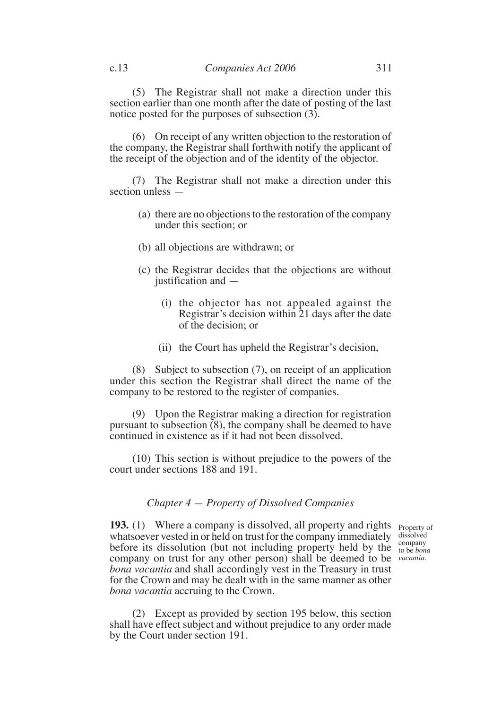(5) The Registrar shall not make a direction under this section earlier than one month after the date of posting of the last notice posted for the purposes of subsection (3).

(6) On receipt of any written objection to the restoration of the company, the Registrar shall forthwith notify the applicant of the receipt of the objection and of the identity of the objector.

(7) The Registrar shall not make a direction under this section unless —

- (a) there are no objections to the restoration of the company under this section; or
- (b) all objections are withdrawn; or
- (c) the Registrar decides that the objections are without justification and —
	- (i) the objector has not appealed against the Registrar's decision within 21 days after the date of the decision; or
	- (ii) the Court has upheld the Registrar's decision,

(8) Subject to subsection (7), on receipt of an application under this section the Registrar shall direct the name of the company to be restored to the register of companies.

(9) Upon the Registrar making a direction for registration pursuant to subsection (8), the company shall be deemed to have continued in existence as if it had not been dissolved.

(10) This section is without prejudice to the powers of the court under sections 188 and 191.

## *Chapter 4 — Property of Dissolved Companies*

**193.** (1) Where a company is dissolved, all property and rights <sub>Property of</sub> whatsoever vested in or held on trust for the company immediately dissolved before its dissolution (but not including property held by the  $_{\text{to be}}^{100}$  company company on trust for any other person) shall be deemed to be *vacantia*.*bona vacantia* and shall accordingly vest in the Treasury in trust for the Crown and may be dealt with in the same manner as other *bona vacantia* accruing to the Crown.

to be *bona*

(2) Except as provided by section 195 below, this section shall have effect subject and without prejudice to any order made by the Court under section 191.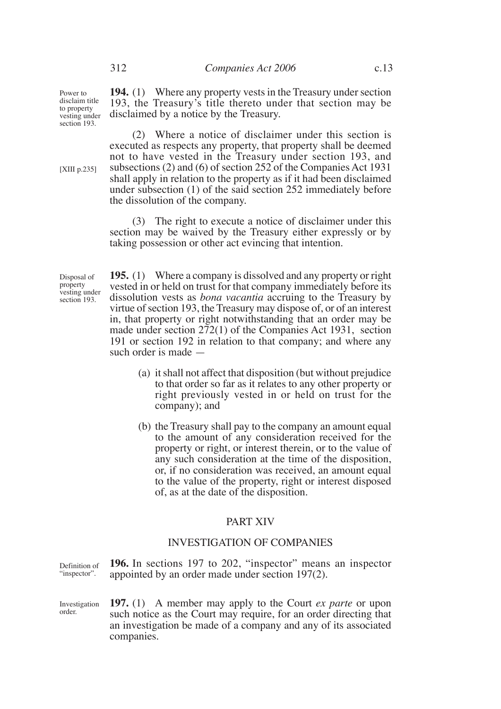(2) Where a notice of disclaimer under this section is executed as respects any property, that property shall be deemed not to have vested in the Treasury under section 193, and subsections (2) and (6) of section 252 of the Companies Act 1931 shall apply in relation to the property as if it had been disclaimed under subsection (1) of the said section 252 immediately before the dissolution of the company.

(3) The right to execute a notice of disclaimer under this section may be waived by the Treasury either expressly or by taking possession or other act evincing that intention.

Disposal of property vesting under section 193.

**195.** (1) Where a company is dissolved and any property or right vested in or held on trust for that company immediately before its dissolution vests as *bona vacantia* accruing to the Treasury by virtue of section 193, the Treasury may dispose of, or of an interest in, that property or right notwithstanding that an order may be made under section 272(1) of the Companies Act 1931, section 191 or section 192 in relation to that company; and where any such order is made —

- (a) it shall not affect that disposition (but without prejudice to that order so far as it relates to any other property or right previously vested in or held on trust for the company); and
- (b) the Treasury shall pay to the company an amount equal to the amount of any consideration received for the property or right, or interest therein, or to the value of any such consideration at the time of the disposition, or, if no consideration was received, an amount equal to the value of the property, right or interest disposed of, as at the date of the disposition.

#### PART XIV

#### INVESTIGATION OF COMPANIES

**196.** In sections 197 to 202, "inspector" means an inspector appointed by an order made under section 197(2). Definition of "inspector".

**197.** (1) A member may apply to the Court *ex parte* or upon such notice as the Court may require, for an order directing that an investigation be made of a company and any of its associated companies. Investigation order.

[XIII p.235]

Power to disclaim title to property vesting under section 193.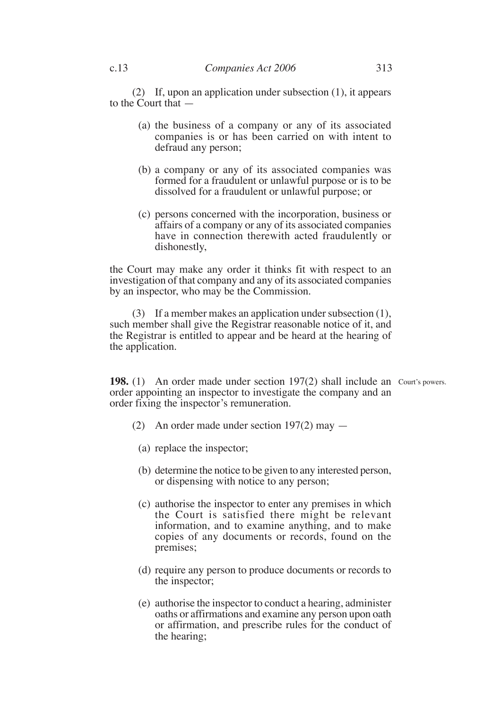(2) If, upon an application under subsection (1), it appears to the Court that —

- (a) the business of a company or any of its associated companies is or has been carried on with intent to defraud any person;
- (b) a company or any of its associated companies was formed for a fraudulent or unlawful purpose or is to be dissolved for a fraudulent or unlawful purpose; or
- (c) persons concerned with the incorporation, business or affairs of a company or any of its associated companies have in connection therewith acted fraudulently or dishonestly,

the Court may make any order it thinks fit with respect to an investigation of that company and any of its associated companies by an inspector, who may be the Commission.

(3) If a member makes an application under subsection (1), such member shall give the Registrar reasonable notice of it, and the Registrar is entitled to appear and be heard at the hearing of the application.

**198.** (1) An order made under section 197(2) shall include an Court's powers. order appointing an inspector to investigate the company and an order fixing the inspector's remuneration.

- (2) An order made under section 197(2) may
	- (a) replace the inspector;
	- (b) determine the notice to be given to any interested person, or dispensing with notice to any person;
	- (c) authorise the inspector to enter any premises in which the Court is satisfied there might be relevant information, and to examine anything, and to make copies of any documents or records, found on the premises;
	- (d) require any person to produce documents or records to the inspector;
	- (e) authorise the inspector to conduct a hearing, administer oaths or affirmations and examine any person upon oath or affirmation, and prescribe rules for the conduct of the hearing;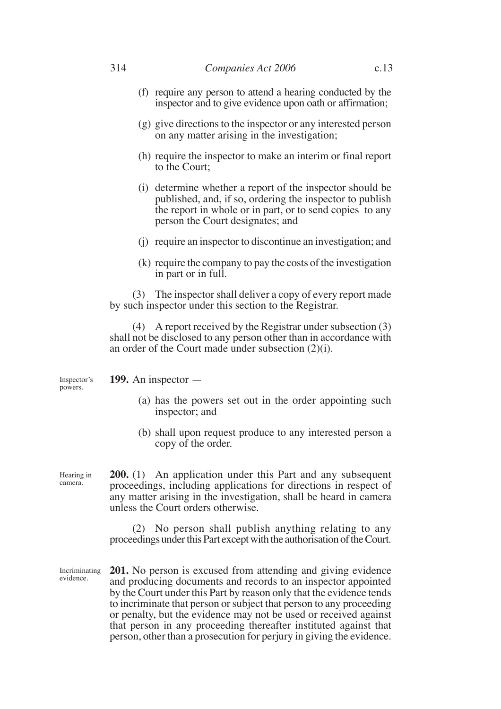- (f) require any person to attend a hearing conducted by the inspector and to give evidence upon oath or affirmation;
- (g) give directions to the inspector or any interested person on any matter arising in the investigation;
- (h) require the inspector to make an interim or final report to the Court;
- (i) determine whether a report of the inspector should be published, and, if so, ordering the inspector to publish the report in whole or in part, or to send copies to any person the Court designates; and
- (j) require an inspector to discontinue an investigation; and
- (k) require the company to pay the costs of the investigation in part or in full.

(3) The inspector shall deliver a copy of every report made by such inspector under this section to the Registrar.

(4) A report received by the Registrar under subsection (3) shall not be disclosed to any person other than in accordance with an order of the Court made under subsection (2)(i).

**199.** An inspector — Inspector's powers.

- (a) has the powers set out in the order appointing such inspector; and
- (b) shall upon request produce to any interested person a copy of the order.

**200.** (1) An application under this Part and any subsequent proceedings, including applications for directions in respect of any matter arising in the investigation, shall be heard in camera unless the Court orders otherwise. Hearing in camera.

> (2) No person shall publish anything relating to any proceedings under this Part except with the authorisation of the Court.

**201.** No person is excused from attending and giving evidence and producing documents and records to an inspector appointed by the Court under this Part by reason only that the evidence tends to incriminate that person or subject that person to any proceeding or penalty, but the evidence may not be used or received against that person in any proceeding thereafter instituted against that person, other than a prosecution for perjury in giving the evidence. Incriminating evidence.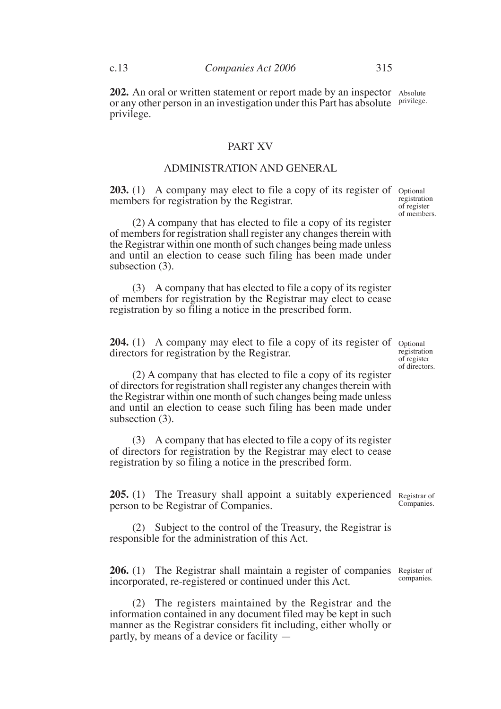202. An oral or written statement or report made by an inspector Absolute or any other person in an investigation under this Part has absolute privilege. privilege.

#### PART XV

## ADMINISTRATION AND GENERAL

**203.** (1) A company may elect to file a copy of its register of optional members for registration by the Registrar. registration of register

(2) A company that has elected to file a copy of its register of members for registration shall register any changes therein with the Registrar within one month of such changes being made unless and until an election to cease such filing has been made under subsection (3).

(3) A company that has elected to file a copy of its register of members for registration by the Registrar may elect to cease registration by so filing a notice in the prescribed form.

**204.** (1) A company may elect to file a copy of its register of optional directors for registration by the Registrar.

registration of register of directors.

of members.

(2) A company that has elected to file a copy of its register of directors for registration shall register any changes therein with the Registrar within one month of such changes being made unless and until an election to cease such filing has been made under subsection (3).

(3) A company that has elected to file a copy of its register of directors for registration by the Registrar may elect to cease registration by so filing a notice in the prescribed form.

205. (1) The Treasury shall appoint a suitably experienced Registrar of person to be Registrar of Companies.

(2) Subject to the control of the Treasury, the Registrar is responsible for the administration of this Act.

206. (1) The Registrar shall maintain a register of companies Register of incorporated, re-registered or continued under this Act. companies.

(2) The registers maintained by the Registrar and the information contained in any document filed may be kept in such manner as the Registrar considers fit including, either wholly or partly, by means of a device or facility —

Companies.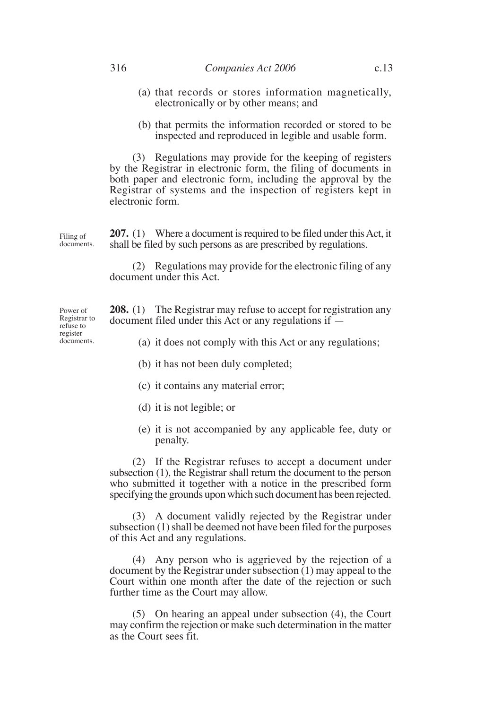- (a) that records or stores information magnetically, electronically or by other means; and
- (b) that permits the information recorded or stored to be inspected and reproduced in legible and usable form.

(3) Regulations may provide for the keeping of registers by the Registrar in electronic form, the filing of documents in both paper and electronic form, including the approval by the Registrar of systems and the inspection of registers kept in electronic form.

**207.** (1) Where a document is required to be filed under this Act, it shall be filed by such persons as are prescribed by regulations. Filing of documents.

> (2) Regulations may provide for the electronic filing of any document under this Act.

**208.** (1) The Registrar may refuse to accept for registration any document filed under this Act or any regulations if —

(a) it does not comply with this Act or any regulations;

- (b) it has not been duly completed;
- (c) it contains any material error;
- (d) it is not legible; or
- (e) it is not accompanied by any applicable fee, duty or penalty.

(2) If the Registrar refuses to accept a document under subsection (1), the Registrar shall return the document to the person who submitted it together with a notice in the prescribed form specifying the grounds upon which such document has been rejected.

(3) A document validly rejected by the Registrar under subsection (1) shall be deemed not have been filed for the purposes of this Act and any regulations.

(4) Any person who is aggrieved by the rejection of a document by the Registrar under subsection (1) may appeal to the Court within one month after the date of the rejection or such further time as the Court may allow.

(5) On hearing an appeal under subsection (4), the Court may confirm the rejection or make such determination in the matter as the Court sees fit.

Power of Registrar to refuse to register documents.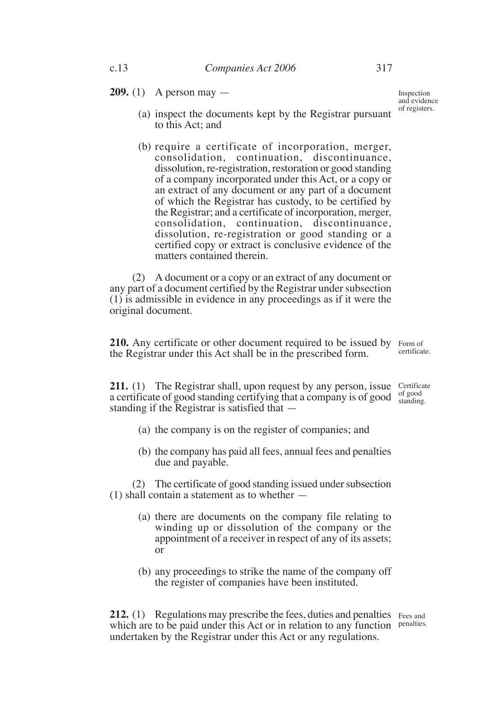**209.** (1) A person may —

Inspection and evidence of registers.

- (a) inspect the documents kept by the Registrar pursuant to this Act; and
- (b) require a certificate of incorporation, merger, consolidation, continuation, discontinuance, dissolution, re-registration, restoration or good standing of a company incorporated under this Act, or a copy or an extract of any document or any part of a document of which the Registrar has custody, to be certified by the Registrar; and a certificate of incorporation, merger, consolidation, continuation, discontinuance, dissolution, re-registration or good standing or a certified copy or extract is conclusive evidence of the matters contained therein.

(2) A document or a copy or an extract of any document or any part of a document certified by the Registrar under subsection (1) is admissible in evidence in any proceedings as if it were the original document.

**210.** Any certificate or other document required to be issued by Form of the Registrar under this Act shall be in the prescribed form. certificate.

**211.** (1) The Registrar shall, upon request by any person, issue Certificate a certificate of good standing certifying that a company is of good  $\frac{\text{of good}}{\text{standing}}$ standing if the Registrar is satisfied that standing.

- (a) the company is on the register of companies; and
- (b) the company has paid all fees, annual fees and penalties due and payable.

(2) The certificate of good standing issued under subsection (1) shall contain a statement as to whether —

- (a) there are documents on the company file relating to winding up or dissolution of the company or the appointment of a receiver in respect of any of its assets; or
- (b) any proceedings to strike the name of the company off the register of companies have been instituted.

**212.** (1) Regulations may prescribe the fees, duties and penalties Fees and which are to be paid under this Act or in relation to any function penalties. undertaken by the Registrar under this Act or any regulations.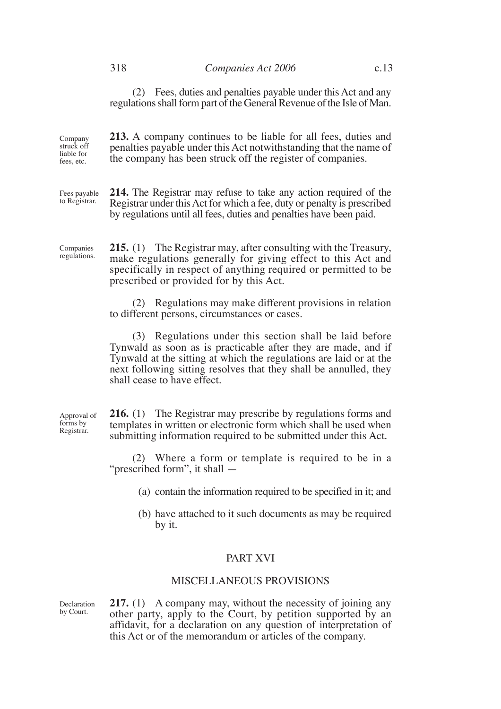(2) Fees, duties and penalties payable under this Act and any regulations shall form part of the General Revenue of the Isle of Man.

**213.** A company continues to be liable for all fees, duties and penalties payable under this Act notwithstanding that the name of the company has been struck off the register of companies. Company struck off liable for fees, etc.

**214.** The Registrar may refuse to take any action required of the Registrar under this Act for which a fee, duty or penalty is prescribed by regulations until all fees, duties and penalties have been paid. Fees payable to Registrar.

**215.** (1) The Registrar may, after consulting with the Treasury, make regulations generally for giving effect to this Act and specifically in respect of anything required or permitted to be prescribed or provided for by this Act. Companies regulations.

> (2) Regulations may make different provisions in relation to different persons, circumstances or cases.

> (3) Regulations under this section shall be laid before Tynwald as soon as is practicable after they are made, and if Tynwald at the sitting at which the regulations are laid or at the next following sitting resolves that they shall be annulled, they shall cease to have effect.

**216.** (1) The Registrar may prescribe by regulations forms and templates in written or electronic form which shall be used when submitting information required to be submitted under this Act.

(2) Where a form or template is required to be in a "prescribed form", it shall —

- (a) contain the information required to be specified in it; and
- (b) have attached to it such documents as may be required by it.

#### PART XVI

## MISCELLANEOUS PROVISIONS

**217.** (1) A company may, without the necessity of joining any other party, apply to the Court, by petition supported by an affidavit, for a declaration on any question of interpretation of this Act or of the memorandum or articles of the company. Declaration by Court.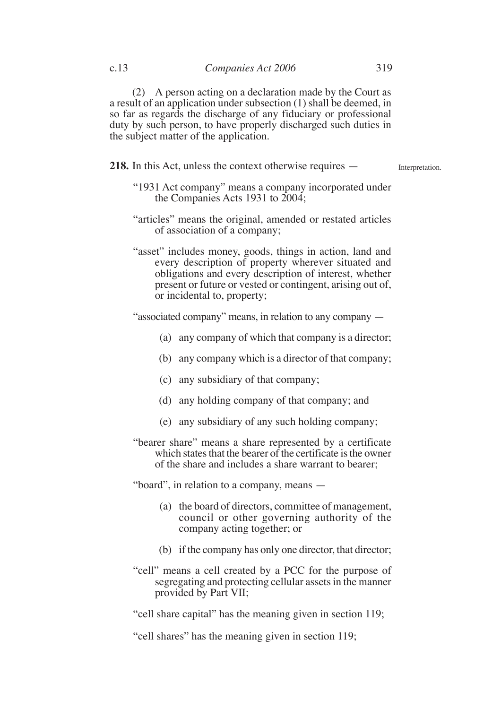(2) A person acting on a declaration made by the Court as a result of an application under subsection (1) shall be deemed, in so far as regards the discharge of any fiduciary or professional duty by such person, to have properly discharged such duties in the subject matter of the application.

**218.** In this Act, unless the context otherwise requires —

Interpretation.

- "1931 Act company" means a company incorporated under the Companies Acts 1931 to 2004;
- "articles" means the original, amended or restated articles of association of a company;
- "asset" includes money, goods, things in action, land and every description of property wherever situated and obligations and every description of interest, whether present or future or vested or contingent, arising out of, or incidental to, property;

"associated company" means, in relation to any company —

- (a) any company of which that company is a director;
- (b) any company which is a director of that company;
- (c) any subsidiary of that company;
- (d) any holding company of that company; and
- (e) any subsidiary of any such holding company;
- "bearer share" means a share represented by a certificate which states that the bearer of the certificate is the owner of the share and includes a share warrant to bearer;

"board", in relation to a company, means —

- (a) the board of directors, committee of management, council or other governing authority of the company acting together; or
- (b) if the company has only one director, that director;
- "cell" means a cell created by a PCC for the purpose of segregating and protecting cellular assets in the manner provided by Part VII;

"cell share capital" has the meaning given in section 119;

"cell shares" has the meaning given in section 119;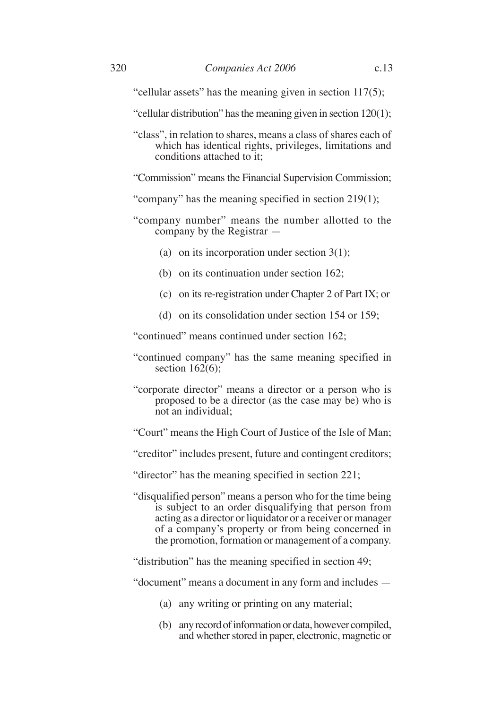"cellular assets" has the meaning given in section 117(5);

- "cellular distribution" has the meaning given in section 120(1);
- "class", in relation to shares, means a class of shares each of which has identical rights, privileges, limitations and conditions attached to it;
- "Commission" means the Financial Supervision Commission;
- "company" has the meaning specified in section 219(1);
- "company number" means the number allotted to the company by the Registrar —
	- (a) on its incorporation under section 3(1);
	- (b) on its continuation under section 162;
	- (c) on its re-registration under Chapter 2 of Part IX; or
	- (d) on its consolidation under section 154 or 159;

"continued" means continued under section 162;

- "continued company" has the same meaning specified in section  $162(6)$ :
- "corporate director" means a director or a person who is proposed to be a director (as the case may be) who is not an individual;
- "Court" means the High Court of Justice of the Isle of Man;
- "creditor" includes present, future and contingent creditors;
- "director" has the meaning specified in section 221;
- "disqualified person" means a person who for the time being is subject to an order disqualifying that person from acting as a director or liquidator or a receiver or manager of a company's property or from being concerned in the promotion, formation or management of a company.
- "distribution" has the meaning specified in section 49;

"document" means a document in any form and includes —

- (a) any writing or printing on any material;
- (b) any record of information or data, however compiled, and whether stored in paper, electronic, magnetic or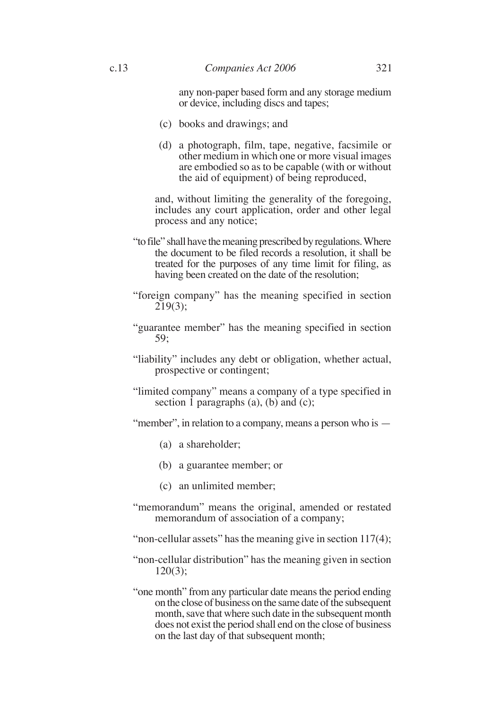any non-paper based form and any storage medium or device, including discs and tapes;

- (c) books and drawings; and
- (d) a photograph, film, tape, negative, facsimile or other medium in which one or more visual images are embodied so as to be capable (with or without the aid of equipment) of being reproduced,

and, without limiting the generality of the foregoing, includes any court application, order and other legal process and any notice;

- "to file" shall have the meaning prescribed by regulations. Where the document to be filed records a resolution, it shall be treated for the purposes of any time limit for filing, as having been created on the date of the resolution;
- "foreign company" has the meaning specified in section 219(3);
- "guarantee member" has the meaning specified in section 59;
- "liability" includes any debt or obligation, whether actual, prospective or contingent;
- "limited company" means a company of a type specified in section  $\overline{1}$  paragraphs (a), (b) and (c);
- "member", in relation to a company, means a person who is
	- (a) a shareholder;
	- (b) a guarantee member; or
	- (c) an unlimited member;
- "memorandum" means the original, amended or restated memorandum of association of a company;
- "non-cellular assets" has the meaning give in section 117(4);
- "non-cellular distribution" has the meaning given in section 120(3);
- "one month" from any particular date means the period ending on the close of business on the same date of the subsequent month, save that where such date in the subsequent month does not exist the period shall end on the close of business on the last day of that subsequent month;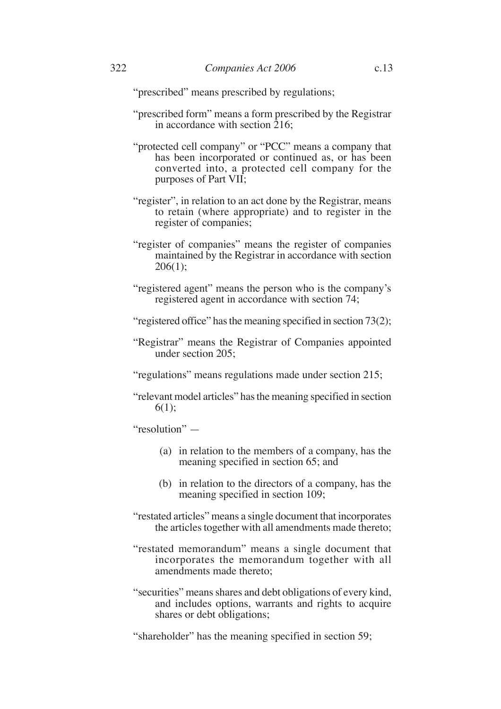- "prescribed form" means a form prescribed by the Registrar in accordance with section  $\overline{2}16$ ;
- "protected cell company" or "PCC" means a company that has been incorporated or continued as, or has been converted into, a protected cell company for the purposes of Part VII;
- "register", in relation to an act done by the Registrar, means to retain (where appropriate) and to register in the register of companies;
- "register of companies" means the register of companies maintained by the Registrar in accordance with section  $206(1);$
- "registered agent" means the person who is the company's registered agent in accordance with section 74;
- "registered office" has the meaning specified in section 73(2);
- "Registrar" means the Registrar of Companies appointed under section 205;

"regulations" means regulations made under section 215;

"relevant model articles" has the meaning specified in section 6(1);

"resolution" —

- (a) in relation to the members of a company, has the meaning specified in section 65; and
- (b) in relation to the directors of a company, has the meaning specified in section 109;
- "restated articles" means a single document that incorporates the articles together with all amendments made thereto;
- "restated memorandum" means a single document that incorporates the memorandum together with all amendments made thereto;
- "securities" means shares and debt obligations of every kind, and includes options, warrants and rights to acquire shares or debt obligations;
- "shareholder" has the meaning specified in section 59;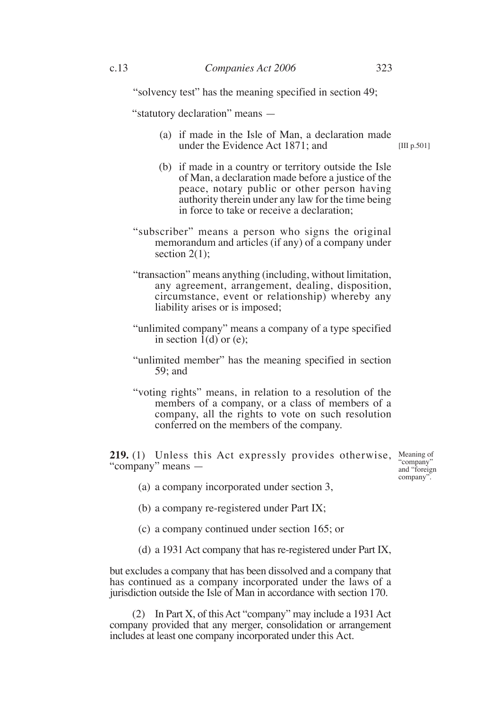"solvency test" has the meaning specified in section 49;

"statutory declaration" means —

- (a) if made in the Isle of Man, a declaration made under the Evidence Act 1871; and [III p.501]
- (b) if made in a country or territory outside the Isle of Man, a declaration made before a justice of the peace, notary public or other person having authority therein under any law for the time being in force to take or receive a declaration;
- "subscriber" means a person who signs the original memorandum and articles (if any) of a company under section  $2(1)$ :
- "transaction" means anything (including, without limitation, any agreement, arrangement, dealing, disposition, circumstance, event or relationship) whereby any liability arises or is imposed;
- "unlimited company" means a company of a type specified in section  $\hat{1}(d)$  or (e);
- "unlimited member" has the meaning specified in section 59; and
- "voting rights" means, in relation to a resolution of the members of a company, or a class of members of a company, all the rights to vote on such resolution conferred on the members of the company.

**219.** (1) Unless this Act expressly provides otherwise, Meaning of "company" means —

"company" and "foreign company".

- (a) a company incorporated under section 3,
- (b) a company re-registered under Part IX;
- (c) a company continued under section 165; or
- (d) a 1931 Act company that has re-registered under Part IX,

but excludes a company that has been dissolved and a company that has continued as a company incorporated under the laws of a jurisdiction outside the Isle of Man in accordance with section 170.

(2) In Part X, of this Act "company" may include a 1931 Act company provided that any merger, consolidation or arrangement includes at least one company incorporated under this Act.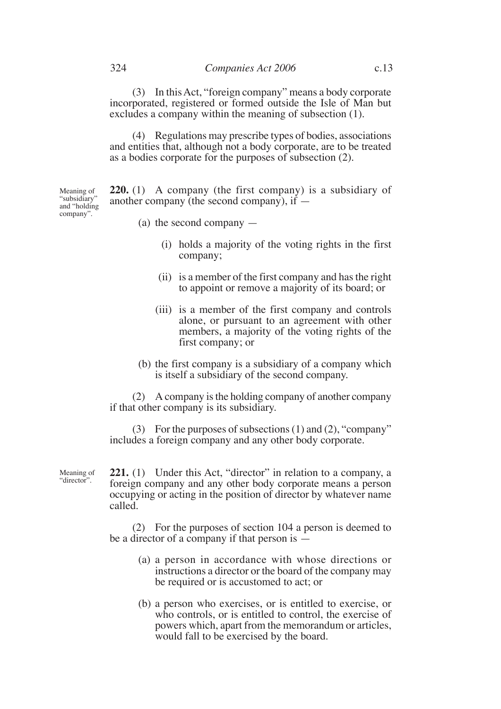(3) In this Act, "foreign company" means a body corporate incorporated, registered or formed outside the Isle of Man but excludes a company within the meaning of subsection (1).

(4) Regulations may prescribe types of bodies, associations and entities that, although not a body corporate, are to be treated as a bodies corporate for the purposes of subsection (2).

**220.** (1) A company (the first company) is a subsidiary of another company (the second company), if — Meaning of "subsidiary" and "holding

(a) the second company —

- (i) holds a majority of the voting rights in the first company;
- (ii) is a member of the first company and has the right to appoint or remove a majority of its board; or
- (iii) is a member of the first company and controls alone, or pursuant to an agreement with other members, a majority of the voting rights of the first company; or
- (b) the first company is a subsidiary of a company which is itself a subsidiary of the second company.

(2) A company is the holding company of another company if that other company is its subsidiary.

(3) For the purposes of subsections (1) and (2), "company" includes a foreign company and any other body corporate.

Meaning of "director".

company".

**221.** (1) Under this Act, "director" in relation to a company, a foreign company and any other body corporate means a person occupying or acting in the position of director by whatever name called.

(2) For the purposes of section 104 a person is deemed to be a director of a company if that person is —

- (a) a person in accordance with whose directions or instructions a director or the board of the company may be required or is accustomed to act; or
- (b) a person who exercises, or is entitled to exercise, or who controls, or is entitled to control, the exercise of powers which, apart from the memorandum or articles, would fall to be exercised by the board.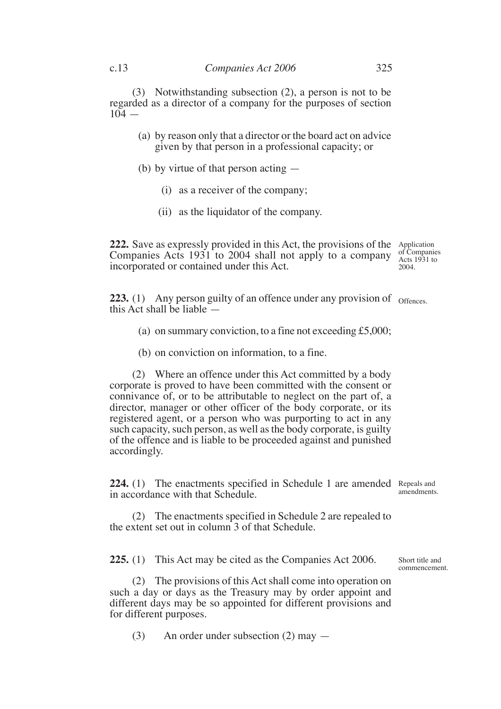(3) Notwithstanding subsection (2), a person is not to be regarded as a director of a company for the purposes of section  $104 -$ 

- (a) by reason only that a director or the board act on advice given by that person in a professional capacity; or
- (b) by virtue of that person acting
	- (i) as a receiver of the company;
	- (ii) as the liquidator of the company.

222. Save as expressly provided in this Act, the provisions of the Application Companies Acts 1931 to 2004 shall not apply to a company incorporated or contained under this Act. 2004.

of Companies Acts 1931 to

**223.** (1) Any person guilty of an offence under any provision of offences. this Act shall be liable —

- (a) on summary conviction, to a fine not exceeding  $£5,000;$
- (b) on conviction on information, to a fine.

(2) Where an offence under this Act committed by a body corporate is proved to have been committed with the consent or connivance of, or to be attributable to neglect on the part of, a director, manager or other officer of the body corporate, or its registered agent, or a person who was purporting to act in any such capacity, such person, as well as the body corporate, is guilty of the offence and is liable to be proceeded against and punished accordingly.

224. (1) The enactments specified in Schedule 1 are amended Repeals and in accordance with that Schedule.

(2) The enactments specified in Schedule 2 are repealed to the extent set out in column 3 of that Schedule.

**225.** (1) This Act may be cited as the Companies Act 2006.

(2) The provisions of this Act shall come into operation on such a day or days as the Treasury may by order appoint and different days may be so appointed for different provisions and for different purposes.

(3) An order under subsection (2) may —

amendments.

Short title and commencement.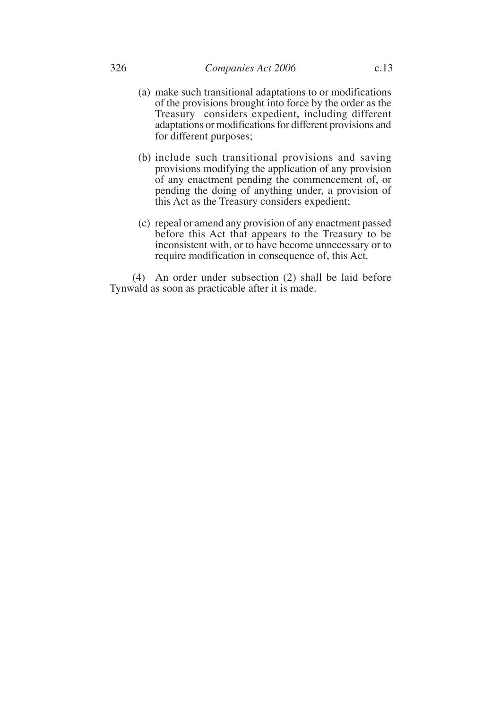- (a) make such transitional adaptations to or modifications of the provisions brought into force by the order as the Treasury considers expedient, including different adaptations or modifications for different provisions and for different purposes;
- (b) include such transitional provisions and saving provisions modifying the application of any provision of any enactment pending the commencement of, or pending the doing of anything under, a provision of this Act as the Treasury considers expedient;
- (c) repeal or amend any provision of any enactment passed before this Act that appears to the Treasury to be inconsistent with, or to have become unnecessary or to require modification in consequence of, this Act.

(4) An order under subsection (2) shall be laid before Tynwald as soon as practicable after it is made.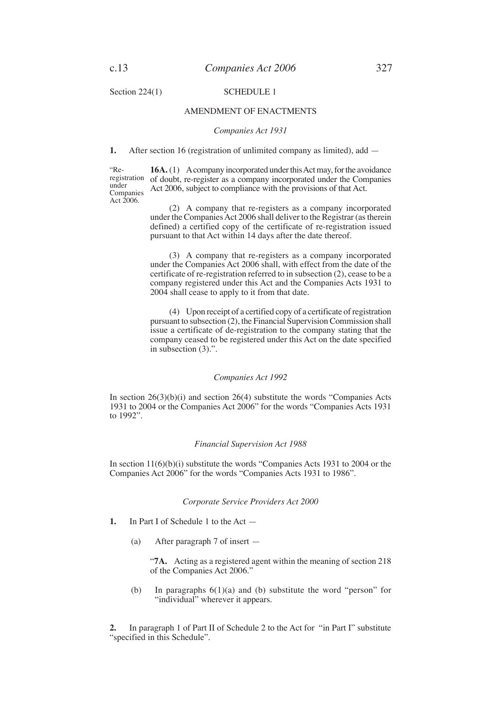Section 224(1) SCHEDULE 1

#### AMENDMENT OF ENACTMENTS

#### *Companies Act 1931*

**1.** After section 16 (registration of unlimited company as limited), add —

"Reregistration under Companies Act  $2006$ .

16A. (1) A company incorporated under this Act may, for the avoidance of doubt, re-register as a company incorporated under the Companies Act 2006, subject to compliance with the provisions of that Act.

(2) A company that re-registers as a company incorporated under the Companies Act 2006 shall deliver to the Registrar (as therein defined) a certified copy of the certificate of re-registration issued pursuant to that Act within 14 days after the date thereof.

(3) A company that re-registers as a company incorporated under the Companies Act 2006 shall, with effect from the date of the certificate of re-registration referred to in subsection (2), cease to be a company registered under this Act and the Companies Acts 1931 to 2004 shall cease to apply to it from that date.

(4) Upon receipt of a certified copy of a certificate of registration pursuant to subsection (2), the Financial Supervision Commission shall issue a certificate of de-registration to the company stating that the company ceased to be registered under this Act on the date specified in subsection (3).".

#### *Companies Act 1992*

In section  $26(3)(b)(i)$  and section  $26(4)$  substitute the words "Companies Acts" 1931 to 2004 or the Companies Act 2006" for the words "Companies Acts 1931 to 1992".

#### *Financial Supervision Act 1988*

In section 11(6)(b)(i) substitute the words "Companies Acts 1931 to 2004 or the Companies Act 2006" for the words "Companies Acts 1931 to 1986".

#### *Corporate Service Providers Act 2000*

- **1.** In Part I of Schedule 1 to the Act
	- (a) After paragraph 7 of insert —

"**7A.** Acting as a registered agent within the meaning of section 218 of the Companies Act 2006."

(b) In paragraphs  $6(1)(a)$  and (b) substitute the word "person" for "individual" wherever it appears.

**2.** In paragraph 1 of Part II of Schedule 2 to the Act for "in Part I" substitute "specified in this Schedule".